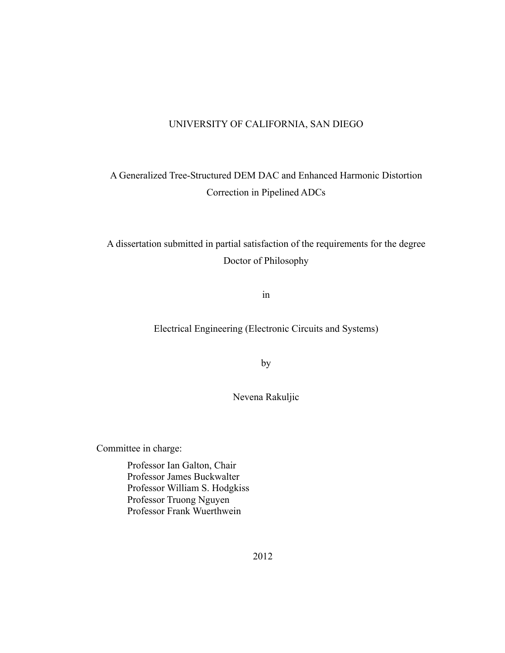### UNIVERSITY OF CALIFORNIA, SAN DIEGO

# A Generalized Tree-Structured DEM DAC and Enhanced Harmonic Distortion Correction in Pipelined ADCs

# A dissertation submitted in partial satisfaction of the requirements for the degree Doctor of Philosophy

in

Electrical Engineering (Electronic Circuits and Systems)

by

Nevena Rakuljic

Committee in charge:

Professor Ian Galton, Chair Professor James Buckwalter Professor William S. Hodgkiss Professor Truong Nguyen Professor Frank Wuerthwein

2012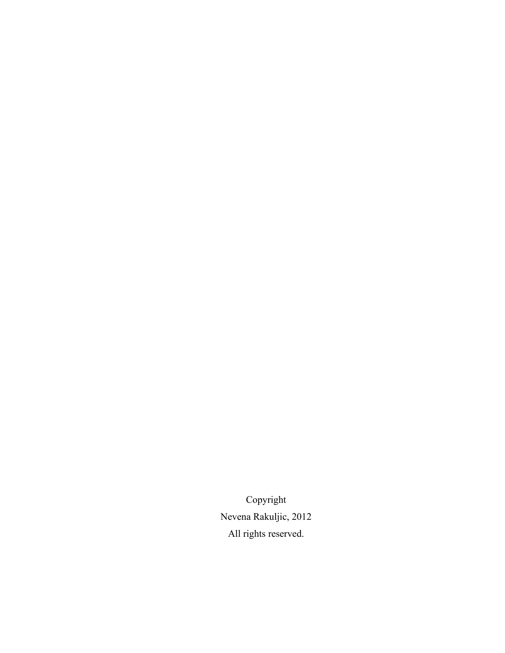Copyright Nevena Rakuljic, 2012 All rights reserved.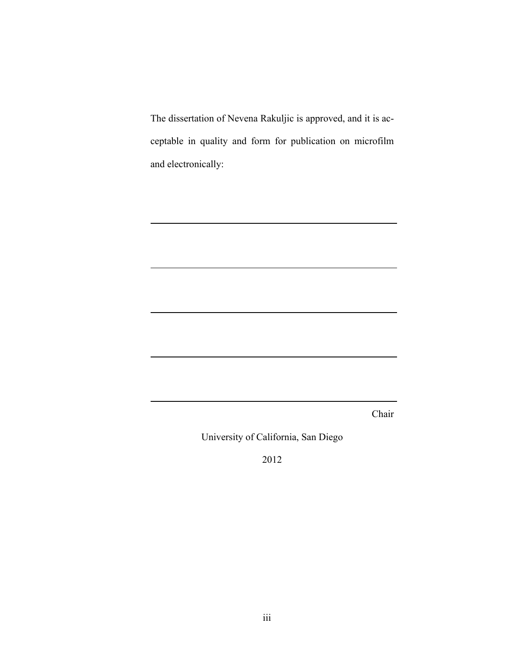The dissertation of Nevena Rakuljic is approved, and it is acceptable in quality and form for publication on microfilm and electronically:

Chair

University of California, San Diego

2012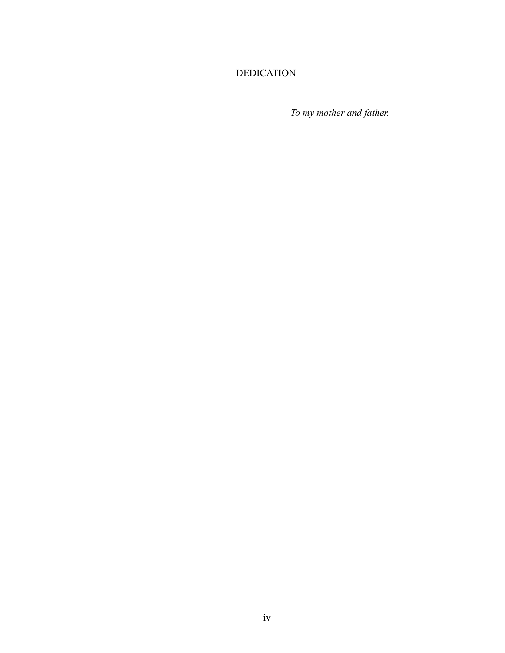## DEDICATION

*To my mother and father.*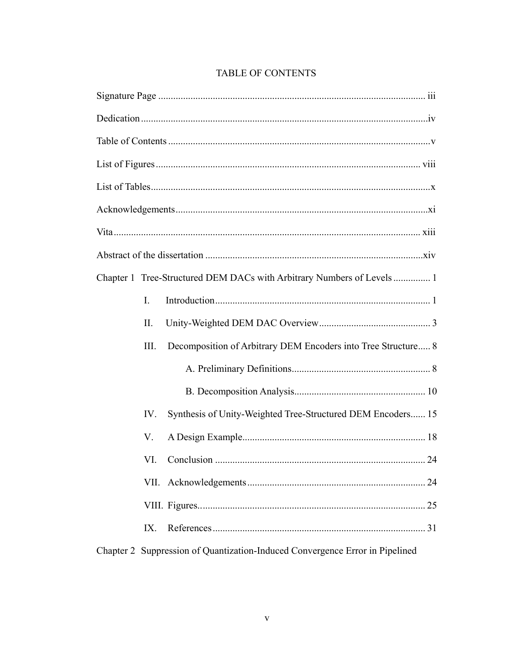| Chapter 1 Tree-Structured DEM DACs with Arbitrary Numbers of Levels  1       |
|------------------------------------------------------------------------------|
| $I_{\cdot}$                                                                  |
| П.                                                                           |
| Decomposition of Arbitrary DEM Encoders into Tree Structure 8<br>III.        |
|                                                                              |
|                                                                              |
| Synthesis of Unity-Weighted Tree-Structured DEM Encoders 15<br>IV.           |
| V.                                                                           |
| .24                                                                          |
|                                                                              |
|                                                                              |
| IX.                                                                          |
| Chapter 2 Suppression of Quantization-Induced Convergence Error in Pipelined |

# **TABLE OF CONTENTS**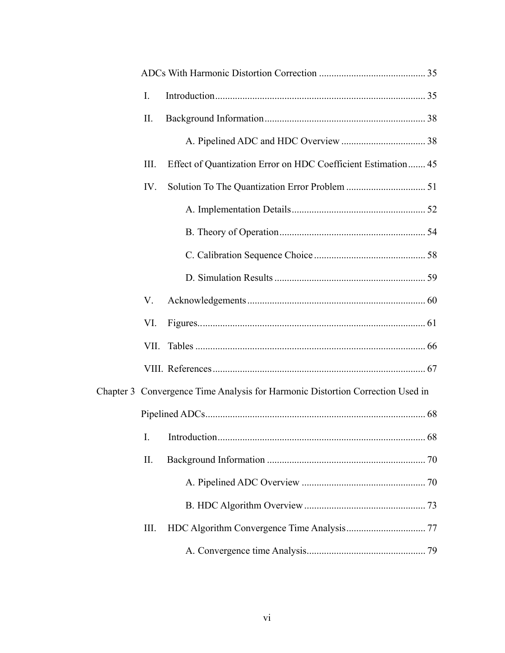| I.   |                                                                                |  |
|------|--------------------------------------------------------------------------------|--|
| II.  |                                                                                |  |
|      |                                                                                |  |
| III. | Effect of Quantization Error on HDC Coefficient Estimation 45                  |  |
| IV.  |                                                                                |  |
|      |                                                                                |  |
|      |                                                                                |  |
|      |                                                                                |  |
|      |                                                                                |  |
| V.   |                                                                                |  |
| VI.  |                                                                                |  |
| VII. |                                                                                |  |
|      |                                                                                |  |
|      | Chapter 3 Convergence Time Analysis for Harmonic Distortion Correction Used in |  |
|      |                                                                                |  |
|      |                                                                                |  |
| II.  |                                                                                |  |
|      |                                                                                |  |
|      |                                                                                |  |
| III. |                                                                                |  |
|      |                                                                                |  |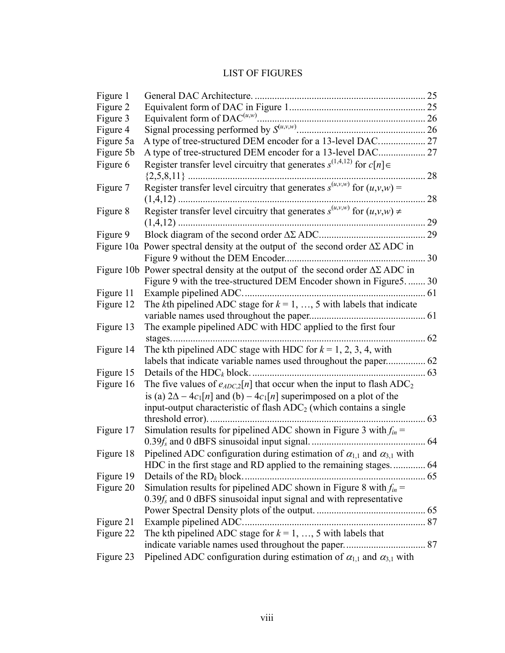## LIST OF FIGURES

| Figure 1  |                                                                                           |    |
|-----------|-------------------------------------------------------------------------------------------|----|
| Figure 2  |                                                                                           |    |
| Figure 3  |                                                                                           |    |
| Figure 4  |                                                                                           |    |
| Figure 5a | A type of tree-structured DEM encoder for a 13-level DAC 27                               |    |
| Figure 5b | A type of tree-structured DEM encoder for a 13-level DAC 27                               |    |
| Figure 6  | Register transfer level circuitry that generates $s^{(1,4,12)}$ for $c[n] \in$            |    |
|           | . 28                                                                                      |    |
| Figure 7  |                                                                                           |    |
|           |                                                                                           | 28 |
| Figure 8  | Register transfer level circuitry that generates $s^{(u,v,w)}$ for $(u,v,w) \neq$         |    |
|           | 29                                                                                        |    |
| Figure 9  |                                                                                           |    |
|           | Figure 10a Power spectral density at the output of the second order $\Delta\Sigma$ ADC in |    |
|           |                                                                                           |    |
|           | Figure 10b Power spectral density at the output of the second order $\Delta\Sigma$ ADC in |    |
|           | Figure 9 with the tree-structured DEM Encoder shown in Figure 5.  30                      |    |
| Figure 11 |                                                                                           |    |
| Figure 12 | The kth pipelined ADC stage for $k = 1, , 5$ with labels that indicate                    |    |
|           |                                                                                           |    |
| Figure 13 | The example pipelined ADC with HDC applied to the first four                              |    |
|           |                                                                                           |    |
| Figure 14 | The kth pipelined ADC stage with HDC for $k = 1, 2, 3, 4$ , with                          |    |
|           |                                                                                           |    |
| Figure 15 |                                                                                           |    |
| Figure 16 | The five values of $e_{ADC,2}[n]$ that occur when the input to flash ADC <sub>2</sub>     |    |
|           | is (a) $2\Delta - 4c_1[n]$ and (b) $- 4c_1[n]$ superimposed on a plot of the              |    |
|           | input-output characteristic of flash $ADC2$ (which contains a single                      |    |
|           | threshold error).                                                                         | 63 |
| Figure 17 | Simulation results for pipelined ADC shown in Figure 3 with $f_{in}$ =                    |    |
|           |                                                                                           |    |
| Figure 18 | Pipelined ADC configuration during estimation of $\alpha_{1,1}$ and $\alpha_{3,1}$ with   |    |
|           |                                                                                           |    |
| Figure 19 | Details of the $RD_k$ block                                                               |    |
| Figure 20 | Simulation results for pipelined ADC shown in Figure 8 with $f_{in}$ =                    |    |
|           | $0.39f_s$ and 0 dBFS sinusoidal input signal and with representative                      |    |
|           |                                                                                           |    |
| Figure 21 | Example pipelined ADC.                                                                    |    |
| Figure 22 | The kth pipelined ADC stage for $k = 1, , 5$ with labels that                             |    |
|           |                                                                                           |    |
| Figure 23 | Pipelined ADC configuration during estimation of $\alpha_{1,1}$ and $\alpha_{3,1}$ with   |    |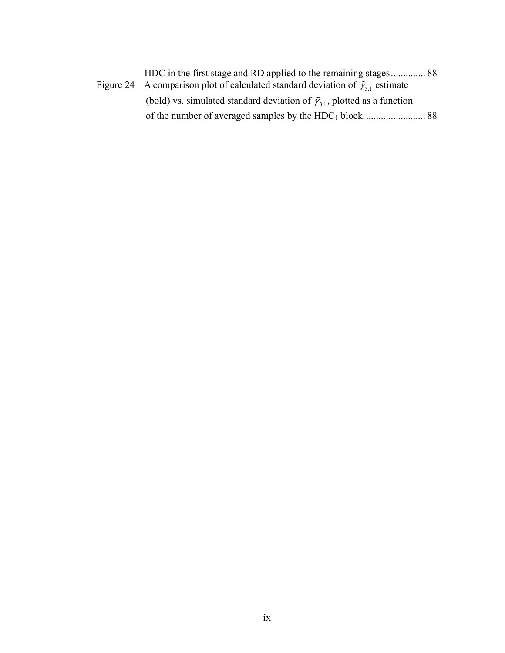| Figure 24 A comparison plot of calculated standard deviation of $\tilde{\gamma}_{31}$ estimate |  |
|------------------------------------------------------------------------------------------------|--|
| (bold) vs. simulated standard deviation of $\tilde{\gamma}_{31}$ , plotted as a function       |  |
|                                                                                                |  |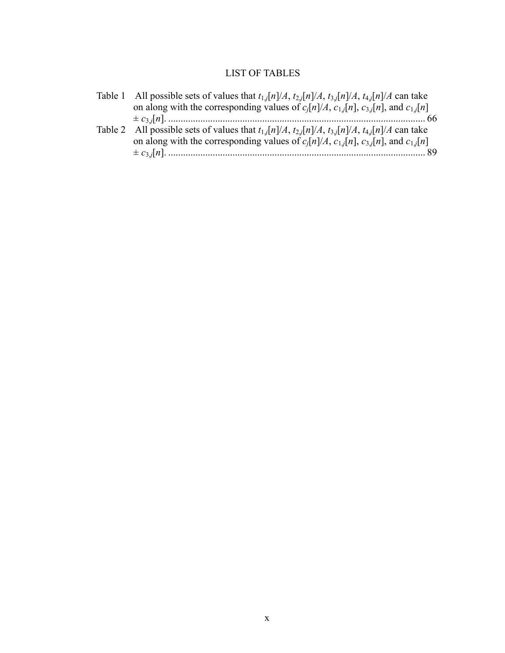## LIST OF TABLES

| Table 1 All possible sets of values that $t_{1,j}[n]/A$ , $t_{2,j}[n]/A$ , $t_{3,j}[n]/A$ , $t_{4,j}[n]/A$ can take |
|---------------------------------------------------------------------------------------------------------------------|
| on along with the corresponding values of $c_i[n]/A$ , $c_{1,i}[n]$ , $c_{3,i}[n]$ , and $c_{1,i}[n]$               |
|                                                                                                                     |
| Table 2 All possible sets of values that $t_{1,j}[n]/A$ , $t_{2,j}[n]/A$ , $t_{3,j}[n]/A$ , $t_{4,j}[n]/A$ can take |
| on along with the corresponding values of $c_i[n]/A$ , $c_{1,i}[n]$ , $c_{3,i}[n]$ , and $c_{1,i}[n]$               |
|                                                                                                                     |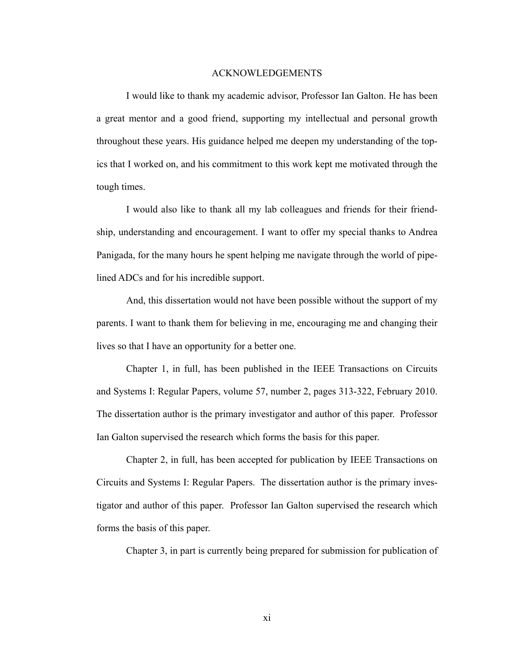#### ACKNOWLEDGEMENTS

I would like to thank my academic advisor, Professor Ian Galton. He has been a great mentor and a good friend, supporting my intellectual and personal growth throughout these years. His guidance helped me deepen my understanding of the topics that I worked on, and his commitment to this work kept me motivated through the tough times.

I would also like to thank all my lab colleagues and friends for their friendship, understanding and encouragement. I want to offer my special thanks to Andrea Panigada, for the many hours he spent helping me navigate through the world of pipelined ADCs and for his incredible support.

And, this dissertation would not have been possible without the support of my parents. I want to thank them for believing in me, encouraging me and changing their lives so that I have an opportunity for a better one.

Chapter 1, in full, has been published in the IEEE Transactions on Circuits and Systems I: Regular Papers, volume 57, number 2, pages 313-322, February 2010. The dissertation author is the primary investigator and author of this paper. Professor Ian Galton supervised the research which forms the basis for this paper.

Chapter 2, in full, has been accepted for publication by IEEE Transactions on Circuits and Systems I: Regular Papers. The dissertation author is the primary investigator and author of this paper. Professor Ian Galton supervised the research which forms the basis of this paper.

Chapter 3, in part is currently being prepared for submission for publication of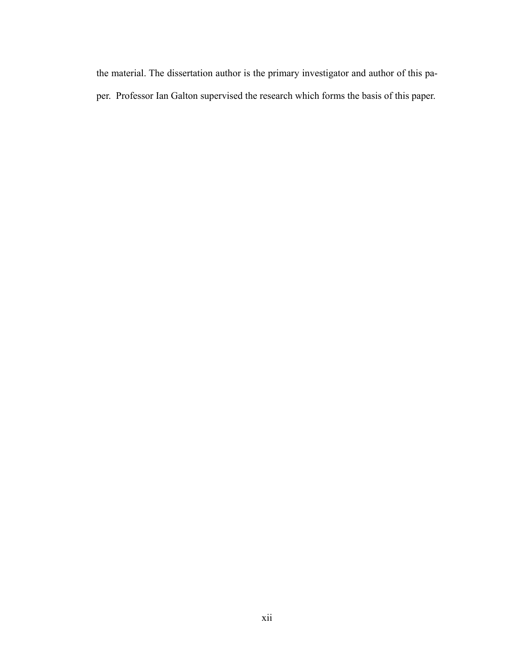the material. The dissertation author is the primary investigator and author of this paper. Professor Ian Galton supervised the research which forms the basis of this paper.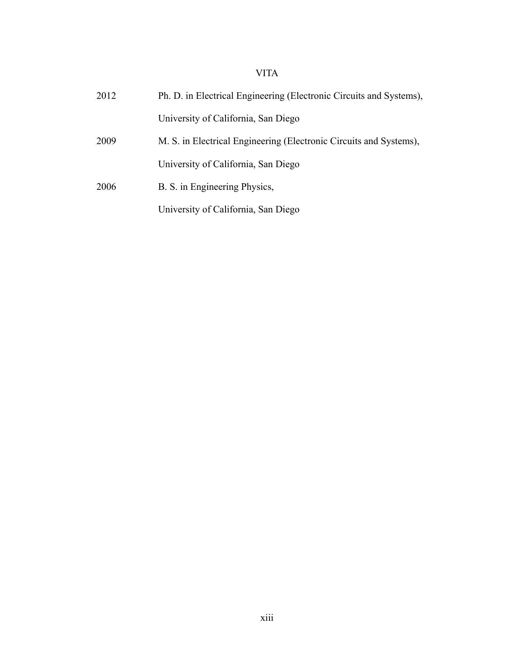## VITA

| 2012 | Ph. D. in Electrical Engineering (Electronic Circuits and Systems), |
|------|---------------------------------------------------------------------|
|      | University of California, San Diego                                 |
| 2009 | M. S. in Electrical Engineering (Electronic Circuits and Systems),  |
|      | University of California, San Diego                                 |
| 2006 | B. S. in Engineering Physics,                                       |
|      | University of California, San Diego                                 |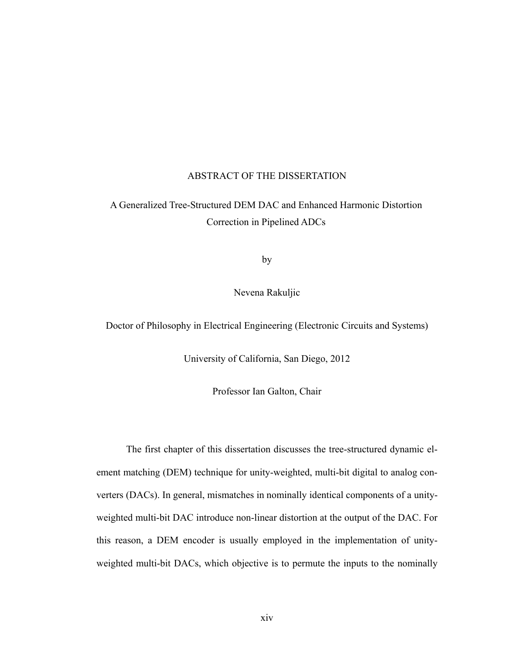#### ABSTRACT OF THE DISSERTATION

# A Generalized Tree-Structured DEM DAC and Enhanced Harmonic Distortion Correction in Pipelined ADCs

by

Nevena Rakuljic

Doctor of Philosophy in Electrical Engineering (Electronic Circuits and Systems)

University of California, San Diego, 2012

Professor Ian Galton, Chair

The first chapter of this dissertation discusses the tree-structured dynamic element matching (DEM) technique for unity-weighted, multi-bit digital to analog converters (DACs). In general, mismatches in nominally identical components of a unityweighted multi-bit DAC introduce non-linear distortion at the output of the DAC. For this reason, a DEM encoder is usually employed in the implementation of unityweighted multi-bit DACs, which objective is to permute the inputs to the nominally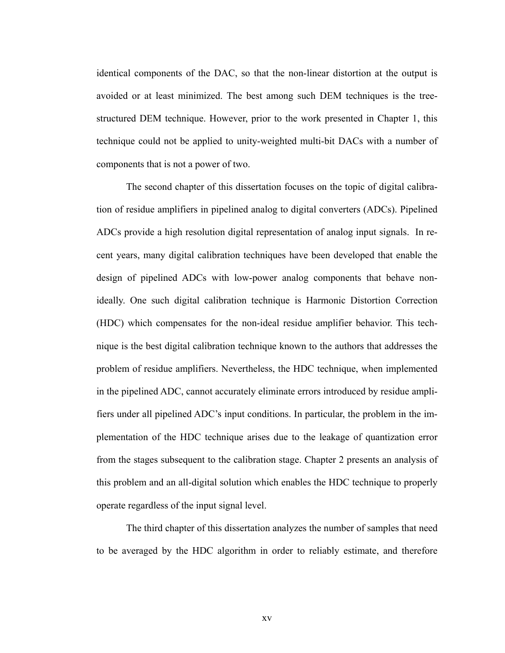identical components of the DAC, so that the non-linear distortion at the output is avoided or at least minimized. The best among such DEM techniques is the treestructured DEM technique. However, prior to the work presented in Chapter 1, this technique could not be applied to unity-weighted multi-bit DACs with a number of components that is not a power of two.

The second chapter of this dissertation focuses on the topic of digital calibration of residue amplifiers in pipelined analog to digital converters (ADCs). Pipelined ADCs provide a high resolution digital representation of analog input signals. In recent years, many digital calibration techniques have been developed that enable the design of pipelined ADCs with low-power analog components that behave nonideally. One such digital calibration technique is Harmonic Distortion Correction (HDC) which compensates for the non-ideal residue amplifier behavior. This technique is the best digital calibration technique known to the authors that addresses the problem of residue amplifiers. Nevertheless, the HDC technique, when implemented in the pipelined ADC, cannot accurately eliminate errors introduced by residue amplifiers under all pipelined ADC's input conditions. In particular, the problem in the implementation of the HDC technique arises due to the leakage of quantization error from the stages subsequent to the calibration stage. Chapter 2 presents an analysis of this problem and an all-digital solution which enables the HDC technique to properly operate regardless of the input signal level.

The third chapter of this dissertation analyzes the number of samples that need to be averaged by the HDC algorithm in order to reliably estimate, and therefore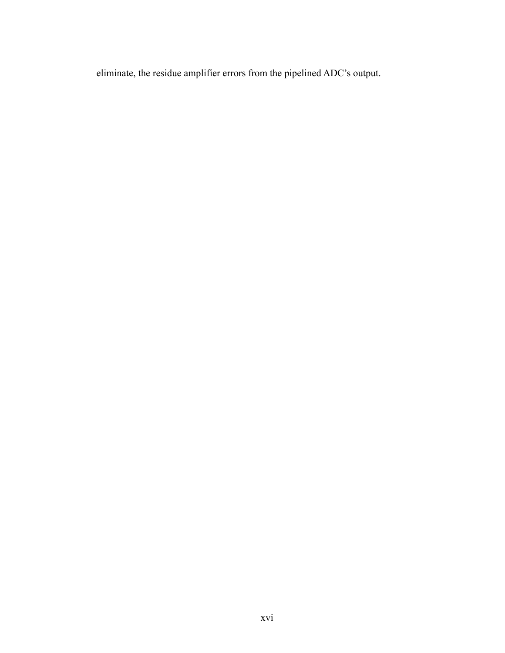eliminate, the residue amplifier errors from the pipelined ADC's output.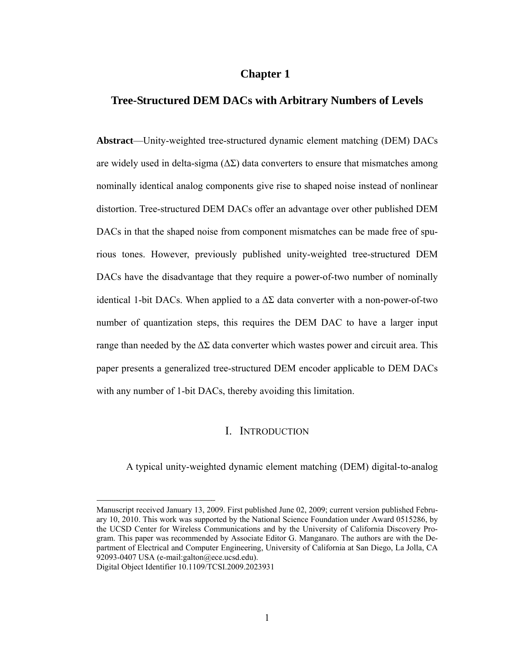#### **Chapter 1**

#### **Tree-Structured DEM DACs with Arbitrary Numbers of Levels**

**Abstract**—Unity-weighted tree-structured dynamic element matching (DEM) DACs are widely used in delta-sigma  $(\Delta \Sigma)$  data converters to ensure that mismatches among nominally identical analog components give rise to shaped noise instead of nonlinear distortion. Tree-structured DEM DACs offer an advantage over other published DEM DACs in that the shaped noise from component mismatches can be made free of spurious tones. However, previously published unity-weighted tree-structured DEM DACs have the disadvantage that they require a power-of-two number of nominally identical 1-bit DACs. When applied to a  $\Delta\Sigma$  data converter with a non-power-of-two number of quantization steps, this requires the DEM DAC to have a larger input range than needed by the  $\Delta\Sigma$  data converter which wastes power and circuit area. This paper presents a generalized tree-structured DEM encoder applicable to DEM DACs with any number of 1-bit DACs, thereby avoiding this limitation.

#### I. INTRODUCTION

A typical unity-weighted dynamic element matching (DEM) digital-to-analog

 $\overline{a}$ 

Manuscript received January 13, 2009. First published June 02, 2009; current version published February 10, 2010. This work was supported by the National Science Foundation under Award 0515286, by the UCSD Center for Wireless Communications and by the University of California Discovery Program. This paper was recommended by Associate Editor G. Manganaro. The authors are with the Department of Electrical and Computer Engineering, University of California at San Diego, La Jolla, CA 92093-0407 USA (e-mail:galton@ece.ucsd.edu).

Digital Object Identifier 10.1109/TCSI.2009.2023931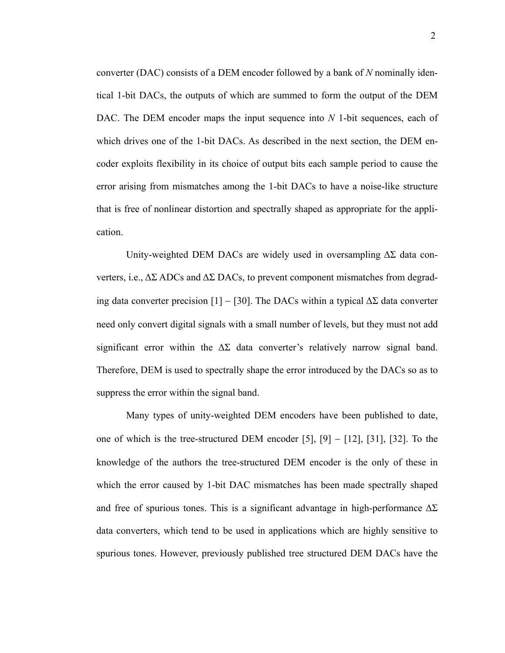converter (DAC) consists of a DEM encoder followed by a bank of *N* nominally identical 1-bit DACs, the outputs of which are summed to form the output of the DEM DAC. The DEM encoder maps the input sequence into *N* 1-bit sequences, each of which drives one of the 1-bit DACs. As described in the next section, the DEM encoder exploits flexibility in its choice of output bits each sample period to cause the error arising from mismatches among the 1-bit DACs to have a noise-like structure that is free of nonlinear distortion and spectrally shaped as appropriate for the application.

Unity-weighted DEM DACs are widely used in oversampling  $\Delta\Sigma$  data converters, i.e.,  $\Delta\Sigma$  ADCs and  $\Delta\Sigma$  DACs, to prevent component mismatches from degrading data converter precision [1] – [30]. The DACs within a typical  $\Delta\Sigma$  data converter need only convert digital signals with a small number of levels, but they must not add significant error within the  $\Delta\Sigma$  data converter's relatively narrow signal band. Therefore, DEM is used to spectrally shape the error introduced by the DACs so as to suppress the error within the signal band.

Many types of unity-weighted DEM encoders have been published to date, one of which is the tree-structured DEM encoder [5],  $[9] - [12]$ ,  $[31]$ ,  $[32]$ . To the knowledge of the authors the tree-structured DEM encoder is the only of these in which the error caused by 1-bit DAC mismatches has been made spectrally shaped and free of spurious tones. This is a significant advantage in high-performance  $\Delta\Sigma$ data converters, which tend to be used in applications which are highly sensitive to spurious tones. However, previously published tree structured DEM DACs have the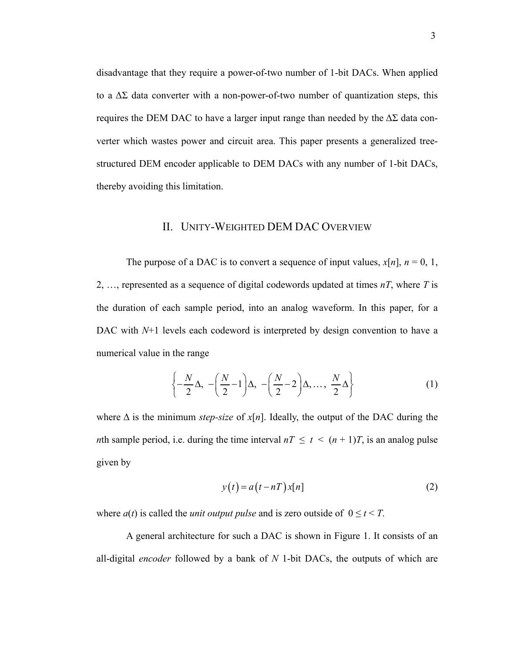disadvantage that they require a power-of-two number of 1-bit DACs. When applied to a  $\Delta\Sigma$  data converter with a non-power-of-two number of quantization steps, this requires the DEM DAC to have a larger input range than needed by the  $\Delta\Sigma$  data converter which wastes power and circuit area. This paper presents a generalized treestructured DEM encoder applicable to DEM DACs with any number of 1-bit DACs, thereby avoiding this limitation.

#### II. UNITY-WEIGHTED DEM DAC OVERVIEW

The purpose of a DAC is to convert a sequence of input values,  $x[n]$ ,  $n = 0, 1$ , 2, …, represented as a sequence of digital codewords updated at times *nT*, where *T* is the duration of each sample period, into an analog waveform. In this paper, for a DAC with  $N+1$  levels each codeword is interpreted by design convention to have a numerical value in the range

$$
\left\{-\frac{N}{2}\Delta, -\left(\frac{N}{2}-1\right)\Delta, -\left(\frac{N}{2}-2\right)\Delta, \dots, \frac{N}{2}\Delta\right\}
$$
 (1)

where  $\Delta$  is the minimum *step-size* of  $x[n]$ . Ideally, the output of the DAC during the *n*th sample period, i.e. during the time interval  $nT \le t < (n + 1)T$ , is an analog pulse given by

$$
y(t) = a(t - nT)x[n]
$$
 (2)

where  $a(t)$  is called the *unit output pulse* and is zero outside of  $0 \le t < T$ .

A general architecture for such a DAC is shown in Figure 1. It consists of an all-digital *encoder* followed by a bank of *N* 1-bit DACs, the outputs of which are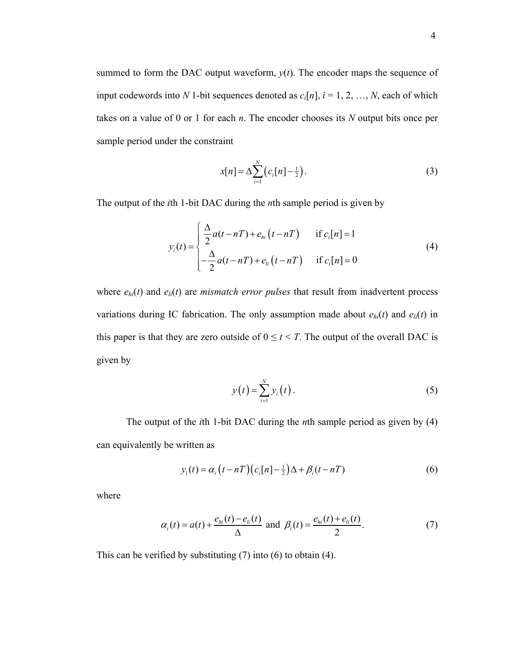summed to form the DAC output waveform,  $y(t)$ . The encoder maps the sequence of input codewords into *N* 1-bit sequences denoted as  $c_i[n]$ ,  $i = 1, 2, ..., N$ , each of which takes on a value of 0 or 1 for each *n*. The encoder chooses its *N* output bits once per sample period under the constraint

$$
x[n] = \Delta \sum_{i=1}^{N} (c_i[n] - \frac{1}{2}).
$$
\n(3)

The output of the *i*th 1-bit DAC during the *n*th sample period is given by

$$
y_i(t) = \begin{cases} \frac{\Delta}{2}a(t - nT) + e_{hi}(t - nT) & \text{if } c_i[n] = 1\\ -\frac{\Delta}{2}a(t - nT) + e_{hi}(t - nT) & \text{if } c_i[n] = 0 \end{cases}
$$
(4)

where  $e_{hi}(t)$  and  $e_{li}(t)$  are *mismatch error pulses* that result from inadvertent process variations during IC fabrication. The only assumption made about  $e_{hi}(t)$  and  $e_{li}(t)$  in this paper is that they are zero outside of  $0 \le t < T$ . The output of the overall DAC is given by

$$
y(t) = \sum_{i=1}^{N} y_i(t).
$$
 (5)

The output of the *i*th 1-bit DAC during the *n*th sample period as given by (4) can equivalently be written as

$$
y_i(t) = \alpha_i \left( t - nT \right) \left( c_i \left[ n \right] - \frac{1}{2} \right) \Delta + \beta_i \left( t - nT \right) \tag{6}
$$

where

$$
\alpha_i(t) = a(t) + \frac{e_{hi}(t) - e_{li}(t)}{\Delta}
$$
 and  $\beta_i(t) = \frac{e_{hi}(t) + e_{li}(t)}{2}$ . (7)

This can be verified by substituting (7) into (6) to obtain (4).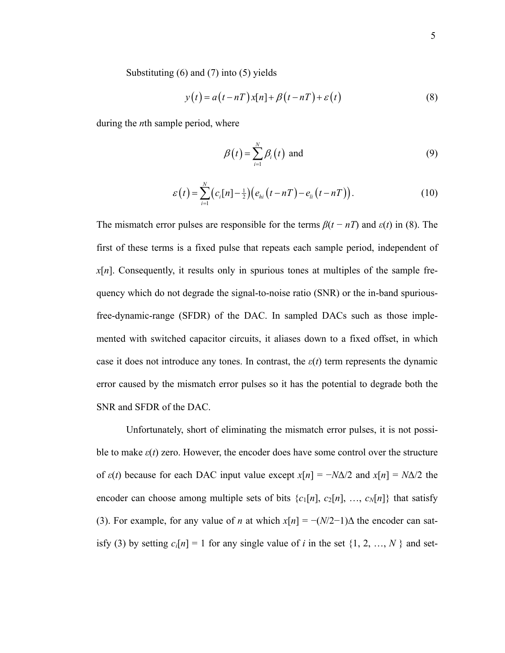Substituting (6) and (7) into (5) yields

$$
y(t) = a(t - nT)x[n] + \beta(t - nT) + \varepsilon(t)
$$
\n(8)

during the *n*th sample period, where

$$
\beta(t) = \sum_{i=1}^{N} \beta_i(t) \text{ and } (9)
$$

$$
\varepsilon\left(t\right) = \sum_{i=1}^{N} \left(c_i[n] - \frac{1}{2}\right) \left(e_{hi}\left(t - nT\right) - e_{li}\left(t - nT\right)\right).
$$
\n(10)

The mismatch error pulses are responsible for the terms  $\beta(t - nT)$  and  $\varepsilon(t)$  in (8). The first of these terms is a fixed pulse that repeats each sample period, independent of *x*[*n*]. Consequently, it results only in spurious tones at multiples of the sample frequency which do not degrade the signal-to-noise ratio (SNR) or the in-band spuriousfree-dynamic-range (SFDR) of the DAC. In sampled DACs such as those implemented with switched capacitor circuits, it aliases down to a fixed offset, in which case it does not introduce any tones. In contrast, the  $\varepsilon(t)$  term represents the dynamic error caused by the mismatch error pulses so it has the potential to degrade both the SNR and SFDR of the DAC.

Unfortunately, short of eliminating the mismatch error pulses, it is not possible to make  $\varepsilon(t)$  zero. However, the encoder does have some control over the structure of  $\varepsilon(t)$  because for each DAC input value except  $x[n] = -N\Delta/2$  and  $x[n] = N\Delta/2$  the encoder can choose among multiple sets of bits  $\{c_1[n], c_2[n], ..., c_N[n]\}$  that satisfy (3). For example, for any value of *n* at which  $x[n] = -(N/2-1)\Delta$  the encoder can satisfy (3) by setting  $c_i[n] = 1$  for any single value of *i* in the set  $\{1, 2, ..., N\}$  and set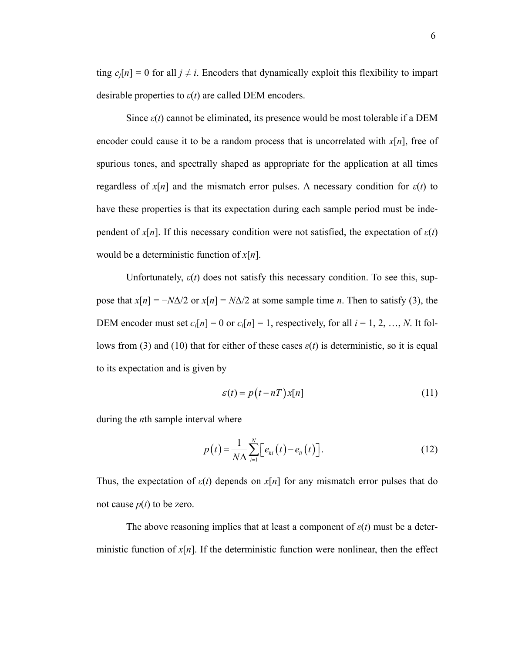ting  $c_i[n] = 0$  for all  $j \neq i$ . Encoders that dynamically exploit this flexibility to impart desirable properties to *ε*(*t*) are called DEM encoders.

Since  $\varepsilon(t)$  cannot be eliminated, its presence would be most tolerable if a DEM encoder could cause it to be a random process that is uncorrelated with *x*[*n*], free of spurious tones, and spectrally shaped as appropriate for the application at all times regardless of  $x[n]$  and the mismatch error pulses. A necessary condition for  $\varepsilon(t)$  to have these properties is that its expectation during each sample period must be independent of  $x[n]$ . If this necessary condition were not satisfied, the expectation of  $\varepsilon(t)$ would be a deterministic function of *x*[*n*].

Unfortunately,  $\varepsilon(t)$  does not satisfy this necessary condition. To see this, suppose that  $x[n] = -N\Delta/2$  or  $x[n] = N\Delta/2$  at some sample time *n*. Then to satisfy (3), the DEM encoder must set  $c_i[n] = 0$  or  $c_i[n] = 1$ , respectively, for all  $i = 1, 2, ..., N$ . It follows from (3) and (10) that for either of these cases  $\varepsilon(t)$  is deterministic, so it is equal to its expectation and is given by

$$
\varepsilon(t) = p(t - nT)x[n]
$$
\n(11)

during the *n*th sample interval where

$$
p(t) = \frac{1}{N\Delta} \sum_{i=1}^{N} \left[ e_{hi}(t) - e_{li}(t) \right].
$$
 (12)

Thus, the expectation of  $\varepsilon(t)$  depends on  $x[n]$  for any mismatch error pulses that do not cause  $p(t)$  to be zero.

The above reasoning implies that at least a component of *ε*(*t*) must be a deterministic function of  $x[n]$ . If the deterministic function were nonlinear, then the effect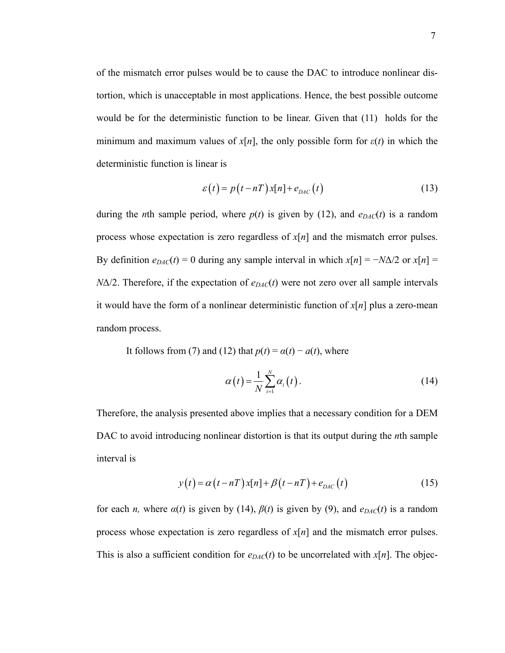of the mismatch error pulses would be to cause the DAC to introduce nonlinear distortion, which is unacceptable in most applications. Hence, the best possible outcome would be for the deterministic function to be linear. Given that (11) holds for the minimum and maximum values of  $x[n]$ , the only possible form for  $\varepsilon(t)$  in which the deterministic function is linear is

$$
\varepsilon(t) = p(t - nT)x[n] + e_{DAC}(t)
$$
\n(13)

during the *n*th sample period, where  $p(t)$  is given by (12), and  $e_{DAC}(t)$  is a random process whose expectation is zero regardless of *x*[*n*] and the mismatch error pulses. By definition  $e_{DAC}(t) = 0$  during any sample interval in which  $x[n] = -N\Delta/2$  or  $x[n] =$  $N\Delta/2$ . Therefore, if the expectation of  $e_{DAC}(t)$  were not zero over all sample intervals it would have the form of a nonlinear deterministic function of *x*[*n*] plus a zero-mean random process.

It follows from (7) and (12) that  $p(t) = \alpha(t) - a(t)$ , where

$$
\alpha(t) = \frac{1}{N} \sum_{i=1}^{N} \alpha_i(t).
$$
 (14)

Therefore, the analysis presented above implies that a necessary condition for a DEM DAC to avoid introducing nonlinear distortion is that its output during the *n*th sample interval is

$$
y(t) = \alpha(t - nT)x[n] + \beta(t - nT) + e_{DAC}(t)
$$
\n(15)

for each *n*, where  $\alpha(t)$  is given by (14),  $\beta(t)$  is given by (9), and  $e_{DAC}(t)$  is a random process whose expectation is zero regardless of *x*[*n*] and the mismatch error pulses. This is also a sufficient condition for  $e_{DAC}(t)$  to be uncorrelated with  $x[n]$ . The objec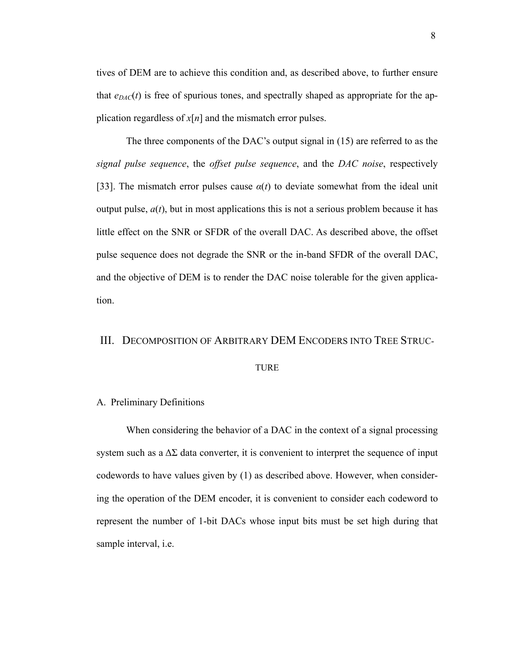tives of DEM are to achieve this condition and, as described above, to further ensure that  $e_{DAC}(t)$  is free of spurious tones, and spectrally shaped as appropriate for the application regardless of  $x[n]$  and the mismatch error pulses.

The three components of the DAC's output signal in (15) are referred to as the *signal pulse sequence*, the *offset pulse sequence*, and the *DAC noise*, respectively [33]. The mismatch error pulses cause  $\alpha(t)$  to deviate somewhat from the ideal unit output pulse,  $a(t)$ , but in most applications this is not a serious problem because it has little effect on the SNR or SFDR of the overall DAC. As described above, the offset pulse sequence does not degrade the SNR or the in-band SFDR of the overall DAC, and the objective of DEM is to render the DAC noise tolerable for the given application.

# III. DECOMPOSITION OF ARBITRARY DEM ENCODERS INTO TREE STRUC-

# TURE

#### A. Preliminary Definitions

When considering the behavior of a DAC in the context of a signal processing system such as a  $\Delta\Sigma$  data converter, it is convenient to interpret the sequence of input codewords to have values given by (1) as described above. However, when considering the operation of the DEM encoder, it is convenient to consider each codeword to represent the number of 1-bit DACs whose input bits must be set high during that sample interval, i.e.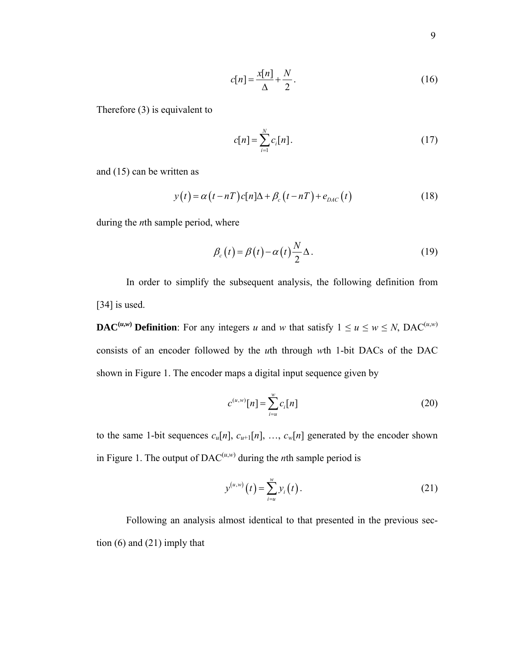$$
c[n] = \frac{x[n]}{\Delta} + \frac{N}{2}.
$$
\n(16)

Therefore (3) is equivalent to

$$
c[n] = \sum_{i=1}^{N} c_i[n].
$$
 (17)

and (15) can be written as

$$
y(t) = \alpha(t - nT)c[n]\Delta + \beta_c(t - nT) + e_{DAC}(t)
$$
\n(18)

during the *n*th sample period, where

$$
\beta_c(t) = \beta(t) - \alpha(t) \frac{N}{2} \Delta.
$$
\n(19)

In order to simplify the subsequent analysis, the following definition from [34] is used.

**DAC**<sup>(*u*,*w*</sup>) **Definition**: For any integers *u* and *w* that satisfy  $1 \le u \le w \le N$ , DAC<sup>(*u*,*w*)</sub></sup> consists of an encoder followed by the *u*th through *w*th 1-bit DACs of the DAC shown in Figure 1. The encoder maps a digital input sequence given by

$$
c^{(u,w)}[n] = \sum_{i=u}^{w} c_i[n]
$$
 (20)

to the same 1-bit sequences  $c_u[n], c_{u+1}[n], \ldots, c_w[n]$  generated by the encoder shown in Figure 1. The output of  $\text{DAC}^{(u,w)}$  during the *n*th sample period is

$$
y^{(u,w)}(t) = \sum_{i=u}^{w} y_i(t).
$$
 (21)

Following an analysis almost identical to that presented in the previous section (6) and (21) imply that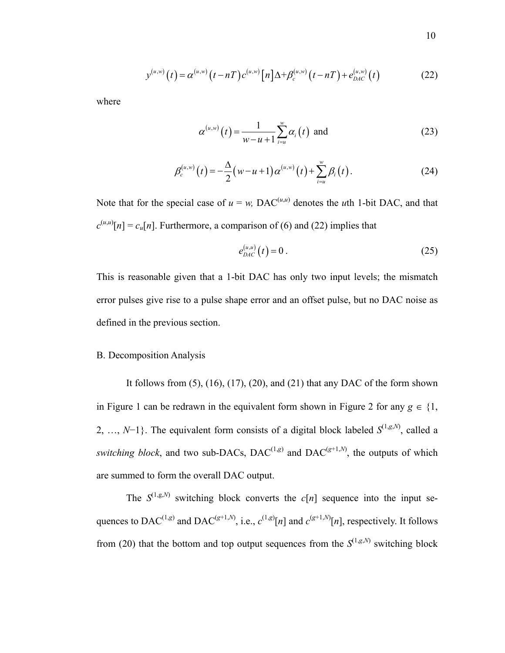$$
y^{(u,w)}(t) = \alpha^{(u,w)}(t - nT)c^{(u,w)}[n]\Delta + \beta_c^{(u,w)}(t - nT) + e_{DAC}^{(u,w)}(t)
$$
 (22)

where

$$
\alpha^{(u,w)}(t) = \frac{1}{w - u + 1} \sum_{i=u}^{w} \alpha_i(t) \text{ and } (23)
$$

$$
\beta_c^{(u,w)}(t) = -\frac{\Delta}{2}(w - u + 1)\alpha^{(u,w)}(t) + \sum_{i=u}^w \beta_i(t).
$$
 (24)

Note that for the special case of  $u = w$ , DAC<sup>(*u,u*)</sup> denotes the *u*th 1-bit DAC, and that  $c^{(u,u)}[n] = c_u[n]$ . Furthermore, a comparison of (6) and (22) implies that

$$
e_{DAC}^{(u,u)}(t) = 0.
$$
 (25)

This is reasonable given that a 1-bit DAC has only two input levels; the mismatch error pulses give rise to a pulse shape error and an offset pulse, but no DAC noise as defined in the previous section.

#### B. Decomposition Analysis

It follows from  $(5)$ ,  $(16)$ ,  $(17)$ ,  $(20)$ , and  $(21)$  that any DAC of the form shown in Figure 1 can be redrawn in the equivalent form shown in Figure 2 for any  $g \in \{1,$ 2, ..., *N*−1}. The equivalent form consists of a digital block labeled  $S^{(1,g,N)}$ , called a *switching block*, and two sub-DACs, DAC<sup>(1,*g*)</sup> and DAC<sup>(*g*+1,*N*)</sup>, the outputs of which are summed to form the overall DAC output.

The  $S^{(1,g,N)}$  switching block converts the *c*[*n*] sequence into the input sequences to DAC<sup>(1,*g*)</sup> and DAC<sup>(*g*+1,*N*)</sup>, i.e.,  $c^{(1,g)}[n]$  and  $c^{(g+1,N)}[n]$ , respectively. It follows from (20) that the bottom and top output sequences from the  $S^{(1,g,N)}$  switching block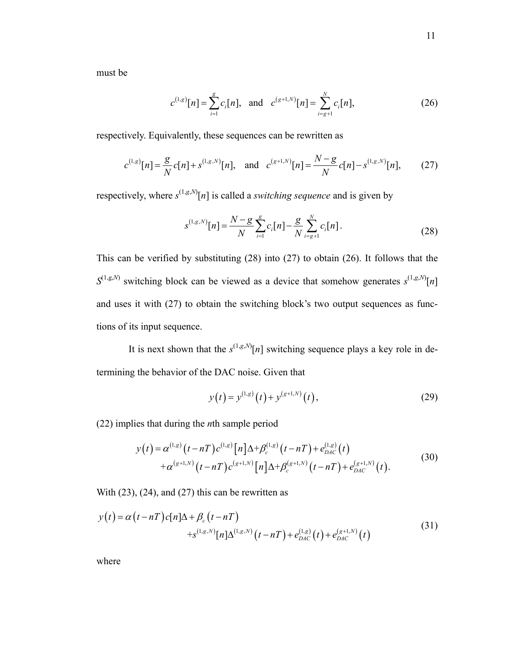must be

$$
c^{(1,g)}[n] = \sum_{i=1}^{g} c_i[n], \text{ and } c^{(g+1,N)}[n] = \sum_{i=g+1}^{N} c_i[n], \tag{26}
$$

respectively. Equivalently, these sequences can be rewritten as

$$
c^{(1,g)}[n] = \frac{g}{N}c[n] + s^{(1,g,N)}[n], \text{ and } c^{(g+1,N)}[n] = \frac{N-g}{N}c[n] - s^{(1,g,N)}[n], \quad (27)
$$

respectively, where  $s^{(1,g,N)}[n]$  is called a *switching sequence* and is given by

$$
s^{(1,g,N)}[n] = \frac{N-g}{N} \sum_{i=1}^{g} c_i[n] - \frac{g}{N} \sum_{i=g+1}^{N} c_i[n].
$$
 (28)

This can be verified by substituting (28) into (27) to obtain (26). It follows that the  $S^{(1,g,N)}$  switching block can be viewed as a device that somehow generates  $s^{(1,g,N)}[n]$ and uses it with (27) to obtain the switching block's two output sequences as functions of its input sequence.

It is next shown that the  $s^{(1,g,N)}[n]$  switching sequence plays a key role in determining the behavior of the DAC noise. Given that

$$
y(t) = y^{(1,g)}(t) + y^{(g+1,N)}(t),
$$
\n(29)

(22) implies that during the *n*th sample period

$$
y(t) = \alpha^{(1,g)}(t - nT)c^{(1,g)}[n]\Delta + \beta_c^{(1,g)}(t - nT) + e_{DAC}^{(1,g)}(t) + \alpha^{(g+1,N)}(t - nT)c^{(g+1,N)}[n]\Delta + \beta_c^{(g+1,N)}(t - nT) + e_{DAC}^{(g+1,N)}(t).
$$
(30)

With  $(23)$ ,  $(24)$ , and  $(27)$  this can be rewritten as

$$
y(t) = \alpha(t - nT)c[n]\Delta + \beta_c(t - nT)
$$
  
+ $s^{(1,g,N)}[n]\Delta^{(1,g,N)}(t - nT) + e_{DAC}^{(1,g)}(t) + e_{DAC}^{(g+1,N)}(t)$  (31)

where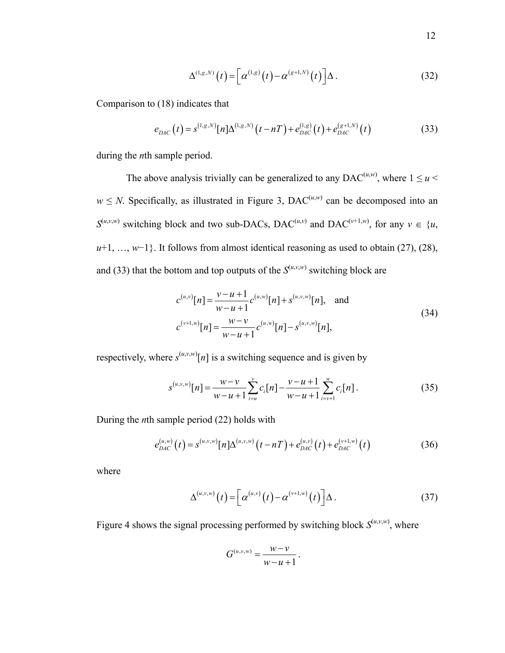$$
\Delta^{(1,g,N)}(t) = \left[\alpha^{(1,g)}(t) - \alpha^{(g+1,N)}(t)\right]\Delta.
$$
 (32)

Comparison to (18) indicates that

$$
e_{DAC}(t) = s^{(1,g,N)}[n]\Delta^{(1,g,N)}(t-nT) + e_{DAC}^{(1,g)}(t) + e_{DAC}^{(g+1,N)}(t)
$$
(33)

during the *n*th sample period.

The above analysis trivially can be generalized to any DAC<sup> $(u,w)$ </sup>, where  $1 \le u <$  $w \leq N$ . Specifically, as illustrated in Figure 3, DAC<sup>(*u,w*)</sup> can be decomposed into an  $S^{(u,v,w)}$  switching block and two sub-DACs, DAC<sup>(*u,v*)</sup></sub> and DAC<sup>(*v*+1,*w*)</sup>, for any  $v \in \{u, v\}$ *u*+1, …, *w*−1}. It follows from almost identical reasoning as used to obtain (27), (28), and (33) that the bottom and top outputs of the  $S^{(u,v,w)}$  switching block are

$$
c^{(u,v)}[n] = \frac{v - u + 1}{w - u + 1} c^{(u,w)}[n] + s^{(u,v,w)}[n], \text{ and}
$$
  
\n
$$
c^{(v+1,w)}[n] = \frac{w - v}{w - u + 1} c^{(u,w)}[n] - s^{(u,v,w)}[n],
$$
\n(34)

respectively, where  $s^{(u,v,w)}[n]$  is a switching sequence and is given by

$$
s^{(u,v,w)}[n] = \frac{w-v}{w-u+1} \sum_{i=u}^{v} c_i[n] - \frac{v-u+1}{w-u+1} \sum_{i=v+1}^{w} c_i[n].
$$
 (35)

During the *n*th sample period (22) holds with

$$
e_{DAC}^{(u,w)}(t) = s^{(u,v,w)}[n]\Delta^{(u,v,w)}(t - nT) + e_{DAC}^{(u,v)}(t) + e_{DAC}^{(v+1,w)}(t)
$$
(36)

where

$$
\Delta^{(u,v,w)}(t) = \left[\alpha^{(u,v)}(t) - \alpha^{(v+1,w)}(t)\right]\Delta.
$$
 (37)

Figure 4 shows the signal processing performed by switching block  $S^{(u,v,w)}$ , where

$$
G^{(u,v,w)}=\frac{w-v}{w-u+1}.
$$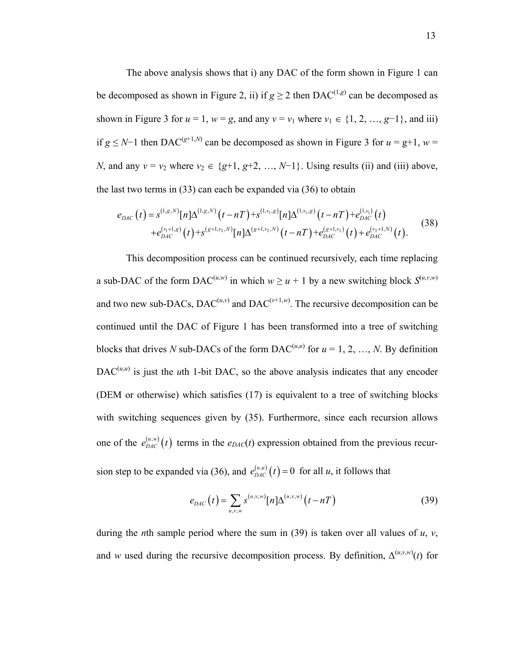The above analysis shows that i) any DAC of the form shown in Figure 1 can be decomposed as shown in Figure 2, ii) if  $g \ge 2$  then DAC<sup>(1,*g*)</sup> can be decomposed as shown in Figure 3 for  $u = 1$ ,  $w = g$ , and any  $v = v_1$  where  $v_1 \in \{1, 2, ..., g-1\}$ , and iii) if *g* ≤ *N*−1 then DAC<sup>(*g*+1,*N*)</sub> can be decomposed as shown in Figure 3 for *u* = *g*+1, *w* =</sup> *N*, and any  $v = v_2$  where  $v_2 \in \{g+1, g+2, ..., N-1\}$ . Using results (ii) and (iii) above, the last two terms in (33) can each be expanded via (36) to obtain

$$
e_{DAC}(t) = s^{(1,g,N)}[n]\Delta^{(1,g,N)}(t-nT) + s^{(1,v_1,g)}[n]\Delta^{(1,v_1,g)}(t-nT) + e_{DAC}^{(1,v_1)}(t) + e_{DAC}^{(v_1+1,g)}(t) + s^{(g+1,v_2,N)}[n]\Delta^{(g+1,v_2,N)}(t-nT) + e_{DAC}^{(g+1,v_2)}(t) + e_{DAC}^{(v_2+1,N)}(t).
$$
\n(38)

This decomposition process can be continued recursively, each time replacing a sub-DAC of the form  $\text{DAC}^{(u,w)}$  in which  $w \ge u + 1$  by a new switching block  $S^{(u,v,w)}$ and two new sub-DACs, DAC<sup> $(u,v)$ </sup> and DAC<sup> $(v+1,w)$ </sup>. The recursive decomposition can be continued until the DAC of Figure 1 has been transformed into a tree of switching blocks that drives *N* sub-DACs of the form  $DAC^{(u,u)}$  for  $u = 1, 2, ..., N$ . By definition DAC<sup> $(u,u)$ </sup> is just the *u*th 1-bit DAC, so the above analysis indicates that any encoder (DEM or otherwise) which satisfies (17) is equivalent to a tree of switching blocks with switching sequences given by (35). Furthermore, since each recursion allows one of the  $e_{DAC}^{(u,w)}(t)$  terms in the  $e_{DAC}(t)$  expression obtained from the previous recursion step to be expanded via (36), and  $e_{DAC}^{(u,u)}(t) = 0$  for all *u*, it follows that

$$
e_{DAC}(t) = \sum_{u,v,w} s^{(u,v,w)}[n] \Delta^{(u,v,w)}(t - nT)
$$
 (39)

during the *n*th sample period where the sum in (39) is taken over all values of  $u$ ,  $v$ , and *w* used during the recursive decomposition process. By definition,  $\Delta^{(u,v,w)}(t)$  for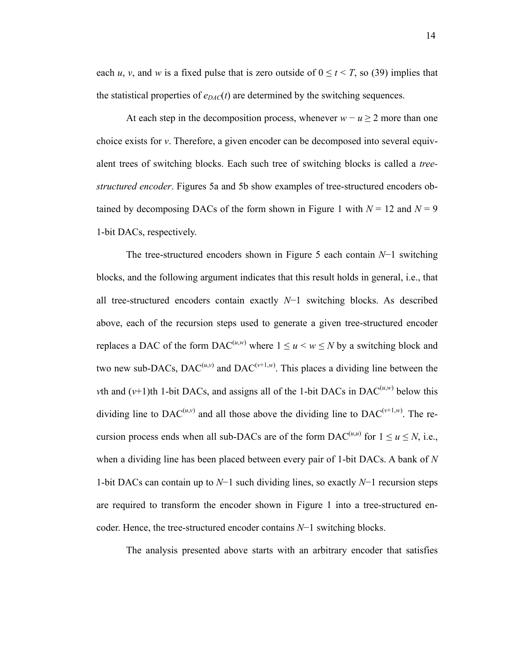each *u*, *v*, and *w* is a fixed pulse that is zero outside of  $0 \le t \le T$ , so (39) implies that the statistical properties of  $e_{DAC}(t)$  are determined by the switching sequences.

At each step in the decomposition process, whenever  $w - u \ge 2$  more than one choice exists for *v*. Therefore, a given encoder can be decomposed into several equivalent trees of switching blocks. Each such tree of switching blocks is called a *treestructured encoder*. Figures 5a and 5b show examples of tree-structured encoders obtained by decomposing DACs of the form shown in Figure 1 with  $N = 12$  and  $N = 9$ 1-bit DACs, respectively.

The tree-structured encoders shown in Figure 5 each contain *N*−1 switching blocks, and the following argument indicates that this result holds in general, i.e., that all tree-structured encoders contain exactly *N*−1 switching blocks. As described above, each of the recursion steps used to generate a given tree-structured encoder replaces a DAC of the form  $\text{DAC}^{(u,w)}$  where  $1 \le u \le w \le N$  by a switching block and two new sub-DACs, DAC<sup> $(u,v)$ </sup> and DAC<sup> $(v+1,w)$ </sup>. This places a dividing line between the *v*th and ( $v+1$ )th 1-bit DACs, and assigns all of the 1-bit DACs in DAC<sup> $(u,w)$ </sup> below this dividing line to DAC<sup> $(u,v)$ </sup> and all those above the dividing line to DAC<sup>( $v+1,w$ )</sup>. The recursion process ends when all sub-DACs are of the form  $DAC^{(u,u)}$  for  $1 \le u \le N$ , i.e., when a dividing line has been placed between every pair of 1-bit DACs. A bank of *N* 1-bit DACs can contain up to *N*−1 such dividing lines, so exactly *N*−1 recursion steps are required to transform the encoder shown in Figure 1 into a tree-structured encoder. Hence, the tree-structured encoder contains *N*−1 switching blocks.

The analysis presented above starts with an arbitrary encoder that satisfies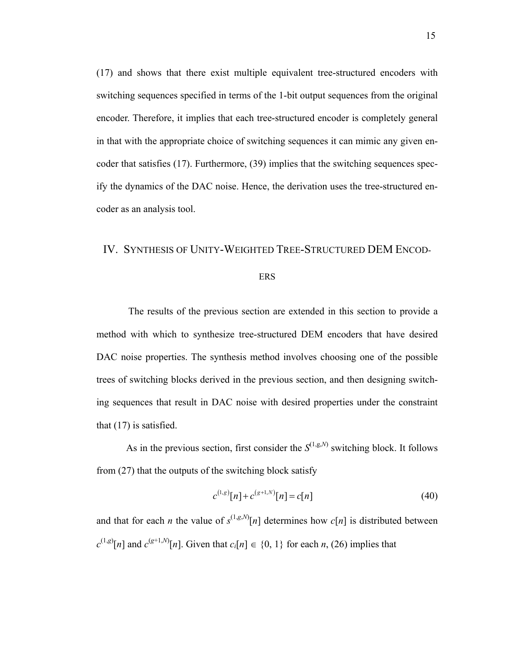(17) and shows that there exist multiple equivalent tree-structured encoders with switching sequences specified in terms of the 1-bit output sequences from the original encoder. Therefore, it implies that each tree-structured encoder is completely general in that with the appropriate choice of switching sequences it can mimic any given encoder that satisfies (17). Furthermore, (39) implies that the switching sequences specify the dynamics of the DAC noise. Hence, the derivation uses the tree-structured encoder as an analysis tool.

#### IV. SYNTHESIS OF UNITY-WEIGHTED TREE-STRUCTURED DEM ENCOD-

#### ERS

 The results of the previous section are extended in this section to provide a method with which to synthesize tree-structured DEM encoders that have desired DAC noise properties. The synthesis method involves choosing one of the possible trees of switching blocks derived in the previous section, and then designing switching sequences that result in DAC noise with desired properties under the constraint that (17) is satisfied.

As in the previous section, first consider the  $S^{(1,g,N)}$  switching block. It follows from (27) that the outputs of the switching block satisfy

$$
c^{(1,g)}[n] + c^{(g+1,N)}[n] = c[n] \tag{40}
$$

and that for each *n* the value of  $s^{(1,g,N)}[n]$  determines how  $c[n]$  is distributed between  $c^{(1,g)}[n]$  and  $c^{(g+1,N)}[n]$ . Given that  $c_i[n] \in \{0, 1\}$  for each *n*, (26) implies that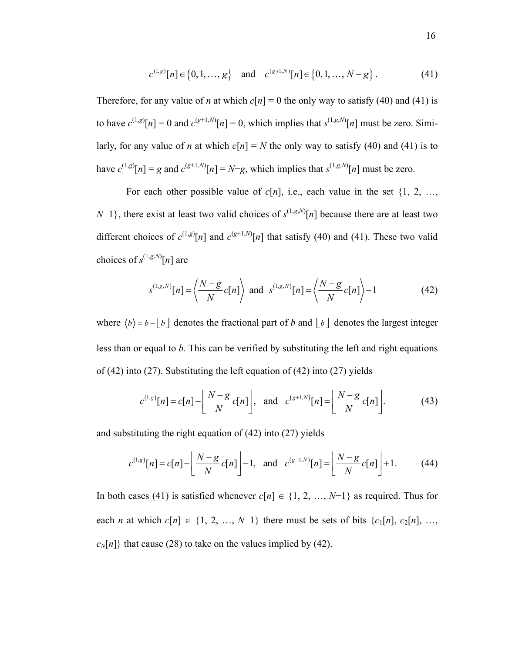$$
c^{(1,g)}[n] \in \{0, 1, ..., g\} \quad \text{and} \quad c^{(g+1,N)}[n] \in \{0, 1, ..., N-g\}.
$$
 (41)

Therefore, for any value of *n* at which  $c[n] = 0$  the only way to satisfy (40) and (41) is to have  $c^{(1,g)}[n] = 0$  and  $c^{(g+1,N)}[n] = 0$ , which implies that  $s^{(1,g,N)}[n]$  must be zero. Similarly, for any value of *n* at which  $c[n] = N$  the only way to satisfy (40) and (41) is to have  $c^{(1,g)}[n] = g$  and  $c^{(g+1,N)}[n] = N-g$ , which implies that  $s^{(1,g,N)}[n]$  must be zero.

For each other possible value of  $c[n]$ , i.e., each value in the set  $\{1, 2, ...,$ *N*−1}, there exist at least two valid choices of  $s^{(1,g,N)}[n]$  because there are at least two different choices of  $c^{(1,g)}[n]$  and  $c^{(g+1,N)}[n]$  that satisfy (40) and (41). These two valid choices of  $s^{(1,g,N)}[n]$  are

$$
s^{(1,g,N)}[n] = \left\langle \frac{N-g}{N} c[n] \right\rangle \text{ and } s^{(1,g,N)}[n] = \left\langle \frac{N-g}{N} c[n] \right\rangle - 1 \tag{42}
$$

where  $\langle b \rangle = b - \lfloor b \rfloor$  denotes the fractional part of *b* and  $\lfloor b \rfloor$  denotes the largest integer less than or equal to *b*. This can be verified by substituting the left and right equations of (42) into (27). Substituting the left equation of (42) into (27) yields

$$
c^{(1,g)}[n] = c[n] - \left\lfloor \frac{N-g}{N} c[n] \right\rfloor, \text{ and } c^{(g+1,N)}[n] = \left\lfloor \frac{N-g}{N} c[n] \right\rfloor. \tag{43}
$$

and substituting the right equation of (42) into (27) yields

$$
c^{(1,g)}[n] = c[n] - \left\lfloor \frac{N-g}{N}c[n] \right\rfloor - 1, \text{ and } c^{(g+1,N)}[n] = \left\lfloor \frac{N-g}{N}c[n] \right\rfloor + 1. \tag{44}
$$

In both cases (41) is satisfied whenever  $c[n] \in \{1, 2, ..., N-1\}$  as required. Thus for each *n* at which  $c[n] \in \{1, 2, ..., N-1\}$  there must be sets of bits  $\{c_1[n], c_2[n], ...,$  $c_N[n]$ } that cause (28) to take on the values implied by (42).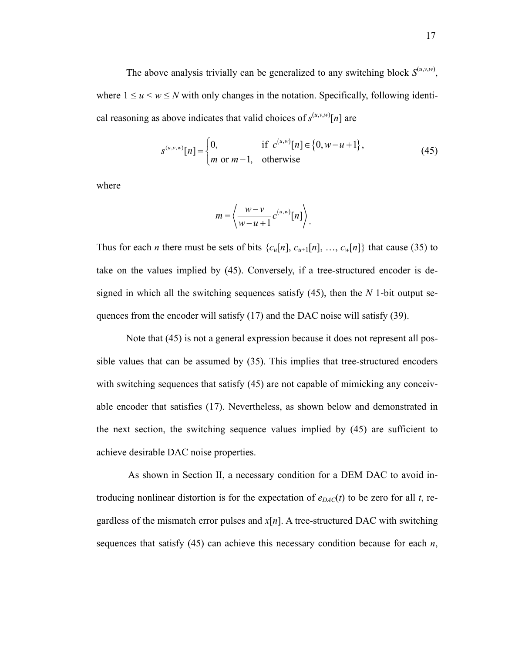The above analysis trivially can be generalized to any switching block  $S^{(u,v,w)}$ , where  $1 \le u \le w \le N$  with only changes in the notation. Specifically, following identical reasoning as above indicates that valid choices of  $s^{(u,v,w)}[n]$  are

$$
s^{(u,v,w)}[n] = \begin{cases} 0, & \text{if } c^{(u,w)}[n] \in \{0, w-u+1\}, \\ m \text{ or } m-1, & \text{otherwise} \end{cases}
$$
(45)

where

$$
m = \left\langle \frac{w - v}{w - u + 1} c^{(u, w)}[n] \right\rangle.
$$

Thus for each *n* there must be sets of bits  $\{c_u[n], c_{u+1}[n], ..., c_w[n]\}$  that cause (35) to take on the values implied by (45). Conversely, if a tree-structured encoder is designed in which all the switching sequences satisfy (45), then the *N* 1-bit output sequences from the encoder will satisfy (17) and the DAC noise will satisfy (39).

Note that (45) is not a general expression because it does not represent all possible values that can be assumed by (35). This implies that tree-structured encoders with switching sequences that satisfy  $(45)$  are not capable of mimicking any conceivable encoder that satisfies (17). Nevertheless, as shown below and demonstrated in the next section, the switching sequence values implied by (45) are sufficient to achieve desirable DAC noise properties.

 As shown in Section II, a necessary condition for a DEM DAC to avoid introducing nonlinear distortion is for the expectation of  $e_{DAC}(t)$  to be zero for all *t*, regardless of the mismatch error pulses and  $x[n]$ . A tree-structured DAC with switching sequences that satisfy (45) can achieve this necessary condition because for each *n*,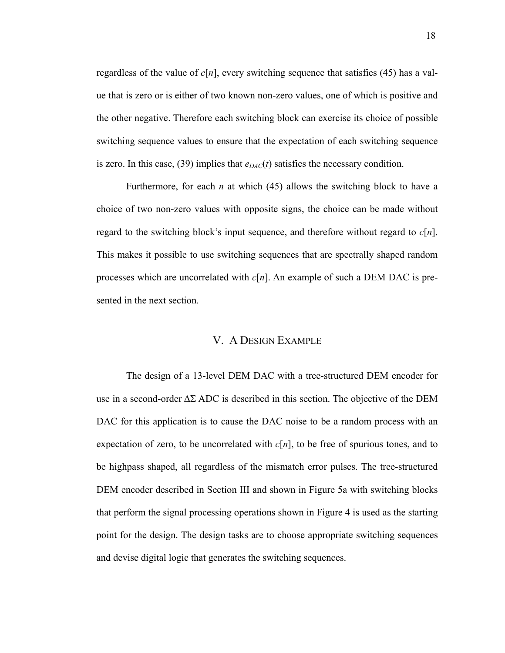regardless of the value of  $c[n]$ , every switching sequence that satisfies (45) has a value that is zero or is either of two known non-zero values, one of which is positive and the other negative. Therefore each switching block can exercise its choice of possible switching sequence values to ensure that the expectation of each switching sequence is zero. In this case, (39) implies that  $e_{DAC}(t)$  satisfies the necessary condition.

Furthermore, for each *n* at which (45) allows the switching block to have a choice of two non-zero values with opposite signs, the choice can be made without regard to the switching block's input sequence, and therefore without regard to *c*[*n*]. This makes it possible to use switching sequences that are spectrally shaped random processes which are uncorrelated with *c*[*n*]. An example of such a DEM DAC is presented in the next section.

#### V. A DESIGN EXAMPLE

The design of a 13-level DEM DAC with a tree-structured DEM encoder for use in a second-order  $\Delta\Sigma$  ADC is described in this section. The objective of the DEM DAC for this application is to cause the DAC noise to be a random process with an expectation of zero, to be uncorrelated with  $c[n]$ , to be free of spurious tones, and to be highpass shaped, all regardless of the mismatch error pulses. The tree-structured DEM encoder described in Section III and shown in Figure 5a with switching blocks that perform the signal processing operations shown in Figure 4 is used as the starting point for the design. The design tasks are to choose appropriate switching sequences and devise digital logic that generates the switching sequences.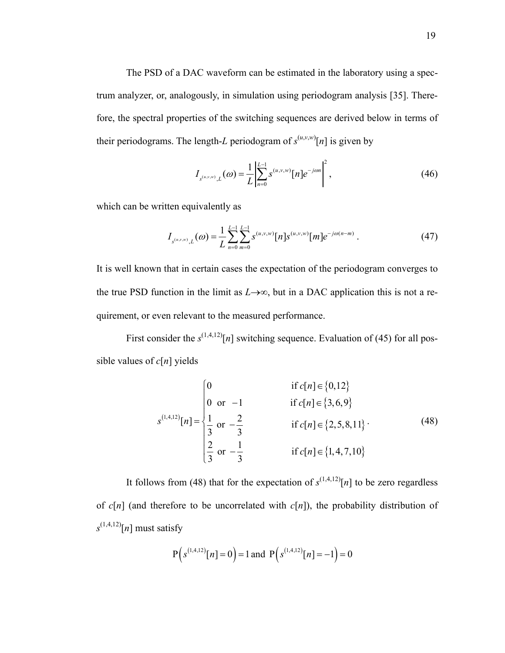The PSD of a DAC waveform can be estimated in the laboratory using a spectrum analyzer, or, analogously, in simulation using periodogram analysis [35]. Therefore, the spectral properties of the switching sequences are derived below in terms of their periodograms. The length-*L* periodogram of  $s^{(u,v,w)}[n]$  is given by

$$
I_{s^{(u,v,w)},L}(\omega) = \frac{1}{L} \left| \sum_{n=0}^{L-1} s^{(u,v,w)} [n] e^{-j\omega n} \right|^2, \tag{46}
$$

which can be written equivalently as

$$
I_{s^{(u,v,w)},L}(\omega) = \frac{1}{L} \sum_{n=0}^{L-1} \sum_{m=0}^{L-1} s^{(u,v,w)}[n] s^{(u,v,w)}[m] e^{-j\omega(n-m)}.
$$
 (47)

It is well known that in certain cases the expectation of the periodogram converges to the true PSD function in the limit as  $L\rightarrow\infty$ , but in a DAC application this is not a requirement, or even relevant to the measured performance.

First consider the  $s^{(1,4,12)}[n]$  switching sequence. Evaluation of (45) for all possible values of *c*[*n*] yields

$$
s^{(1,4,12)}[n] = \begin{cases} 0 & \text{if } c[n] \in \{0,12\} \\ 0 & \text{or } -1 \\ \frac{1}{3} & \text{or } -\frac{2}{3} \\ \frac{2}{3} & \text{or } -\frac{1}{3} \end{cases} \quad \text{if } c[n] \in \{2,5,8,11\}.
$$
 (48)

It follows from (48) that for the expectation of  $s^{(1,4,12)}[n]$  to be zero regardless of  $c[n]$  (and therefore to be uncorrelated with  $c[n]$ ), the probability distribution of  $s^{(1,4,12)}[n]$  must satisfy

$$
P(s^{(1,4,12)}[n]=0)=1
$$
 and  $P(s^{(1,4,12)}[n]=-1)=0$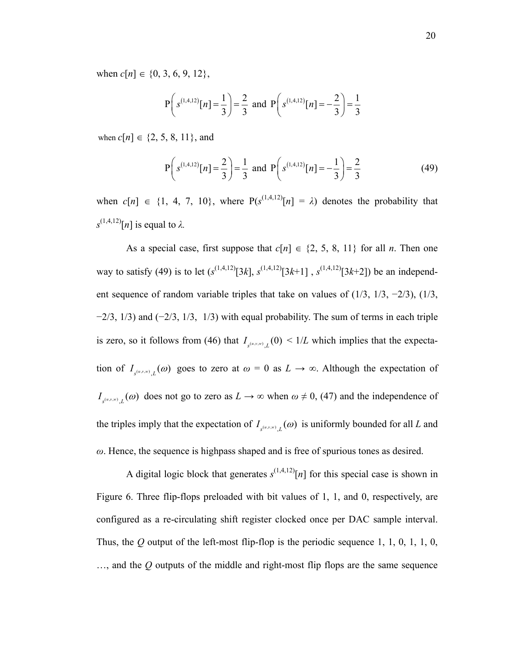when  $c[n] \in \{0, 3, 6, 9, 12\},\$ 

$$
P\left(s^{(1,4,12)}[n]=\frac{1}{3}\right)=\frac{2}{3}
$$
 and  $P\left(s^{(1,4,12)}[n]=-\frac{2}{3}\right)=\frac{1}{3}$ 

when  $c[n] \in \{2, 5, 8, 11\}$ , and

$$
P\left(s^{(1,4,12)}[n] = \frac{2}{3}\right) = \frac{1}{3} \text{ and } P\left(s^{(1,4,12)}[n] = -\frac{1}{3}\right) = \frac{2}{3}
$$
(49)

when  $c[n] \in \{1, 4, 7, 10\}$ , where  $P(s^{(1,4,12)}[n] = \lambda)$  denotes the probability that  $s^{(1,4,12)}[n]$  is equal to  $\lambda$ .

As a special case, first suppose that  $c[n] \in \{2, 5, 8, 11\}$  for all *n*. Then one way to satisfy (49) is to let  $(s^{(1,4,12)}[3k], s^{(1,4,12)}[3k+1]$ ,  $s^{(1,4,12)}[3k+2]$ ) be an independent sequence of random variable triples that take on values of (1/3, 1/3, −2/3), (1/3,  $-2/3$ , 1/3) and  $(-2/3, 1/3, 1/3)$  with equal probability. The sum of terms in each triple is zero, so it follows from (46) that  $I_{s^{(u,v,v)} \, L}(0) \leq 1/L$  which implies that the expectation of  $I_{s^{(u,v,w)}, L}(\omega)$  goes to zero at  $\omega = 0$  as  $L \to \infty$ . Although the expectation of  $I_{s^{(u,v,w)}, L}(\omega)$  does not go to zero as  $L \to \infty$  when  $\omega \neq 0$ , (47) and the independence of the triples imply that the expectation of  $I_{s^{(u,v,w)}$ ,  $L}(\omega)$  is uniformly bounded for all *L* and *ω*. Hence, the sequence is highpass shaped and is free of spurious tones as desired.

A digital logic block that generates  $s^{(1,4,12)}[n]$  for this special case is shown in Figure 6. Three flip-flops preloaded with bit values of 1, 1, and 0, respectively, are configured as a re-circulating shift register clocked once per DAC sample interval. Thus, the *Q* output of the left-most flip-flop is the periodic sequence 1, 1, 0, 1, 1, 0, …, and the *Q* outputs of the middle and right-most flip flops are the same sequence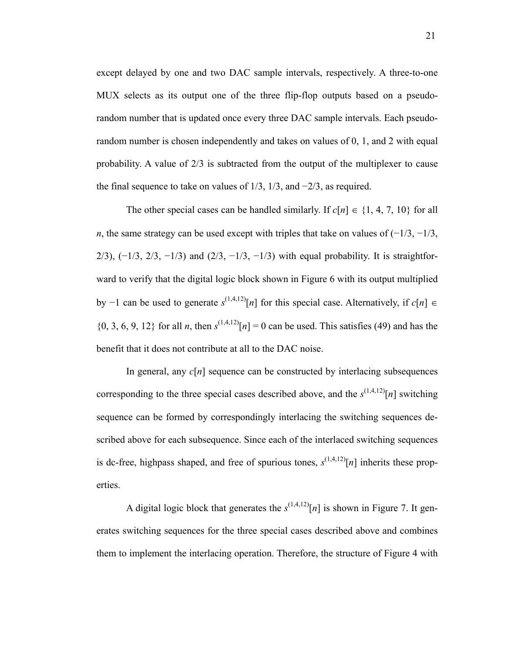except delayed by one and two DAC sample intervals, respectively. A three-to-one MUX selects as its output one of the three flip-flop outputs based on a pseudorandom number that is updated once every three DAC sample intervals. Each pseudorandom number is chosen independently and takes on values of 0, 1, and 2 with equal probability. A value of 2/3 is subtracted from the output of the multiplexer to cause the final sequence to take on values of  $1/3$ ,  $1/3$ , and  $-2/3$ , as required.

The other special cases can be handled similarly. If  $c[n] \in \{1, 4, 7, 10\}$  for all *n*, the same strategy can be used except with triples that take on values of  $(-1/3, -1/3,$ 2/3),  $(-1/3, 2/3, -1/3)$  and  $(2/3, -1/3, -1/3)$  with equal probability. It is straightforward to verify that the digital logic block shown in Figure 6 with its output multiplied by −1 can be used to generate *s* (1,4,12)[*n*] for this special case. Alternatively, if *c*[*n*] ∈  $\{0, 3, 6, 9, 12\}$  for all *n*, then  $s^{(1,4,12)}[n] = 0$  can be used. This satisfies (49) and has the benefit that it does not contribute at all to the DAC noise.

In general, any *c*[*n*] sequence can be constructed by interlacing subsequences corresponding to the three special cases described above, and the  $s^{(1,4,12)}[n]$  switching sequence can be formed by correspondingly interlacing the switching sequences described above for each subsequence. Since each of the interlaced switching sequences is dc-free, highpass shaped, and free of spurious tones,  $s^{(1,4,12)}[n]$  inherits these properties.

A digital logic block that generates the  $s^{(1,4,12)}[n]$  is shown in Figure 7. It generates switching sequences for the three special cases described above and combines them to implement the interlacing operation. Therefore, the structure of Figure 4 with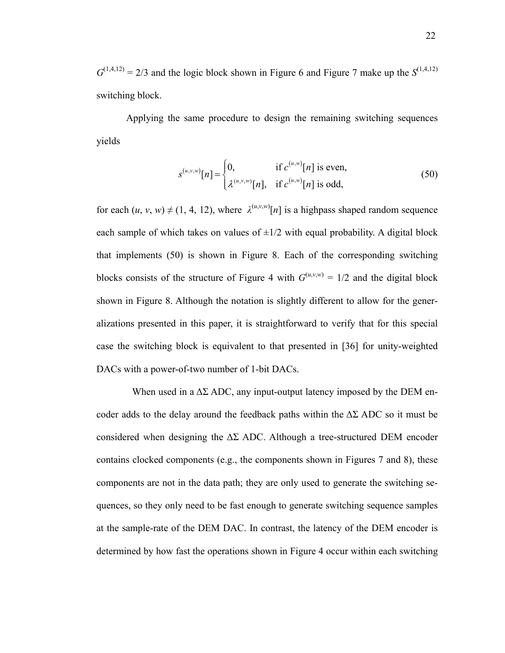$G^{(1,4,12)} = 2/3$  and the logic block shown in Figure 6 and Figure 7 make up the  $S^{(1,4,12)}$ switching block.

Applying the same procedure to design the remaining switching sequences yields

$$
s^{(u,v,w)}[n] = \begin{cases} 0, & \text{if } c^{(u,w)}[n] \text{ is even,} \\ \lambda^{(u,v,w)}[n], & \text{if } c^{(u,w)}[n] \text{ is odd,} \end{cases}
$$
(50)

for each  $(u, v, w) \neq (1, 4, 12)$ , where  $\lambda^{(u,v,w)}[n]$  is a highpass shaped random sequence each sample of which takes on values of  $\pm 1/2$  with equal probability. A digital block that implements (50) is shown in Figure 8. Each of the corresponding switching blocks consists of the structure of Figure 4 with  $G^{(u,v,w)} = 1/2$  and the digital block shown in Figure 8. Although the notation is slightly different to allow for the generalizations presented in this paper, it is straightforward to verify that for this special case the switching block is equivalent to that presented in [36] for unity-weighted DACs with a power-of-two number of 1-bit DACs.

When used in a  $\Delta\Sigma$  ADC, any input-output latency imposed by the DEM encoder adds to the delay around the feedback paths within the  $\Delta\Sigma$  ADC so it must be considered when designing the  $\Delta\Sigma$  ADC. Although a tree-structured DEM encoder contains clocked components (e.g., the components shown in Figures 7 and 8), these components are not in the data path; they are only used to generate the switching sequences, so they only need to be fast enough to generate switching sequence samples at the sample-rate of the DEM DAC. In contrast, the latency of the DEM encoder is determined by how fast the operations shown in Figure 4 occur within each switching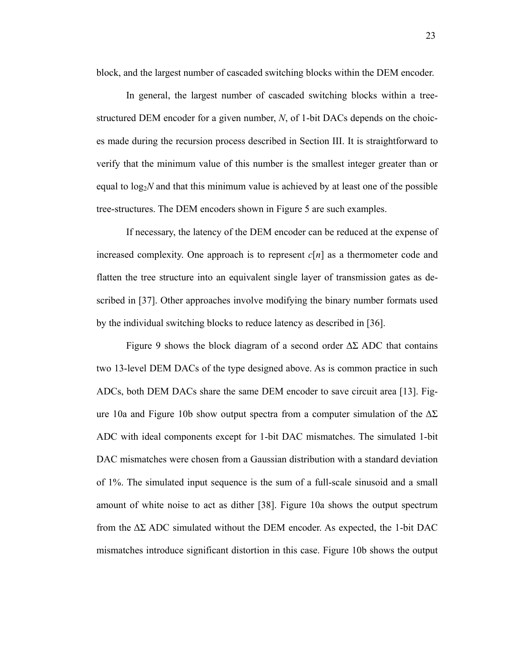block, and the largest number of cascaded switching blocks within the DEM encoder.

In general, the largest number of cascaded switching blocks within a treestructured DEM encoder for a given number, *N*, of 1-bit DACs depends on the choices made during the recursion process described in Section III. It is straightforward to verify that the minimum value of this number is the smallest integer greater than or equal to  $log_2N$  and that this minimum value is achieved by at least one of the possible tree-structures. The DEM encoders shown in Figure 5 are such examples.

If necessary, the latency of the DEM encoder can be reduced at the expense of increased complexity. One approach is to represent *c*[*n*] as a thermometer code and flatten the tree structure into an equivalent single layer of transmission gates as described in [37]. Other approaches involve modifying the binary number formats used by the individual switching blocks to reduce latency as described in [36].

Figure 9 shows the block diagram of a second order  $\Delta\Sigma$  ADC that contains two 13-level DEM DACs of the type designed above. As is common practice in such ADCs, both DEM DACs share the same DEM encoder to save circuit area [13]. Figure 10a and Figure 10b show output spectra from a computer simulation of the  $\Delta\Sigma$ ADC with ideal components except for 1-bit DAC mismatches. The simulated 1-bit DAC mismatches were chosen from a Gaussian distribution with a standard deviation of 1%. The simulated input sequence is the sum of a full-scale sinusoid and a small amount of white noise to act as dither [38]. Figure 10a shows the output spectrum from the  $\Delta\Sigma$  ADC simulated without the DEM encoder. As expected, the 1-bit DAC mismatches introduce significant distortion in this case. Figure 10b shows the output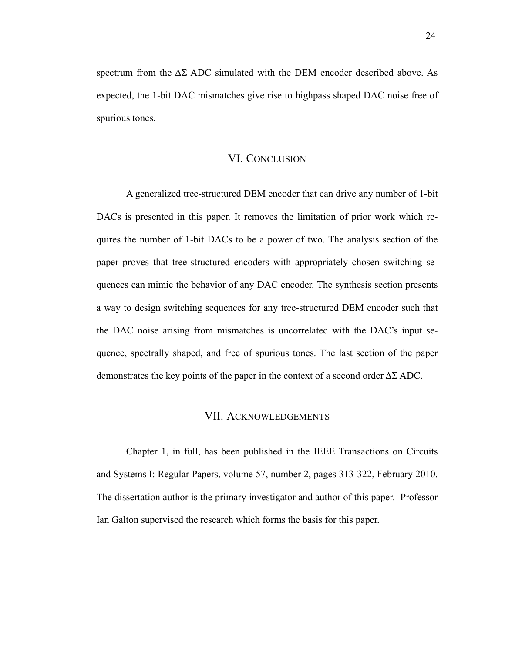spectrum from the  $\Delta\Sigma$  ADC simulated with the DEM encoder described above. As expected, the 1-bit DAC mismatches give rise to highpass shaped DAC noise free of spurious tones.

#### VI. CONCLUSION

A generalized tree-structured DEM encoder that can drive any number of 1-bit DACs is presented in this paper. It removes the limitation of prior work which requires the number of 1-bit DACs to be a power of two. The analysis section of the paper proves that tree-structured encoders with appropriately chosen switching sequences can mimic the behavior of any DAC encoder. The synthesis section presents a way to design switching sequences for any tree-structured DEM encoder such that the DAC noise arising from mismatches is uncorrelated with the DAC's input sequence, spectrally shaped, and free of spurious tones. The last section of the paper demonstrates the key points of the paper in the context of a second order  $\Delta\Sigma$  ADC.

#### VII. ACKNOWLEDGEMENTS

Chapter 1, in full, has been published in the IEEE Transactions on Circuits and Systems I: Regular Papers, volume 57, number 2, pages 313-322, February 2010. The dissertation author is the primary investigator and author of this paper. Professor Ian Galton supervised the research which forms the basis for this paper.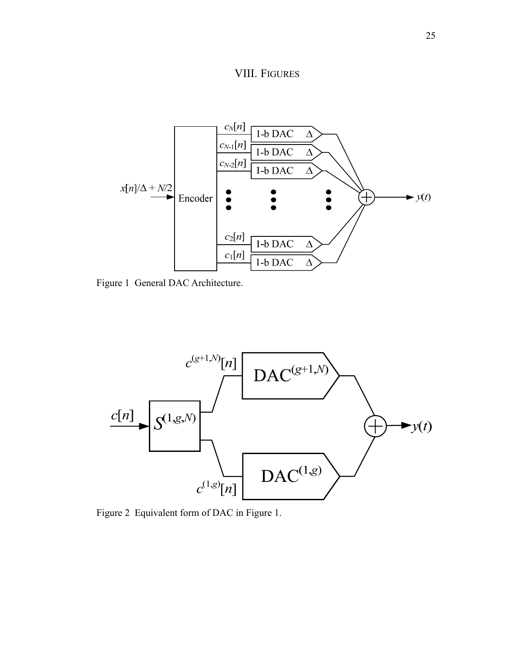



Figure 1 General DAC Architecture.



Figure 2 Equivalent form of DAC in Figure 1.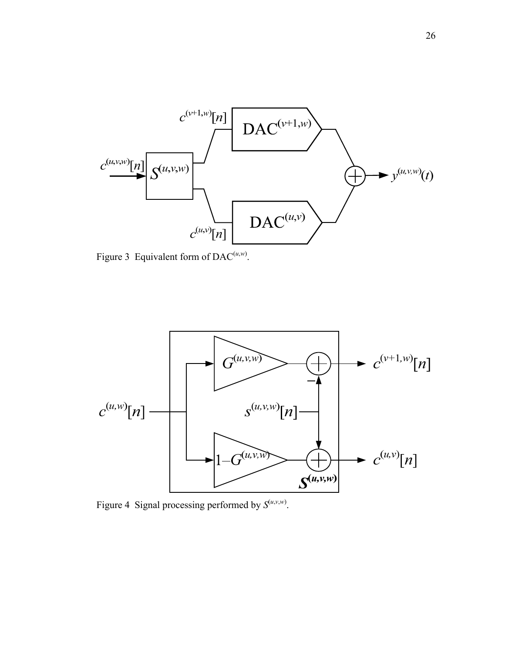

Figure 3 Equivalent form of DAC<sup> $(u,w)$ </sup>.



Figure 4 Signal processing performed by  $S^{(u,v,w)}$ .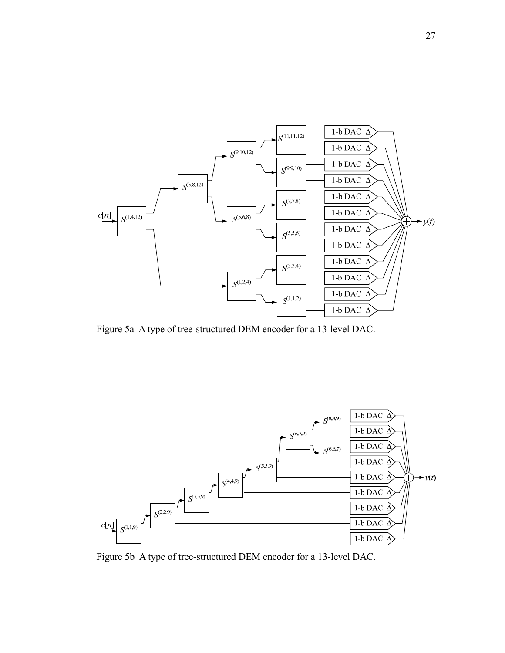

Figure 5a A type of tree-structured DEM encoder for a 13-level DAC.



Figure 5b A type of tree-structured DEM encoder for a 13-level DAC.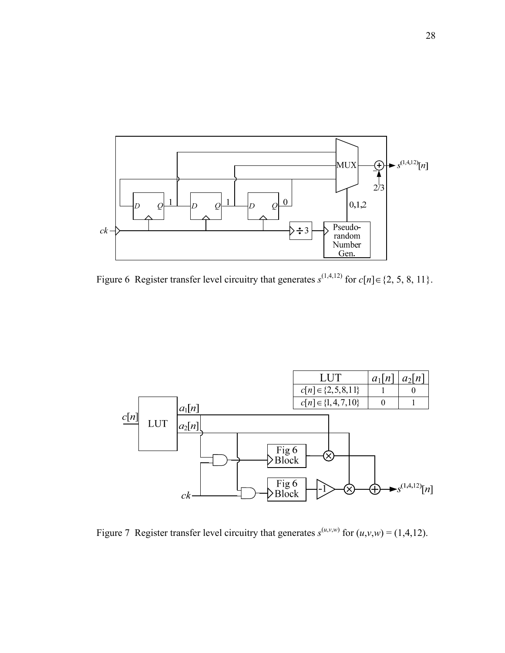

Figure 6 Register transfer level circuitry that generates  $s^{(1,4,12)}$  for  $c[n] \in \{2, 5, 8, 11\}$ .



Figure 7 Register transfer level circuitry that generates  $s^{(u,v,w)}$  for  $(u,v,w) = (1,4,12)$ .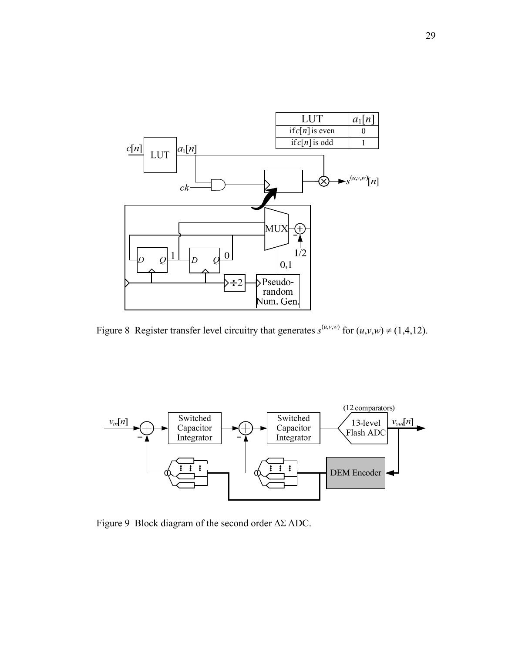

Figure 8 Register transfer level circuitry that generates  $s^{(u,v,w)}$  for  $(u,v,w) \neq (1,4,12)$ .



Figure 9 Block diagram of the second order ΔΣ ADC.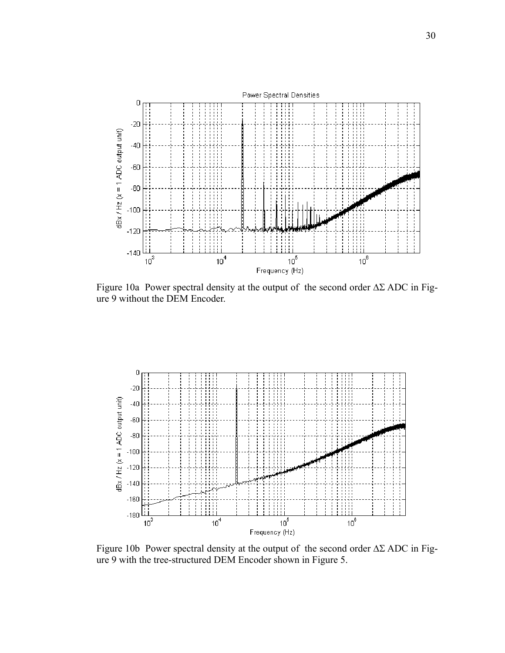

Figure 10a Power spectral density at the output of the second order  $\Delta\Sigma$  ADC in Figure 9 without the DEM Encoder.



Figure 10b Power spectral density at the output of the second order  $\Delta\Sigma$  ADC in Figure 9 with the tree-structured DEM Encoder shown in Figure 5.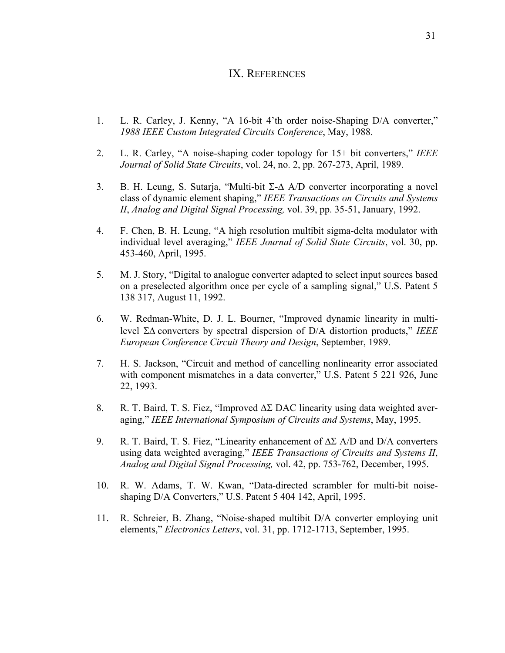## IX. REFERENCES

- 1. L. R. Carley, J. Kenny, "A 16-bit 4'th order noise-Shaping D/A converter," *1988 IEEE Custom Integrated Circuits Conference*, May, 1988.
- 2. L. R. Carley, "A noise-shaping coder topology for 15+ bit converters," *IEEE Journal of Solid State Circuits*, vol. 24, no. 2, pp. 267-273, April, 1989.
- 3. B. H. Leung, S. Sutarja, "Multi-bit Σ-Δ A/D converter incorporating a novel class of dynamic element shaping," *IEEE Transactions on Circuits and Systems II*, *Analog and Digital Signal Processing,* vol. 39, pp. 35-51, January, 1992.
- 4. F. Chen, B. H. Leung, "A high resolution multibit sigma-delta modulator with individual level averaging," *IEEE Journal of Solid State Circuits*, vol. 30, pp. 453-460, April, 1995.
- 5. M. J. Story, "Digital to analogue converter adapted to select input sources based on a preselected algorithm once per cycle of a sampling signal," U.S. Patent 5 138 317, August 11, 1992.
- 6. W. Redman-White, D. J. L. Bourner, "Improved dynamic linearity in multilevel ΣΔ converters by spectral dispersion of D/A distortion products," *IEEE European Conference Circuit Theory and Design*, September, 1989.
- 7. H. S. Jackson, "Circuit and method of cancelling nonlinearity error associated with component mismatches in a data converter," U.S. Patent 5 221 926, June 22, 1993.
- 8. R. T. Baird, T. S. Fiez, "Improved ΔΣ DAC linearity using data weighted averaging," *IEEE International Symp*o*sium of Circuits and Systems*, May, 1995.
- 9. R. T. Baird, T. S. Fiez, "Linearity enhancement of  $\Delta\Sigma$  A/D and D/A converters using data weighted averaging," *IEEE Transactions of Circuits and Systems II*, *Analog and Digital Signal Processing,* vol. 42, pp. 753-762, December, 1995.
- 10. R. W. Adams, T. W. Kwan, "Data-directed scrambler for multi-bit noiseshaping D/A Converters," U.S. Patent 5 404 142, April, 1995.
- 11. R. Schreier, B. Zhang, "Noise-shaped multibit D/A converter employing unit elements," *Electronics Letters*, vol. 31, pp. 1712-1713, September, 1995.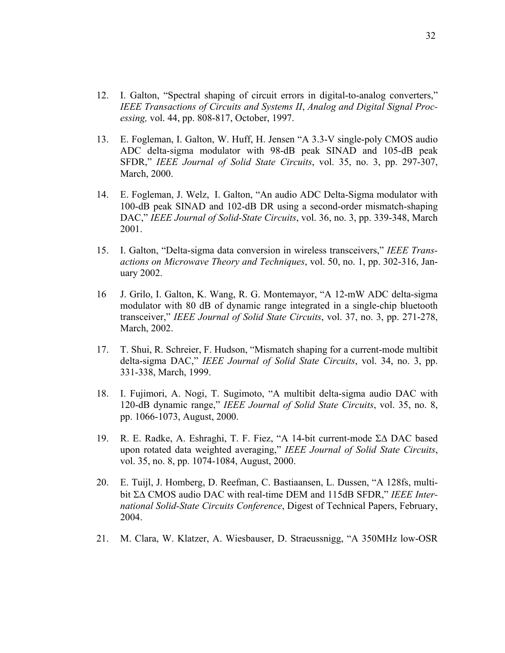- 12. I. Galton, "Spectral shaping of circuit errors in digital-to-analog converters," *IEEE Transactions of Circuits and Systems II*, *Analog and Digital Signal Processing,* vol. 44, pp. 808-817, October, 1997.
- 13. E. Fogleman, I. Galton, W. Huff, H. Jensen "A 3.3-V single-poly CMOS audio ADC delta-sigma modulator with 98-dB peak SINAD and 105-dB peak SFDR," *IEEE Journal of Solid State Circuits*, vol. 35, no. 3, pp. 297-307, March, 2000.
- 14. E. Fogleman, J. Welz, I. Galton, "An audio ADC Delta-Sigma modulator with 100-dB peak SINAD and 102-dB DR using a second-order mismatch-shaping DAC," *IEEE Journal of Solid-State Circuits*, vol. 36, no. 3, pp. 339-348, March 2001.
- 15. I. Galton, "Delta-sigma data conversion in wireless transceivers," *IEEE Transactions on Microwave Theory and Techniques*, vol. 50, no. 1, pp. 302-316, January 2002.
- 16 J. Grilo, I. Galton, K. Wang, R. G. Montemayor, "A 12-mW ADC delta-sigma modulator with 80 dB of dynamic range integrated in a single-chip bluetooth transceiver," *IEEE Journal of Solid State Circuits*, vol. 37, no. 3, pp. 271-278, March, 2002.
- 17. T. Shui, R. Schreier, F. Hudson, "Mismatch shaping for a current-mode multibit delta-sigma DAC," *IEEE Journal of Solid State Circuits*, vol. 34, no. 3, pp. 331-338, March, 1999.
- 18. I. Fujimori, A. Nogi, T. Sugimoto, "A multibit delta-sigma audio DAC with 120-dB dynamic range," *IEEE Journal of Solid State Circuits*, vol. 35, no. 8, pp. 1066-1073, August, 2000.
- 19. R. E. Radke, A. Eshraghi, T. F. Fiez, "A 14-bit current-mode ΣΔ DAC based upon rotated data weighted averaging," *IEEE Journal of Solid State Circuits*, vol. 35, no. 8, pp. 1074-1084, August, 2000.
- 20. E. Tuijl, J. Homberg, D. Reefman, C. Bastiaansen, L. Dussen, "A 128fs, multibit ΣΔ CMOS audio DAC with real-time DEM and 115dB SFDR," *IEEE International Solid-State Circuits Conference*, Digest of Technical Papers, February, 2004.
- 21. M. Clara, W. Klatzer, A. Wiesbauser, D. Straeussnigg, "A 350MHz low-OSR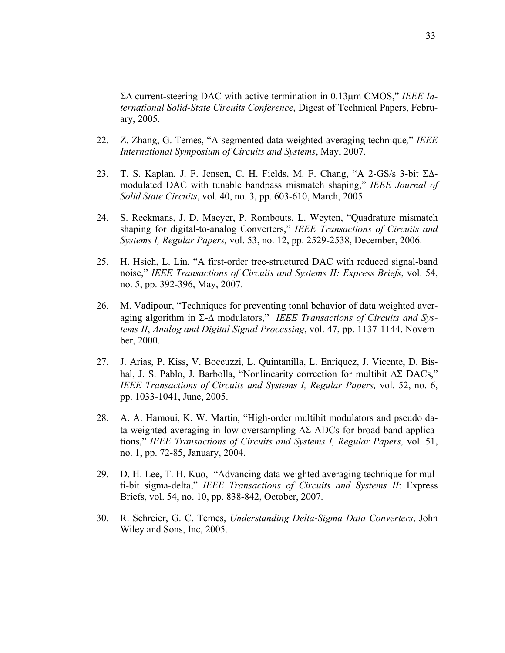ΣΔ current-steering DAC with active termination in 0.13μm CMOS," *IEEE International Solid-State Circuits Conference*, Digest of Technical Papers, February, 2005.

- 22. Z. Zhang, G. Temes, "A segmented data-weighted-averaging technique*,*" *IEEE International Symp*o*sium of Circuits and Systems*, May, 2007.
- 23. T. S. Kaplan, J. F. Jensen, C. H. Fields, M. F. Chang, "A 2-GS/s 3-bit ΣΔmodulated DAC with tunable bandpass mismatch shaping," *IEEE Journal of Solid State Circuits*, vol. 40, no. 3, pp. 603-610, March, 2005.
- 24. S. Reekmans, J. D. Maeyer, P. Rombouts, L. Weyten, "Quadrature mismatch shaping for digital-to-analog Converters," *IEEE Transactions of Circuits and Systems I, Regular Papers,* vol. 53, no. 12, pp. 2529-2538, December, 2006.
- 25. H. Hsieh, L. Lin, "A first-order tree-structured DAC with reduced signal-band noise," *IEEE Transactions of Circuits and Systems II: Express Briefs*, vol. 54, no. 5, pp. 392-396, May, 2007.
- 26. M. Vadipour, "Techniques for preventing tonal behavior of data weighted averaging algorithm in Σ-Δ modulators," *IEEE Transactions of Circuits and Systems II*, *Analog and Digital Signal Processing*, vol. 47, pp. 1137-1144, November, 2000.
- 27. J. Arias, P. Kiss, V. Boccuzzi, L. Quintanilla, L. Enriquez, J. Vicente, D. Bishal, J. S. Pablo, J. Barbolla, "Nonlinearity correction for multibit ΔΣ DACs," *IEEE Transactions of Circuits and Systems I, Regular Papers,* vol. 52, no. 6, pp. 1033-1041, June, 2005.
- 28. A. A. Hamoui, K. W. Martin, "High-order multibit modulators and pseudo data-weighted-averaging in low-oversampling  $\Delta\Sigma$  ADCs for broad-band applications," *IEEE Transactions of Circuits and Systems I, Regular Papers,* vol. 51, no. 1, pp. 72-85, January, 2004.
- 29. D. H. Lee, T. H. Kuo, "Advancing data weighted averaging technique for multi-bit sigma-delta," *IEEE Transactions of Circuits and Systems II*: Express Briefs, vol. 54, no. 10, pp. 838-842, October, 2007.
- 30. R. Schreier, G. C. Temes, *Understanding Delta-Sigma Data Converters*, John Wiley and Sons, Inc, 2005.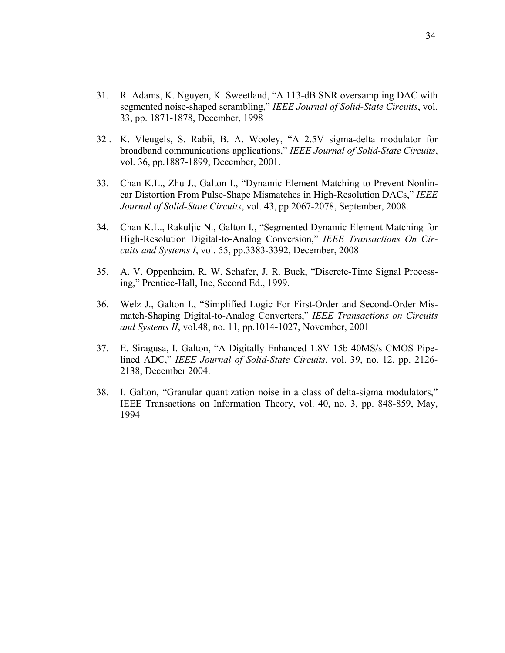- 31. R. Adams, K. Nguyen, K. Sweetland, "A 113-dB SNR oversampling DAC with segmented noise-shaped scrambling," *IEEE Journal of Solid-State Circuits*, vol. 33, pp. 1871-1878, December, 1998
- 32 . K. Vleugels, S. Rabii, B. A. Wooley, "A 2.5V sigma-delta modulator for broadband communications applications," *IEEE Journal of Solid-State Circuits*, vol. 36, pp.1887-1899, December, 2001.
- 33. Chan K.L., Zhu J., Galton I., "Dynamic Element Matching to Prevent Nonlinear Distortion From Pulse-Shape Mismatches in High-Resolution DACs," *IEEE Journal of Solid-State Circuits*, vol. 43, pp.2067-2078, September, 2008.
- 34. Chan K.L., Rakuljic N., Galton I., "Segmented Dynamic Element Matching for High-Resolution Digital-to-Analog Conversion," *IEEE Transactions On Circuits and Systems I*, vol. 55, pp.3383-3392, December, 2008
- 35. A. V. Oppenheim, R. W. Schafer, J. R. Buck, "Discrete-Time Signal Processing," Prentice-Hall, Inc, Second Ed., 1999.
- 36. Welz J., Galton I., "Simplified Logic For First-Order and Second-Order Mismatch-Shaping Digital-to-Analog Converters," *IEEE Transactions on Circuits and Systems II*, vol.48, no. 11, pp.1014-1027, November, 2001
- 37. E. Siragusa, I. Galton, "A Digitally Enhanced 1.8V 15b 40MS/s CMOS Pipelined ADC," *IEEE Journal of Solid-State Circuits*, vol. 39, no. 12, pp. 2126- 2138, December 2004.
- 38. I. Galton, "Granular quantization noise in a class of delta-sigma modulators," IEEE Transactions on Information Theory, vol. 40, no. 3, pp. 848-859, May, 1994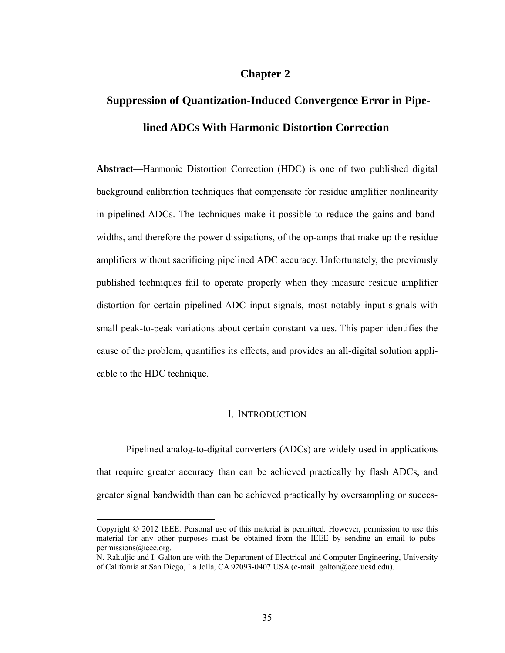# **Chapter 2**

# **Suppression of Quantization-Induced Convergence Error in Pipelined ADCs With Harmonic Distortion Correction**

**Abstract**—Harmonic Distortion Correction (HDC) is one of two published digital background calibration techniques that compensate for residue amplifier nonlinearity in pipelined ADCs. The techniques make it possible to reduce the gains and bandwidths, and therefore the power dissipations, of the op-amps that make up the residue amplifiers without sacrificing pipelined ADC accuracy. Unfortunately, the previously published techniques fail to operate properly when they measure residue amplifier distortion for certain pipelined ADC input signals, most notably input signals with small peak-to-peak variations about certain constant values. This paper identifies the cause of the problem, quantifies its effects, and provides an all-digital solution applicable to the HDC technique.

### I. INTRODUCTION

Pipelined analog-to-digital converters (ADCs) are widely used in applications that require greater accuracy than can be achieved practically by flash ADCs, and greater signal bandwidth than can be achieved practically by oversampling or succes-

1

Copyright © 2012 IEEE. Personal use of this material is permitted. However, permission to use this material for any other purposes must be obtained from the IEEE by sending an email to pubspermissions@ieee.org.

N. Rakuljic and I. Galton are with the Department of Electrical and Computer Engineering, University of California at San Diego, La Jolla, CA 92093-0407 USA (e-mail: galton@ece.ucsd.edu).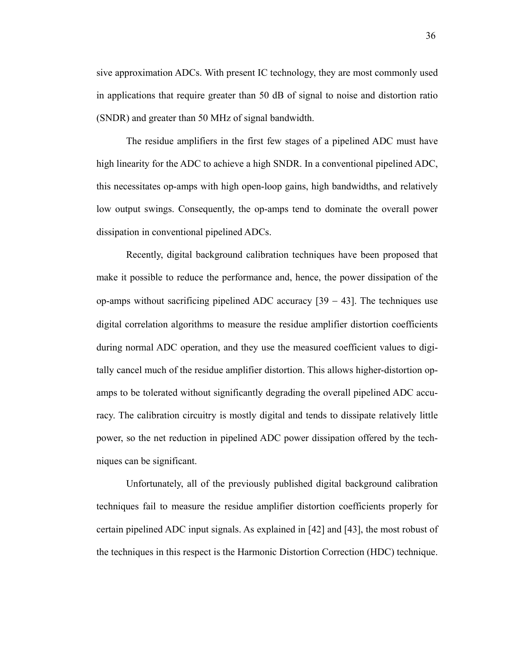sive approximation ADCs. With present IC technology, they are most commonly used in applications that require greater than 50 dB of signal to noise and distortion ratio (SNDR) and greater than 50 MHz of signal bandwidth.

The residue amplifiers in the first few stages of a pipelined ADC must have high linearity for the ADC to achieve a high SNDR. In a conventional pipelined ADC, this necessitates op-amps with high open-loop gains, high bandwidths, and relatively low output swings. Consequently, the op-amps tend to dominate the overall power dissipation in conventional pipelined ADCs.

Recently, digital background calibration techniques have been proposed that make it possible to reduce the performance and, hence, the power dissipation of the op-amps without sacrificing pipelined ADC accuracy [39 − 43]. The techniques use digital correlation algorithms to measure the residue amplifier distortion coefficients during normal ADC operation, and they use the measured coefficient values to digitally cancel much of the residue amplifier distortion. This allows higher-distortion opamps to be tolerated without significantly degrading the overall pipelined ADC accuracy. The calibration circuitry is mostly digital and tends to dissipate relatively little power, so the net reduction in pipelined ADC power dissipation offered by the techniques can be significant.

Unfortunately, all of the previously published digital background calibration techniques fail to measure the residue amplifier distortion coefficients properly for certain pipelined ADC input signals. As explained in [42] and [43], the most robust of the techniques in this respect is the Harmonic Distortion Correction (HDC) technique.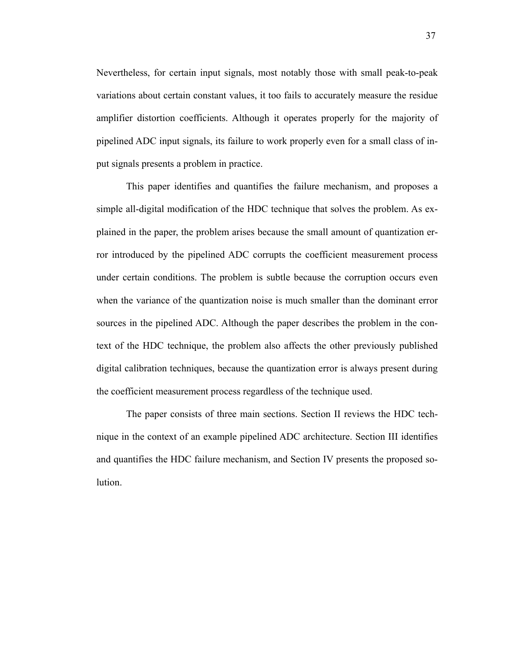Nevertheless, for certain input signals, most notably those with small peak-to-peak variations about certain constant values, it too fails to accurately measure the residue amplifier distortion coefficients. Although it operates properly for the majority of pipelined ADC input signals, its failure to work properly even for a small class of input signals presents a problem in practice.

This paper identifies and quantifies the failure mechanism, and proposes a simple all-digital modification of the HDC technique that solves the problem. As explained in the paper, the problem arises because the small amount of quantization error introduced by the pipelined ADC corrupts the coefficient measurement process under certain conditions. The problem is subtle because the corruption occurs even when the variance of the quantization noise is much smaller than the dominant error sources in the pipelined ADC. Although the paper describes the problem in the context of the HDC technique, the problem also affects the other previously published digital calibration techniques, because the quantization error is always present during the coefficient measurement process regardless of the technique used.

The paper consists of three main sections. Section II reviews the HDC technique in the context of an example pipelined ADC architecture. Section III identifies and quantifies the HDC failure mechanism, and Section IV presents the proposed solution.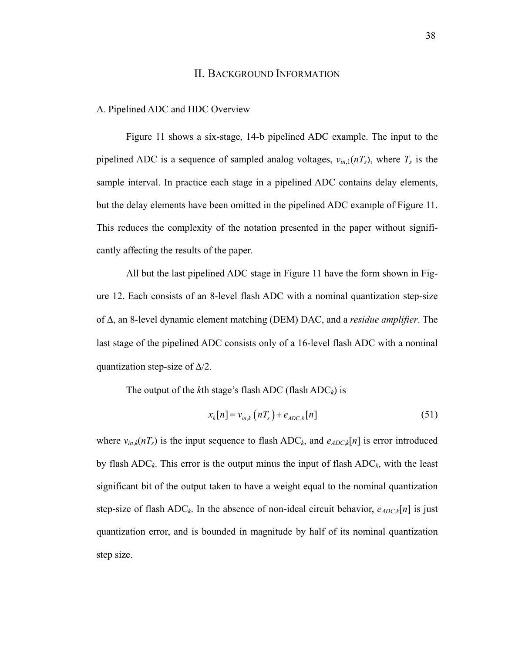#### II. BACKGROUND INFORMATION

#### A. Pipelined ADC and HDC Overview

Figure 11 shows a six-stage, 14-b pipelined ADC example. The input to the pipelined ADC is a sequence of sampled analog voltages,  $v_{in,1}(nT_s)$ , where  $T_s$  is the sample interval. In practice each stage in a pipelined ADC contains delay elements, but the delay elements have been omitted in the pipelined ADC example of Figure 11. This reduces the complexity of the notation presented in the paper without significantly affecting the results of the paper.

All but the last pipelined ADC stage in Figure 11 have the form shown in Figure 12. Each consists of an 8-level flash ADC with a nominal quantization step-size of Δ, an 8-level dynamic element matching (DEM) DAC, and a *residue amplifier*. The last stage of the pipelined ADC consists only of a 16-level flash ADC with a nominal quantization step-size of  $\Delta/2$ .

The output of the  $k$ th stage's flash ADC (flash  $ADC_k$ ) is

$$
x_k[n] = v_{in,k}(nT_s) + e_{ADC,k}[n] \tag{51}
$$

where  $v_{in,k}(nT_s)$  is the input sequence to flash ADC<sub>k</sub>, and  $e_{ADC,k}[n]$  is error introduced by flash  $ADC_k$ . This error is the output minus the input of flash  $ADC_k$ , with the least significant bit of the output taken to have a weight equal to the nominal quantization step-size of flash  $ADC_k$ . In the absence of non-ideal circuit behavior,  $e_{ADC,k}[n]$  is just quantization error, and is bounded in magnitude by half of its nominal quantization step size.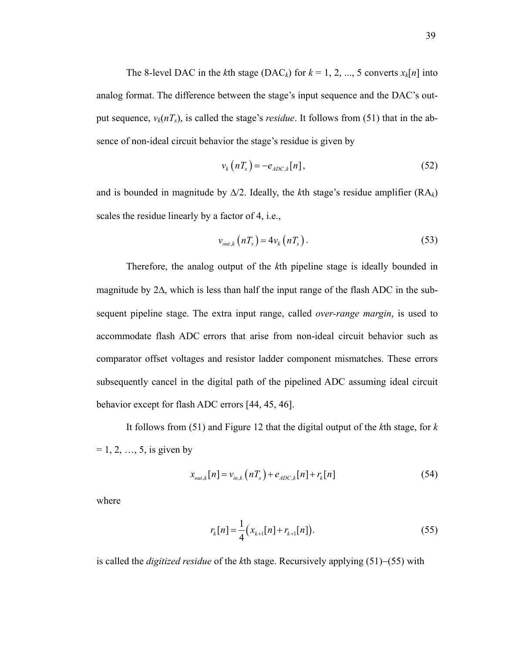The 8-level DAC in the *k*th stage (DAC<sub>k</sub>) for  $k = 1, 2, ..., 5$  converts  $x_k[n]$  into analog format. The difference between the stage's input sequence and the DAC's output sequence,  $v_k(nT_s)$ , is called the stage's *residue*. It follows from (51) that in the absence of non-ideal circuit behavior the stage's residue is given by

$$
v_k\left(nT_s\right) = -e_{ADC,k}[n],\tag{52}
$$

and is bounded in magnitude by  $\Delta/2$ . Ideally, the *k*th stage's residue amplifier (RA<sub>k</sub>) scales the residue linearly by a factor of 4, i.e.,

$$
v_{out,k}(nT_s) = 4v_k(nT_s). \tag{53}
$$

Therefore, the analog output of the *k*th pipeline stage is ideally bounded in magnitude by 2Δ, which is less than half the input range of the flash ADC in the subsequent pipeline stage. The extra input range, called *over-range margin*, is used to accommodate flash ADC errors that arise from non-ideal circuit behavior such as comparator offset voltages and resistor ladder component mismatches. These errors subsequently cancel in the digital path of the pipelined ADC assuming ideal circuit behavior except for flash ADC errors [44, 45, 46].

It follows from (51) and Figure 12 that the digital output of the *k*th stage, for *k*  $= 1, 2, ..., 5$ , is given by

$$
x_{out,k}[n] = v_{in,k}(nT_s) + e_{ADC,k}[n] + r_k[n]
$$
\n(54)

where

$$
r_{k}[n] = \frac{1}{4} (x_{k+1}[n] + r_{k+1}[n]).
$$
\n(55)

is called the *digitized residue* of the *k*th stage. Recursively applying (51)−(55) with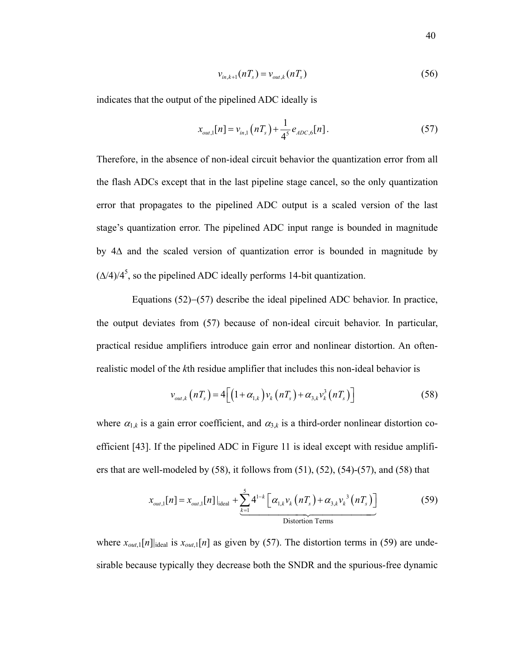$$
v_{in,k+1}(nT_s) = v_{out,k}(nT_s)
$$
\n(56)

indicates that the output of the pipelined ADC ideally is

$$
x_{out,1}[n] = v_{in,1}(nT_s) + \frac{1}{4^5} e_{ADC,6}[n].
$$
\n(57)

Therefore, in the absence of non-ideal circuit behavior the quantization error from all the flash ADCs except that in the last pipeline stage cancel, so the only quantization error that propagates to the pipelined ADC output is a scaled version of the last stage's quantization error. The pipelined ADC input range is bounded in magnitude by 4Δ and the scaled version of quantization error is bounded in magnitude by  $(\Delta/4)/4^5$ , so the pipelined ADC ideally performs 14-bit quantization.

 Equations (52)−(57) describe the ideal pipelined ADC behavior. In practice, the output deviates from (57) because of non-ideal circuit behavior. In particular, practical residue amplifiers introduce gain error and nonlinear distortion. An oftenrealistic model of the *k*th residue amplifier that includes this non-ideal behavior is

$$
\nu_{out,k}\left(nT_s\right) = 4\left[\left(1+\alpha_{1,k}\right)\nu_k\left(nT_s\right)+\alpha_{3,k}\nu_k^3\left(nT_s\right)\right]
$$
\n(58)

where  $\alpha_{1,k}$  is a gain error coefficient, and  $\alpha_{3,k}$  is a third-order nonlinear distortion coefficient [43]. If the pipelined ADC in Figure 11 is ideal except with residue amplifiers that are well-modeled by  $(58)$ , it follows from  $(51)$ ,  $(52)$ ,  $(54)$ - $(57)$ , and  $(58)$  that

$$
x_{out,1}[n] = x_{out,1}[n]|_{\text{ideal}} + \underbrace{\sum_{k=1}^{5} 4^{1-k} \left[ \alpha_{1,k} v_k \left( n T_s \right) + \alpha_{3,k} v_k^3 \left( n T_s \right) \right]}_{\text{Distortion Terms}}
$$
(59)

where  $x_{out,1}[n]$ <sub>ideal</sub> is  $x_{out,1}[n]$  as given by (57). The distortion terms in (59) are undesirable because typically they decrease both the SNDR and the spurious-free dynamic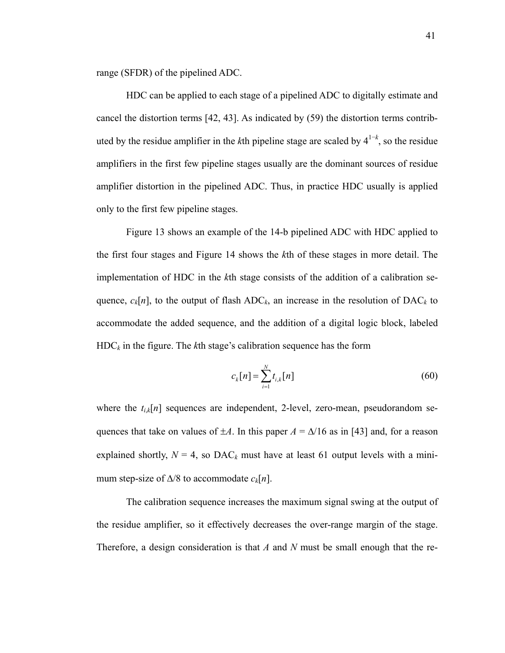range (SFDR) of the pipelined ADC.

HDC can be applied to each stage of a pipelined ADC to digitally estimate and cancel the distortion terms [42, 43]. As indicated by (59) the distortion terms contributed by the residue amplifier in the *k*th pipeline stage are scaled by 41−*<sup>k</sup>* , so the residue amplifiers in the first few pipeline stages usually are the dominant sources of residue amplifier distortion in the pipelined ADC. Thus, in practice HDC usually is applied only to the first few pipeline stages.

Figure 13 shows an example of the 14-b pipelined ADC with HDC applied to the first four stages and Figure 14 shows the *k*th of these stages in more detail. The implementation of HDC in the *k*th stage consists of the addition of a calibration sequence,  $c_k[n]$ , to the output of flash  $ADC_k$ , an increase in the resolution of  $DAC_k$  to accommodate the added sequence, and the addition of a digital logic block, labeled HDC*k* in the figure. The *k*th stage's calibration sequence has the form

$$
c_k[n] = \sum_{i=1}^{N} t_{i,k}[n] \tag{60}
$$

where the  $t_{i,k}[n]$  sequences are independent, 2-level, zero-mean, pseudorandom sequences that take on values of  $\pm A$ . In this paper  $A = \Delta/16$  as in [43] and, for a reason explained shortly,  $N = 4$ , so DAC<sub>k</sub> must have at least 61 output levels with a minimum step-size of  $\Delta/8$  to accommodate  $c_k[n]$ .

The calibration sequence increases the maximum signal swing at the output of the residue amplifier, so it effectively decreases the over-range margin of the stage. Therefore, a design consideration is that *A* and *N* must be small enough that the re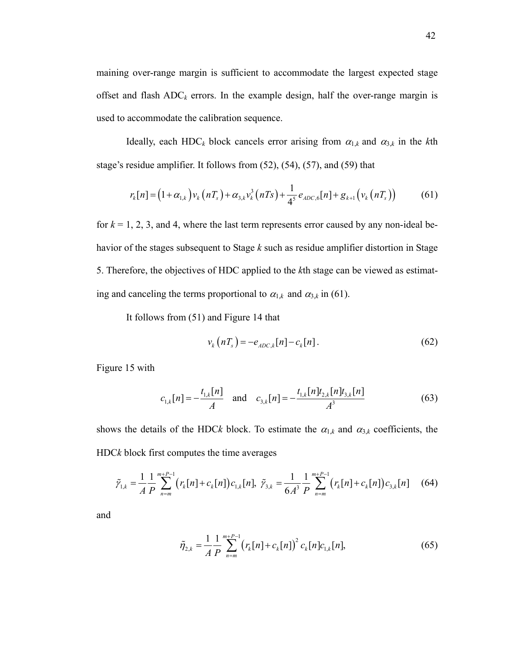maining over-range margin is sufficient to accommodate the largest expected stage offset and flash  $ADC_k$  errors. In the example design, half the over-range margin is used to accommodate the calibration sequence.

Ideally, each HDC<sub>k</sub> block cancels error arising from  $\alpha_{1,k}$  and  $\alpha_{3,k}$  in the *k*th stage's residue amplifier. It follows from (52), (54), (57), and (59) that

$$
r_{k}[n] = (1 + \alpha_{1,k})v_{k}(nT_{s}) + \alpha_{3,k}v_{k}^{3}(nTs) + \frac{1}{4^{5}}e_{ADC,6}[n] + g_{k+1}(v_{k}(nT_{s})) \tag{61}
$$

for  $k = 1, 2, 3$ , and 4, where the last term represents error caused by any non-ideal behavior of the stages subsequent to Stage *k* such as residue amplifier distortion in Stage 5. Therefore, the objectives of HDC applied to the *k*th stage can be viewed as estimating and canceling the terms proportional to  $\alpha_{1,k}$  and  $\alpha_{3,k}$  in (61).

It follows from (51) and Figure 14 that

$$
v_k\left(nT_s\right) = -e_{ADC,k}[n] - c_k[n].\tag{62}
$$

Figure 15 with

$$
c_{1,k}[n] = -\frac{t_{1,k}[n]}{A} \quad \text{and} \quad c_{3,k}[n] = -\frac{t_{1,k}[n]t_{2,k}[n]t_{3,k}[n]}{A^3} \tag{63}
$$

shows the details of the HDCk block. To estimate the  $\alpha_{1,k}$  and  $\alpha_{3,k}$  coefficients, the HDC*k* block first computes the time averages

$$
\tilde{\gamma}_{1,k} = \frac{1}{A} \frac{1}{P} \sum_{n=m}^{m+P-1} \left( r_k[n] + c_k[n] \right) c_{1,k}[n], \ \tilde{\gamma}_{3,k} = \frac{1}{6A^3} \frac{1}{P} \sum_{n=m}^{m+P-1} \left( r_k[n] + c_k[n] \right) c_{3,k}[n] \tag{64}
$$

and

$$
\tilde{\eta}_{2,k} = \frac{1}{A} \frac{1}{P} \sum_{n=m}^{m+P-1} \left( r_k[n] + c_k[n] \right)^2 c_k[n] c_{1,k}[n],\tag{65}
$$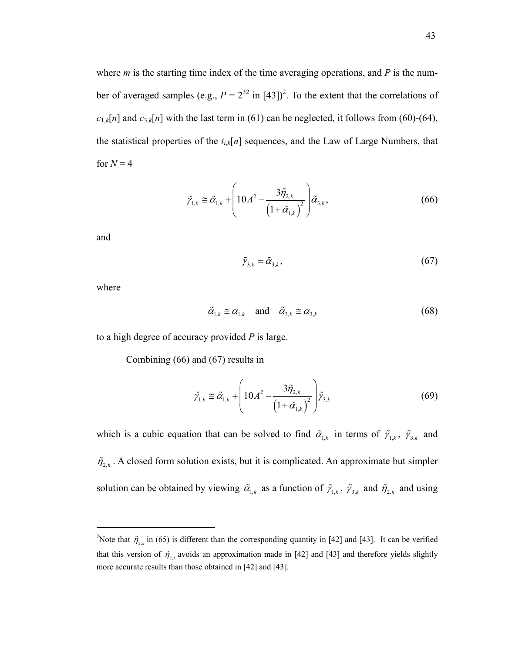where *m* is the starting time index of the time averaging operations, and *P* is the number of averaged samples (e.g.,  $P = 2^{32}$  in [43])<sup>2</sup>. To the extent that the correlations of  $c_{1,k}[n]$  and  $c_{3,k}[n]$  with the last term in (61) can be neglected, it follows from (60)-(64), the statistical properties of the  $t_{i,k}[n]$  sequences, and the Law of Large Numbers, that for  $N = 4$ 

$$
\tilde{\gamma}_{1,k} \cong \tilde{\alpha}_{1,k} + \left(10A^2 - \frac{3\tilde{\eta}_{2,k}}{\left(1 + \tilde{\alpha}_{1,k}\right)^2}\right)\tilde{\alpha}_{3,k},\tag{66}
$$

and

$$
\tilde{\gamma}_{3,k} = \tilde{\alpha}_{3,k},\tag{67}
$$

where

<u>.</u>

$$
\tilde{\alpha}_{1,k} \cong \alpha_{1,k} \quad \text{and} \quad \tilde{\alpha}_{3,k} \cong \alpha_{3,k} \tag{68}
$$

to a high degree of accuracy provided *P* is large.

Combining (66) and (67) results in

$$
\tilde{\gamma}_{1,k} \cong \tilde{\alpha}_{1,k} + \left(10A^2 - \frac{3\tilde{\eta}_{2,k}}{\left(1 + \tilde{\alpha}_{1,k}\right)^2}\right)\tilde{\gamma}_{3,k} \tag{69}
$$

which is a cubic equation that can be solved to find  $\tilde{\alpha}_{1,k}$  in terms of  $\tilde{\gamma}_{1,k}$ ,  $\tilde{\gamma}_{3,k}$  and  $\tilde{\eta}_{2,k}$ . A closed form solution exists, but it is complicated. An approximate but simpler solution can be obtained by viewing  $\tilde{\alpha}_{1,k}$  as a function of  $\tilde{\gamma}_{1,k}$ ,  $\tilde{\gamma}_{3,k}$  and  $\tilde{\eta}_{2,k}$  and using

<sup>&</sup>lt;sup>2</sup>Note that  $\tilde{\eta}_{2,k}$  in (65) is different than the corresponding quantity in [42] and [43]. It can be verified that this version of  $\tilde{\eta}_{2,k}$  avoids an approximation made in [42] and [43] and therefore yields slightly more accurate results than those obtained in [42] and [43].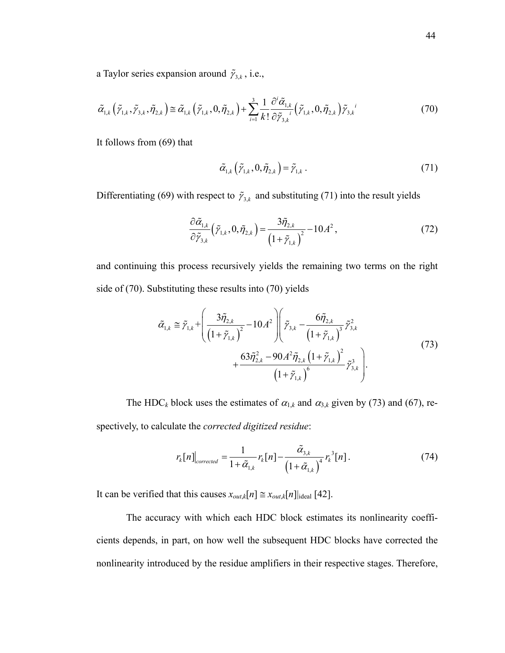a Taylor series expansion around  $\tilde{\gamma}_{3,k}$ , i.e.,

$$
\tilde{\alpha}_{1,k}\left(\tilde{\gamma}_{1,k},\tilde{\gamma}_{3,k},\tilde{\eta}_{2,k}\right) \cong \tilde{\alpha}_{1,k}\left(\tilde{\gamma}_{1,k},0,\tilde{\eta}_{2,k}\right) + \sum_{i=1}^3 \frac{1}{k!} \frac{\partial^i \tilde{\alpha}_{1,k}}{\partial \tilde{\gamma}_{3,k}} \left(\tilde{\gamma}_{1,k},0,\tilde{\eta}_{2,k}\right) \tilde{\gamma}_{3,k}^i \tag{70}
$$

It follows from (69) that

$$
\tilde{\alpha}_{1,k}\left(\tilde{\gamma}_{1,k},0,\tilde{\eta}_{2,k}\right)=\tilde{\gamma}_{1,k}.
$$
\n(71)

Differentiating (69) with respect to  $\tilde{\gamma}_{3,k}$  and substituting (71) into the result yields

$$
\frac{\partial \tilde{\alpha}_{1,k}}{\partial \tilde{\gamma}_{3,k}} \left( \tilde{\gamma}_{1,k}, 0, \tilde{\eta}_{2,k} \right) = \frac{3 \tilde{\eta}_{2,k}}{\left( 1 + \tilde{\gamma}_{1,k} \right)^2} - 10 A^2 ,\qquad (72)
$$

and continuing this process recursively yields the remaining two terms on the right side of (70). Substituting these results into (70) yields

$$
\tilde{\alpha}_{1,k} \cong \tilde{\gamma}_{1,k} + \left(\frac{3\tilde{\eta}_{2,k}}{\left(1 + \tilde{\gamma}_{1,k}\right)^2} - 10A^2\right) \left(\tilde{\gamma}_{3,k} - \frac{6\tilde{\eta}_{2,k}}{\left(1 + \tilde{\gamma}_{1,k}\right)^3} \tilde{\gamma}_{3,k}^2 + \frac{63\tilde{\eta}_{2,k}^2 - 90A^2 \tilde{\eta}_{2,k} \left(1 + \tilde{\gamma}_{1,k}\right)^2}{\left(1 + \tilde{\gamma}_{1,k}\right)^6} \tilde{\gamma}_{3,k}^3\right).
$$
\n(73)

The HDC<sub>k</sub> block uses the estimates of  $\alpha_{1,k}$  and  $\alpha_{3,k}$  given by (73) and (67), respectively, to calculate the *corrected digitized residue*:

$$
r_k[n]\big|_{corrected} = \frac{1}{1+\tilde{\alpha}_{1,k}} r_k[n] - \frac{\tilde{\alpha}_{3,k}}{\left(1+\tilde{\alpha}_{1,k}\right)^4} r_k^3[n]. \tag{74}
$$

It can be verified that this causes  $x_{out,k}[n] \cong x_{out,k}[n]$ <sub>lideal</sub> [42].

The accuracy with which each HDC block estimates its nonlinearity coefficients depends, in part, on how well the subsequent HDC blocks have corrected the nonlinearity introduced by the residue amplifiers in their respective stages. Therefore,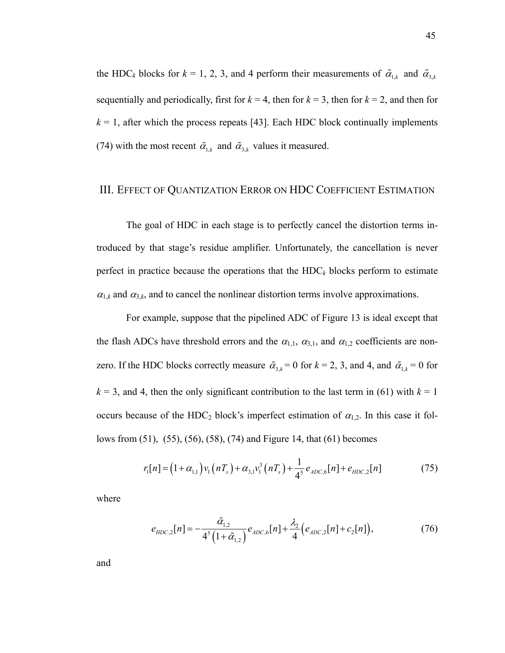the HDC<sub>k</sub> blocks for  $k = 1, 2, 3$ , and 4 perform their measurements of  $\tilde{\alpha}_{1,k}$  and  $\tilde{\alpha}_{3,k}$ sequentially and periodically, first for  $k = 4$ , then for  $k = 3$ , then for  $k = 2$ , and then for  $k = 1$ , after which the process repeats [43]. Each HDC block continually implements (74) with the most recent  $\tilde{\alpha}_{1,k}$  and  $\tilde{\alpha}_{3,k}$  values it measured.

## III. EFFECT OF QUANTIZATION ERROR ON HDC COEFFICIENT ESTIMATION

The goal of HDC in each stage is to perfectly cancel the distortion terms introduced by that stage's residue amplifier. Unfortunately, the cancellation is never perfect in practice because the operations that the  $HDC_k$  blocks perform to estimate  $\alpha_{1,k}$  and  $\alpha_{3,k}$ , and to cancel the nonlinear distortion terms involve approximations.

For example, suppose that the pipelined ADC of Figure 13 is ideal except that the flash ADCs have threshold errors and the  $\alpha_{1,1}$ ,  $\alpha_{3,1}$ , and  $\alpha_{1,2}$  coefficients are nonzero. If the HDC blocks correctly measure  $\tilde{\alpha}_{3,k} = 0$  for  $k = 2, 3$ , and 4, and  $\tilde{\alpha}_{1,k} = 0$  for  $k = 3$ , and 4, then the only significant contribution to the last term in (61) with  $k = 1$ occurs because of the HDC<sub>2</sub> block's imperfect estimation of  $\alpha_{1,2}$ . In this case it follows from (51), (55), (56), (58), (74) and Figure 14, that (61) becomes

$$
r_1[n] = (1 + \alpha_{1,1}) v_1(nT_s) + \alpha_{3,1} v_1^3(nT_s) + \frac{1}{4^5} e_{ADC,6}[n] + e_{HDC,2}[n] \tag{75}
$$

where

$$
e_{HDC,2}[n] = -\frac{\tilde{\alpha}_{1,2}}{4^5 \left(1 + \tilde{\alpha}_{1,2}\right)} e_{ADC,6}[n] + \frac{\lambda_2}{4} \left(e_{ADC,2}[n] + c_2[n]\right),\tag{76}
$$

and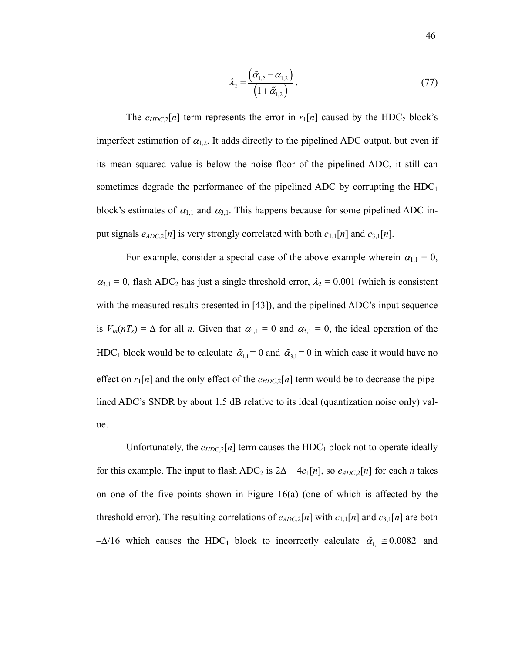$$
\lambda_2 = \frac{(\tilde{\alpha}_{1,2} - \alpha_{1,2})}{(1 + \tilde{\alpha}_{1,2})}.
$$
\n(77)

The  $e_{HDC,2}[n]$  term represents the error in  $r_1[n]$  caused by the HDC<sub>2</sub> block's imperfect estimation of  $\alpha_{1,2}$ . It adds directly to the pipelined ADC output, but even if its mean squared value is below the noise floor of the pipelined ADC, it still can sometimes degrade the performance of the pipelined ADC by corrupting the  $HDC<sub>1</sub>$ block's estimates of  $\alpha_{1,1}$  and  $\alpha_{3,1}$ . This happens because for some pipelined ADC input signals  $e_{ADC,2}[n]$  is very strongly correlated with both  $c_{1,1}[n]$  and  $c_{3,1}[n]$ .

For example, consider a special case of the above example wherein  $\alpha_{1,1} = 0$ ,  $\alpha_{3,1} = 0$ , flash ADC<sub>2</sub> has just a single threshold error,  $\lambda_2 = 0.001$  (which is consistent with the measured results presented in [43]), and the pipelined ADC's input sequence is  $V_{in}(nT_s) = \Delta$  for all *n*. Given that  $\alpha_{1,1} = 0$  and  $\alpha_{3,1} = 0$ , the ideal operation of the HDC<sub>1</sub> block would be to calculate  $\tilde{\alpha}_{1,1} = 0$  and  $\tilde{\alpha}_{3,1} = 0$  in which case it would have no effect on  $r_1[n]$  and the only effect of the  $e_{HDC,2}[n]$  term would be to decrease the pipelined ADC's SNDR by about 1.5 dB relative to its ideal (quantization noise only) value.

Unfortunately, the  $e_{HDC,2}[n]$  term causes the HDC<sub>1</sub> block not to operate ideally for this example. The input to flash  $ADC_2$  is  $2\Delta - 4c_1[n]$ , so  $e_{ADC,2}[n]$  for each *n* takes on one of the five points shown in Figure 16(a) (one of which is affected by the threshold error). The resulting correlations of  $e_{ADC,2}[n]$  with  $c_{1,1}[n]$  and  $c_{3,1}[n]$  are both  $-\Delta/16$  which causes the HDC<sub>1</sub> block to incorrectly calculate  $\tilde{\alpha}_{1,1} \approx 0.0082$  and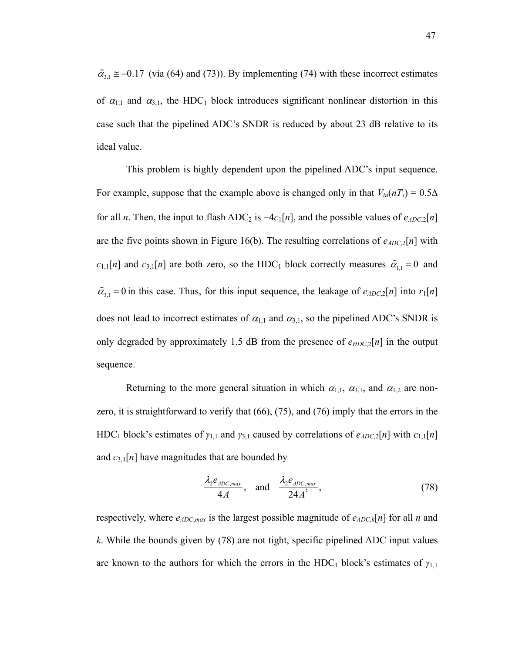$\tilde{\alpha}_{3,1} \approx -0.17$  (via (64) and (73)). By implementing (74) with these incorrect estimates of  $\alpha_{1,1}$  and  $\alpha_{3,1}$ , the HDC<sub>1</sub> block introduces significant nonlinear distortion in this case such that the pipelined ADC's SNDR is reduced by about 23 dB relative to its ideal value.

This problem is highly dependent upon the pipelined ADC's input sequence. For example, suppose that the example above is changed only in that  $V_{in}(nT_s) = 0.5\Delta$ for all *n*. Then, the input to flash ADC<sub>2</sub> is  $-4c_1[n]$ , and the possible values of  $e_{ADC,2}[n]$ are the five points shown in Figure 16(b). The resulting correlations of  $e_{ADC2}[n]$  with  $c_{1,1}[n]$  and  $c_{3,1}[n]$  are both zero, so the HDC<sub>1</sub> block correctly measures  $\tilde{a}_{1,1} = 0$  and  $\tilde{\alpha}_{3,1} = 0$  in this case. Thus, for this input sequence, the leakage of  $e_{ADC,2}[n]$  into  $r_1[n]$ does not lead to incorrect estimates of  $\alpha_{1,1}$  and  $\alpha_{3,1}$ , so the pipelined ADC's SNDR is only degraded by approximately 1.5 dB from the presence of  $e_{HDC,2}[n]$  in the output sequence.

Returning to the more general situation in which  $\alpha_{1,1}$ ,  $\alpha_{3,1}$ , and  $\alpha_{1,2}$  are nonzero, it is straightforward to verify that (66), (75), and (76) imply that the errors in the HDC<sub>1</sub> block's estimates of  $\gamma_{1,1}$  and  $\gamma_{3,1}$  caused by correlations of  $e_{ADC,2}[n]$  with  $c_{1,1}[n]$ and  $c_{3,1}[n]$  have magnitudes that are bounded by

$$
\frac{\lambda_2 e_{ADC,max}}{4A}, \quad \text{and} \quad \frac{\lambda_2 e_{ADC,max}}{24A^3}, \tag{78}
$$

respectively, where  $e_{ADC,max}$  is the largest possible magnitude of  $e_{ADC,k}[n]$  for all *n* and *k*. While the bounds given by (78) are not tight, specific pipelined ADC input values are known to the authors for which the errors in the HDC<sub>1</sub> block's estimates of  $\gamma_{1,1}$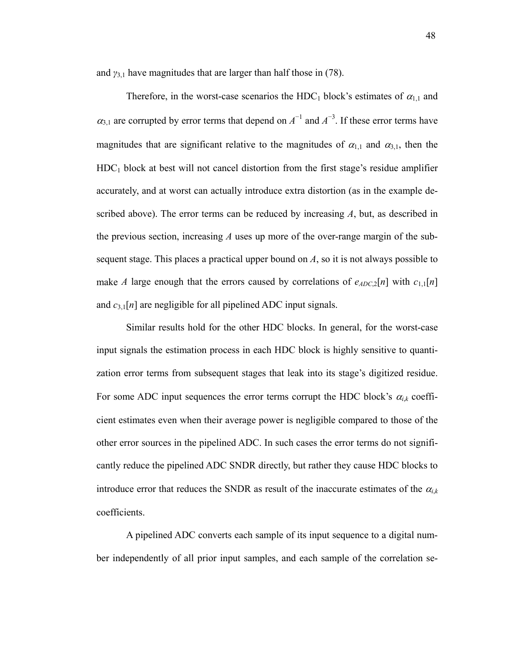and  $\gamma_{3,1}$  have magnitudes that are larger than half those in (78).

Therefore, in the worst-case scenarios the HDC<sub>1</sub> block's estimates of  $\alpha_{1,1}$  and  $\alpha_{3,1}$  are corrupted by error terms that depend on  $A^{-1}$  and  $A^{-3}$ . If these error terms have magnitudes that are significant relative to the magnitudes of  $\alpha_{1,1}$  and  $\alpha_{3,1}$ , then the  $HDC<sub>1</sub>$  block at best will not cancel distortion from the first stage's residue amplifier accurately, and at worst can actually introduce extra distortion (as in the example described above). The error terms can be reduced by increasing *A*, but, as described in the previous section, increasing *A* uses up more of the over-range margin of the subsequent stage. This places a practical upper bound on *A*, so it is not always possible to make *A* large enough that the errors caused by correlations of  $e_{ADC,2}[n]$  with  $c_{1,1}[n]$ and *c*3,1[*n*] are negligible for all pipelined ADC input signals.

Similar results hold for the other HDC blocks. In general, for the worst-case input signals the estimation process in each HDC block is highly sensitive to quantization error terms from subsequent stages that leak into its stage's digitized residue. For some ADC input sequences the error terms corrupt the HDC block's  $\alpha_{i,k}$  coefficient estimates even when their average power is negligible compared to those of the other error sources in the pipelined ADC. In such cases the error terms do not significantly reduce the pipelined ADC SNDR directly, but rather they cause HDC blocks to introduce error that reduces the SNDR as result of the inaccurate estimates of the  $\alpha_{i,k}$ coefficients.

A pipelined ADC converts each sample of its input sequence to a digital number independently of all prior input samples, and each sample of the correlation se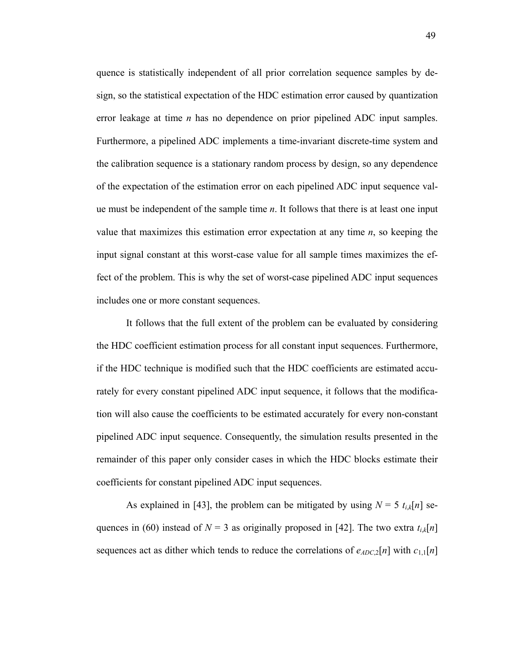quence is statistically independent of all prior correlation sequence samples by design, so the statistical expectation of the HDC estimation error caused by quantization error leakage at time *n* has no dependence on prior pipelined ADC input samples. Furthermore, a pipelined ADC implements a time-invariant discrete-time system and the calibration sequence is a stationary random process by design, so any dependence of the expectation of the estimation error on each pipelined ADC input sequence value must be independent of the sample time *n*. It follows that there is at least one input value that maximizes this estimation error expectation at any time *n*, so keeping the input signal constant at this worst-case value for all sample times maximizes the effect of the problem. This is why the set of worst-case pipelined ADC input sequences includes one or more constant sequences.

It follows that the full extent of the problem can be evaluated by considering the HDC coefficient estimation process for all constant input sequences. Furthermore, if the HDC technique is modified such that the HDC coefficients are estimated accurately for every constant pipelined ADC input sequence, it follows that the modification will also cause the coefficients to be estimated accurately for every non-constant pipelined ADC input sequence. Consequently, the simulation results presented in the remainder of this paper only consider cases in which the HDC blocks estimate their coefficients for constant pipelined ADC input sequences.

As explained in [43], the problem can be mitigated by using  $N = 5 t_{i,k}[n]$  sequences in (60) instead of  $N = 3$  as originally proposed in [42]. The two extra  $t_{ik}[n]$ sequences act as dither which tends to reduce the correlations of  $e_{ADC,2}[n]$  with  $c_{1,1}[n]$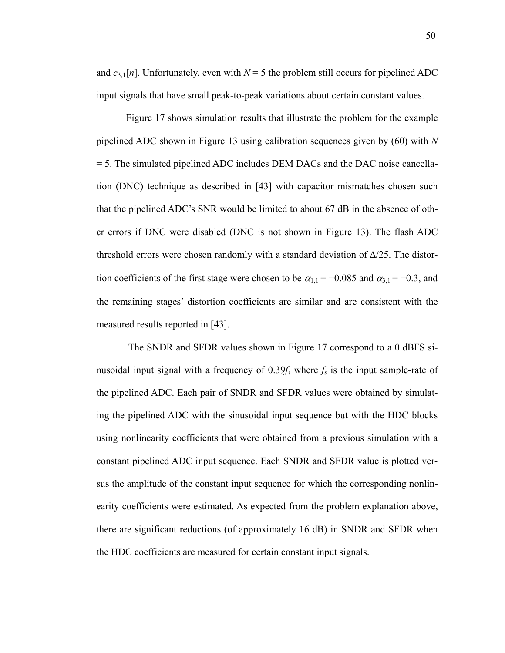and  $c_{3,1}[n]$ . Unfortunately, even with  $N=5$  the problem still occurs for pipelined ADC input signals that have small peak-to-peak variations about certain constant values.

Figure 17 shows simulation results that illustrate the problem for the example pipelined ADC shown in Figure 13 using calibration sequences given by (60) with *N* = 5. The simulated pipelined ADC includes DEM DACs and the DAC noise cancellation (DNC) technique as described in [43] with capacitor mismatches chosen such that the pipelined ADC's SNR would be limited to about 67 dB in the absence of other errors if DNC were disabled (DNC is not shown in Figure 13). The flash ADC threshold errors were chosen randomly with a standard deviation of  $\Delta/25$ . The distortion coefficients of the first stage were chosen to be  $\alpha_{1,1} = -0.085$  and  $\alpha_{3,1} = -0.3$ , and the remaining stages' distortion coefficients are similar and are consistent with the measured results reported in [43].

 The SNDR and SFDR values shown in Figure 17 correspond to a 0 dBFS sinusoidal input signal with a frequency of  $0.39f_s$  where  $f_s$  is the input sample-rate of the pipelined ADC. Each pair of SNDR and SFDR values were obtained by simulating the pipelined ADC with the sinusoidal input sequence but with the HDC blocks using nonlinearity coefficients that were obtained from a previous simulation with a constant pipelined ADC input sequence. Each SNDR and SFDR value is plotted versus the amplitude of the constant input sequence for which the corresponding nonlinearity coefficients were estimated. As expected from the problem explanation above, there are significant reductions (of approximately 16 dB) in SNDR and SFDR when the HDC coefficients are measured for certain constant input signals.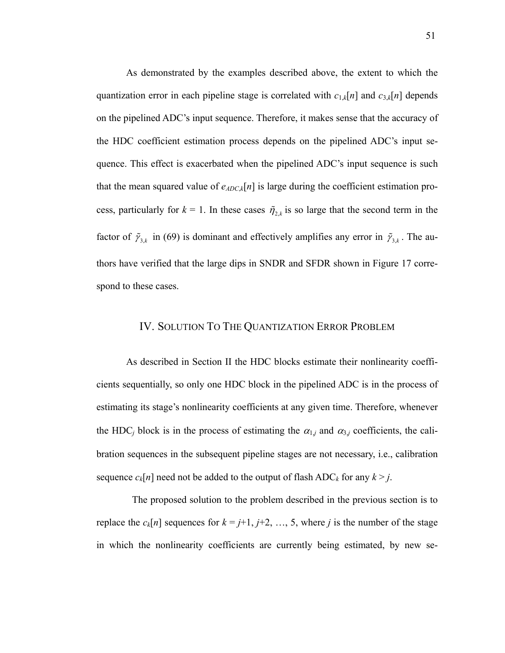As demonstrated by the examples described above, the extent to which the quantization error in each pipeline stage is correlated with  $c_{1,k}[n]$  and  $c_{3,k}[n]$  depends on the pipelined ADC's input sequence. Therefore, it makes sense that the accuracy of the HDC coefficient estimation process depends on the pipelined ADC's input sequence. This effect is exacerbated when the pipelined ADC's input sequence is such that the mean squared value of  $e_{ADC,k}[n]$  is large during the coefficient estimation process, particularly for  $k = 1$ . In these cases  $\tilde{\eta}_{2k}$  is so large that the second term in the factor of  $\tilde{\gamma}_{3,k}$  in (69) is dominant and effectively amplifies any error in  $\tilde{\gamma}_{3,k}$ . The authors have verified that the large dips in SNDR and SFDR shown in Figure 17 correspond to these cases.

#### IV. SOLUTION TO THE QUANTIZATION ERROR PROBLEM

As described in Section II the HDC blocks estimate their nonlinearity coefficients sequentially, so only one HDC block in the pipelined ADC is in the process of estimating its stage's nonlinearity coefficients at any given time. Therefore, whenever the HDC<sub>*j*</sub> block is in the process of estimating the  $\alpha_{1j}$  and  $\alpha_{3j}$  coefficients, the calibration sequences in the subsequent pipeline stages are not necessary, i.e., calibration sequence  $c_k[n]$  need not be added to the output of flash  $ADC_k$  for any  $k > j$ .

 The proposed solution to the problem described in the previous section is to replace the  $c_k[n]$  sequences for  $k = j+1, j+2, ..., 5$ , where *j* is the number of the stage in which the nonlinearity coefficients are currently being estimated, by new se-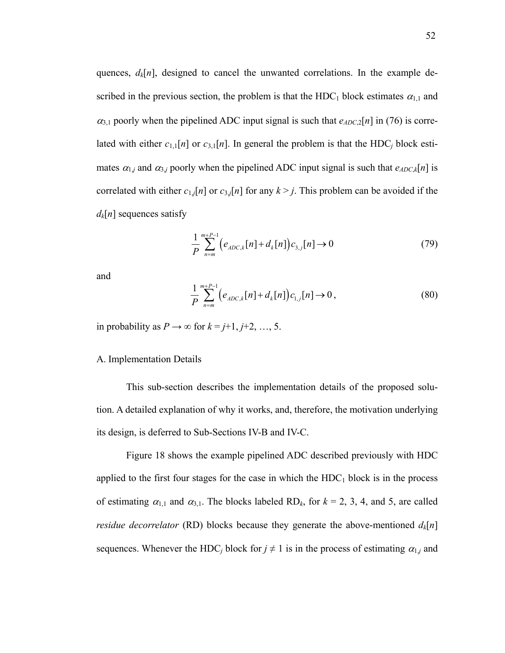quences,  $d_k[n]$ , designed to cancel the unwanted correlations. In the example described in the previous section, the problem is that the HDC<sub>1</sub> block estimates  $\alpha_{1,1}$  and  $\alpha_{3,1}$  poorly when the pipelined ADC input signal is such that  $e_{ADC,2}[n]$  in (76) is correlated with either  $c_{1,1}[n]$  or  $c_{3,1}[n]$ . In general the problem is that the HDC<sub>*j*</sub> block estimates  $\alpha_{1,i}$  and  $\alpha_{3,i}$  poorly when the pipelined ADC input signal is such that  $e_{ADC,k}[n]$  is correlated with either  $c_{1,j}[n]$  or  $c_{3,j}[n]$  for any  $k > j$ . This problem can be avoided if the  $d_k[n]$  sequences satisfy

$$
\frac{1}{P} \sum_{n=m}^{m+P-1} \Big( e_{ADC,k}[n] + d_k[n] \Big) c_{3,j}[n] \to 0 \tag{79}
$$

and

$$
\frac{1}{P} \sum_{n=m}^{m+P-1} \Big( e_{ADC,k}[n] + d_k[n] \Big) c_{1,j}[n] \to 0 ,\tag{80}
$$

in probability as  $P \rightarrow \infty$  for  $k = j+1, j+2, ..., 5$ .

#### A. Implementation Details

This sub-section describes the implementation details of the proposed solution. A detailed explanation of why it works, and, therefore, the motivation underlying its design, is deferred to Sub-Sections IV-B and IV-C.

Figure 18 shows the example pipelined ADC described previously with HDC applied to the first four stages for the case in which the  $HDC<sub>1</sub>$  block is in the process of estimating  $\alpha_{1,1}$  and  $\alpha_{3,1}$ . The blocks labeled RD<sub>k</sub>, for  $k = 2, 3, 4$ , and 5, are called *residue decorrelator* (RD) blocks because they generate the above-mentioned  $d_k[n]$ sequences. Whenever the HDC<sub>*j*</sub> block for  $j \neq 1$  is in the process of estimating  $\alpha_{1j}$  and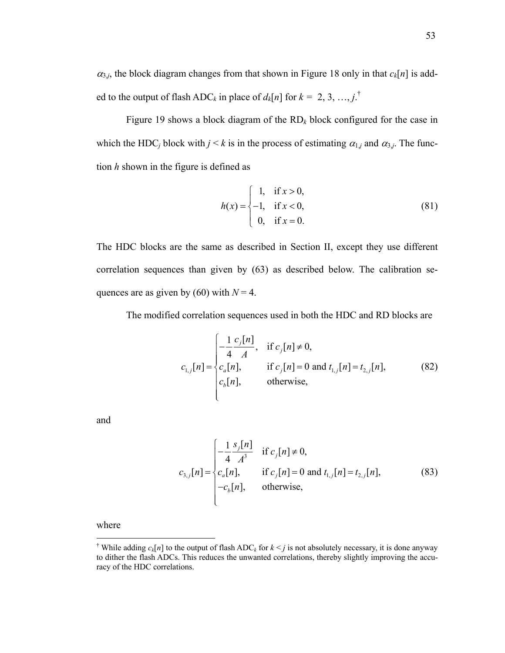$\alpha_{3,j}$ , the block diagram changes from that shown in Figure 18 only in that  $c_k[n]$  is added to the output of flash ADC<sub>k</sub> in place of  $d_k[n]$  for  $k = 2, 3, ..., j$ .<sup>†</sup>

Figure 19 shows a block diagram of the RD*k* block configured for the case in which the HDC<sub>*j*</sub> block with  $j < k$  is in the process of estimating  $\alpha_{1,j}$  and  $\alpha_{3,j}$ . The function *h* shown in the figure is defined as

$$
h(x) = \begin{cases} 1, & \text{if } x > 0, \\ -1, & \text{if } x < 0, \\ 0, & \text{if } x = 0. \end{cases}
$$
 (81)

The HDC blocks are the same as described in Section II, except they use different correlation sequences than given by (63) as described below. The calibration sequences are as given by (60) with  $N = 4$ .

The modified correlation sequences used in both the HDC and RD blocks are

$$
c_{1,j}[n] = \begin{cases} -\frac{1}{4} \frac{c_j[n]}{A}, & \text{if } c_j[n] \neq 0, \\ c_a[n], & \text{if } c_j[n] = 0 \text{ and } t_{1,j}[n] = t_{2,j}[n], \\ c_b[n], & \text{otherwise,} \end{cases}
$$
(82)

and

$$
c_{3,j}[n] = \begin{cases} -\frac{1}{4} \frac{s_j[n]}{A^3} & \text{if } c_j[n] \neq 0, \\ c_a[n], & \text{if } c_j[n] = 0 \text{ and } t_{1,j}[n] = t_{2,j}[n], \\ -c_b[n], & \text{otherwise,} \end{cases}
$$
(83)

where

1

<sup>&</sup>lt;sup>†</sup> While adding  $c_k[n]$  to the output of flash ADC<sub>k</sub> for  $k \leq j$  is not absolutely necessary, it is done anyway to dither the flash ADCs. This reduces the unwanted correlations, thereby slightly improving the accuracy of the HDC correlations.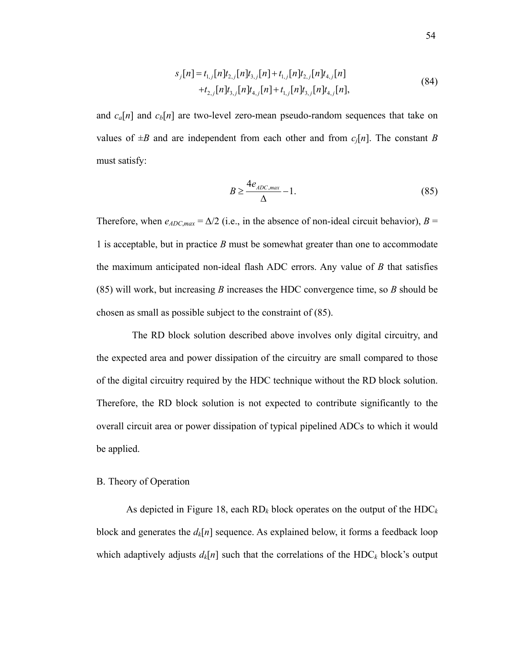$$
s_j[n] = t_{1,j}[n]t_{2,j}[n]t_{3,j}[n] + t_{1,j}[n]t_{2,j}[n]t_{4,j}[n] + t_{2,j}[n]t_{3,j}[n]t_{4,j}[n] + t_{1,j}[n]t_{4,j}[n] + t_{1,j}[n]t_{3,j}[n]t_{4,j}[n],
$$
\n(84)

and  $c_a[n]$  and  $c_b[n]$  are two-level zero-mean pseudo-random sequences that take on values of  $\pm B$  and are independent from each other and from  $c_i[n]$ . The constant *B* must satisfy:

$$
B \ge \frac{4e_{ADC,max}}{\Delta} - 1.
$$
 (85)

Therefore, when  $e_{ADC,max} = \Delta/2$  (i.e., in the absence of non-ideal circuit behavior),  $B =$ 1 is acceptable, but in practice *B* must be somewhat greater than one to accommodate the maximum anticipated non-ideal flash ADC errors. Any value of *B* that satisfies (85) will work, but increasing *B* increases the HDC convergence time, so *B* should be chosen as small as possible subject to the constraint of (85).

 The RD block solution described above involves only digital circuitry, and the expected area and power dissipation of the circuitry are small compared to those of the digital circuitry required by the HDC technique without the RD block solution. Therefore, the RD block solution is not expected to contribute significantly to the overall circuit area or power dissipation of typical pipelined ADCs to which it would be applied.

#### B. Theory of Operation

As depicted in Figure 18, each RD*k* block operates on the output of the HDC*<sup>k</sup>* block and generates the  $d_k[n]$  sequence. As explained below, it forms a feedback loop which adaptively adjusts  $d_k[n]$  such that the correlations of the HDC<sub>k</sub> block's output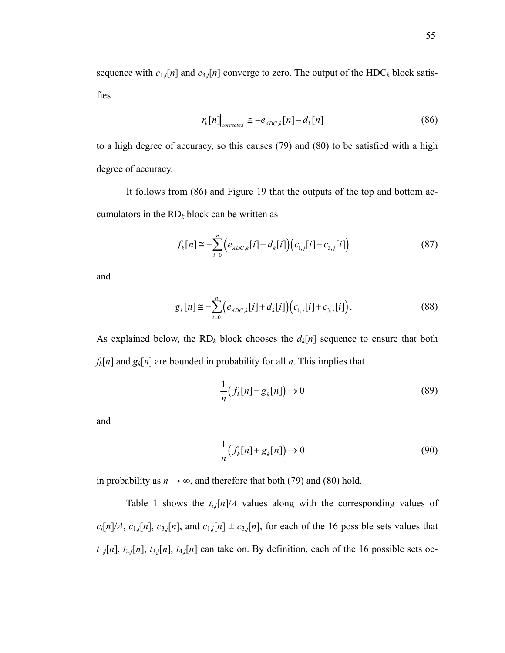sequence with  $c_{1,j}[n]$  and  $c_{3,j}[n]$  converge to zero. The output of the HDC<sub>k</sub> block satisfies

$$
r_k[n] \Big|_{corrected} \cong -e_{ADC,k}[n] - d_k[n] \tag{86}
$$

to a high degree of accuracy, so this causes (79) and (80) to be satisfied with a high degree of accuracy.

It follows from (86) and Figure 19 that the outputs of the top and bottom accumulators in the  $RD_k$  block can be written as

$$
f_k[n] \cong -\sum_{i=0}^n \Big(e_{ADC,k}[i] + d_k[i]\Big)\Big(c_{1,j}[i] - c_{3,j}[i]\Big) \tag{87}
$$

and

$$
g_k[n] \cong -\sum_{i=0}^n \Big(e_{ADC,k}[i] + d_k[i]\Big)\Big(c_{1,j}[i] + c_{3,j}[i]\Big).
$$
 (88)

As explained below, the  $RD_k$  block chooses the  $d_k[n]$  sequence to ensure that both  $f_k[n]$  and  $g_k[n]$  are bounded in probability for all *n*. This implies that

$$
\frac{1}{n}(f_k[n] - g_k[n]) \to 0 \tag{89}
$$

and

$$
\frac{1}{n}(f_k[n] + g_k[n]) \to 0 \tag{90}
$$

in probability as  $n \to \infty$ , and therefore that both (79) and (80) hold.

Table 1 shows the  $t_{i,j}[n]/A$  values along with the corresponding values of  $c_j[n]/A$ ,  $c_{1,j}[n]$ ,  $c_{3,j}[n]$ , and  $c_{1,j}[n] \pm c_{3,j}[n]$ , for each of the 16 possible sets values that  $t_{1,j}[n]$ ,  $t_{2,j}[n]$ ,  $t_{3,j}[n]$ ,  $t_{4,j}[n]$  can take on. By definition, each of the 16 possible sets oc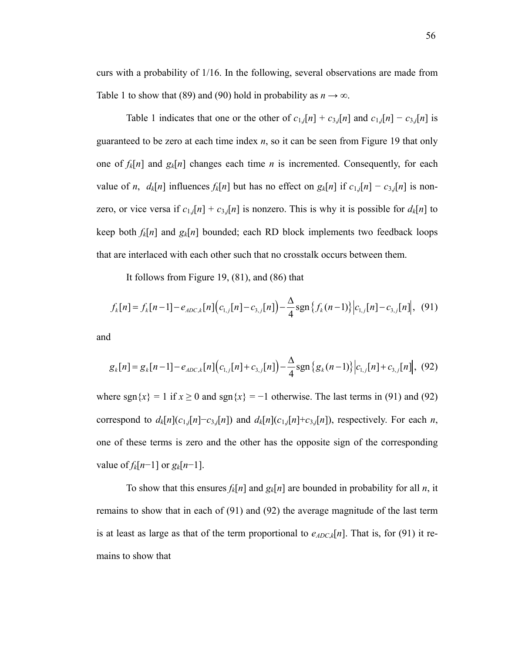curs with a probability of 1/16. In the following, several observations are made from Table 1 to show that (89) and (90) hold in probability as  $n \to \infty$ .

Table 1 indicates that one or the other of  $c_{1,j}[n] + c_{3,j}[n]$  and  $c_{1,j}[n] - c_{3,j}[n]$  is guaranteed to be zero at each time index *n*, so it can be seen from Figure 19 that only one of  $f_k[n]$  and  $g_k[n]$  changes each time *n* is incremented. Consequently, for each value of *n*,  $d_k[n]$  influences  $f_k[n]$  but has no effect on  $g_k[n]$  if  $c_{1,j}[n] - c_{3,j}[n]$  is nonzero, or vice versa if  $c_{1,j}[n] + c_{3,j}[n]$  is nonzero. This is why it is possible for  $d_k[n]$  to keep both  $f_k[n]$  and  $g_k[n]$  bounded; each RD block implements two feedback loops that are interlaced with each other such that no crosstalk occurs between them.

It follows from Figure 19, (81), and (86) that

$$
f_k[n] = f_k[n-1] - e_{ADC,k}[n] \Big( c_{1,j}[n] - c_{3,j}[n] \Big) - \frac{\Delta}{4} \text{sgn} \left\{ f_k(n-1) \right\} \Big| c_{1,j}[n] - c_{3,j}[n] \Big|, \tag{91}
$$

and

$$
g_k[n] = g_k[n-1] - e_{ADC,k}[n] \Big( c_{1,j}[n] + c_{3,j}[n] \Big) - \frac{\Delta}{4} \text{sgn} \left\{ g_k(n-1) \right\} \Big| c_{1,j}[n] + c_{3,j}[n] \Big|, \tag{92}
$$

where sgn $\{x\} = 1$  if  $x \ge 0$  and sgn $\{x\} = -1$  otherwise. The last terms in (91) and (92) correspond to  $d_k[n](c_{1,j}[n]-c_{3,j}[n])$  and  $d_k[n](c_{1,j}[n]+c_{3,j}[n])$ , respectively. For each *n*, one of these terms is zero and the other has the opposite sign of the corresponding value of  $f_k[n-1]$  or  $g_k[n-1]$ .

To show that this ensures  $f_k[n]$  and  $g_k[n]$  are bounded in probability for all *n*, it remains to show that in each of (91) and (92) the average magnitude of the last term is at least as large as that of the term proportional to  $e_{ADC,k}[n]$ . That is, for (91) it remains to show that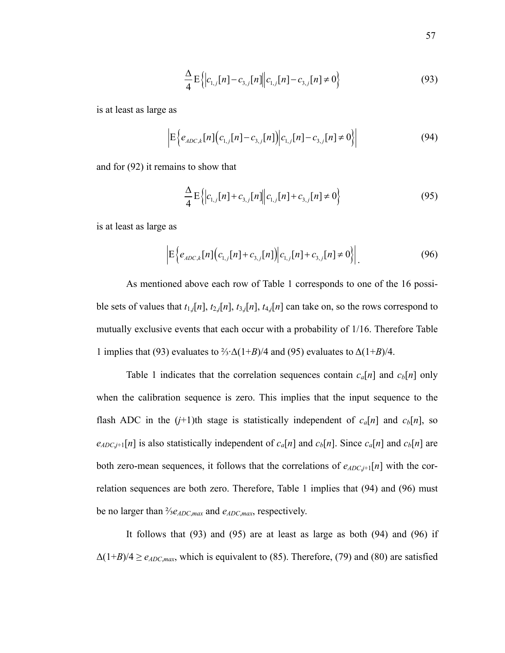$$
\frac{\Delta}{4} \mathcal{E} \left\{ \left| c_{1,j}[n] - c_{3,j}[n] \right\| c_{1,j}[n] - c_{3,j}[n] \neq 0 \right\} \tag{93}
$$

is at least as large as

$$
\left| \mathcal{E} \left\{ e_{ADC,k}[n] \left( c_{1,j}[n] - c_{3,j}[n] \right) \middle| c_{1,j}[n] - c_{3,j}[n] \neq 0 \right\} \right| \tag{94}
$$

and for (92) it remains to show that

$$
\frac{\Delta}{4} \mathcal{E} \left\{ \left| c_{1,j}[n] + c_{3,j}[n] \right\| c_{1,j}[n] + c_{3,j}[n] \neq 0 \right\} \tag{95}
$$

is at least as large as

$$
\left| \mathcal{E} \left\{ e_{ADC,k}[n] \left( c_{1,j}[n] + c_{3,j}[n] \right) \middle| c_{1,j}[n] + c_{3,j}[n] \neq 0 \right\} \right|.
$$
 (96)

As mentioned above each row of Table 1 corresponds to one of the 16 possible sets of values that  $t_{1,j}[n]$ ,  $t_{2,j}[n]$ ,  $t_{3,j}[n]$ ,  $t_{4,j}[n]$  can take on, so the rows correspond to mutually exclusive events that each occur with a probability of 1/16. Therefore Table 1 implies that (93) evaluates to  $\frac{2}{3}$ · $\Delta(1+B)/4$  and (95) evaluates to  $\Delta(1+B)/4$ .

Table 1 indicates that the correlation sequences contain  $c_a[n]$  and  $c_b[n]$  only when the calibration sequence is zero. This implies that the input sequence to the flash ADC in the  $(j+1)$ th stage is statistically independent of  $c_a[n]$  and  $c_b[n]$ , so  $e_{ADC,j+1}[n]$  is also statistically independent of  $c_a[n]$  and  $c_b[n]$ . Since  $c_a[n]$  and  $c_b[n]$  are both zero-mean sequences, it follows that the correlations of  $e_{ADC,j+1}[n]$  with the correlation sequences are both zero. Therefore, Table 1 implies that (94) and (96) must be no larger than ⅔*eADC*,*max* and *eADC*,*max*, respectively.

It follows that (93) and (95) are at least as large as both (94) and (96) if  $\Delta(1+B)/4 \geq e_{ADC,max}$ , which is equivalent to (85). Therefore, (79) and (80) are satisfied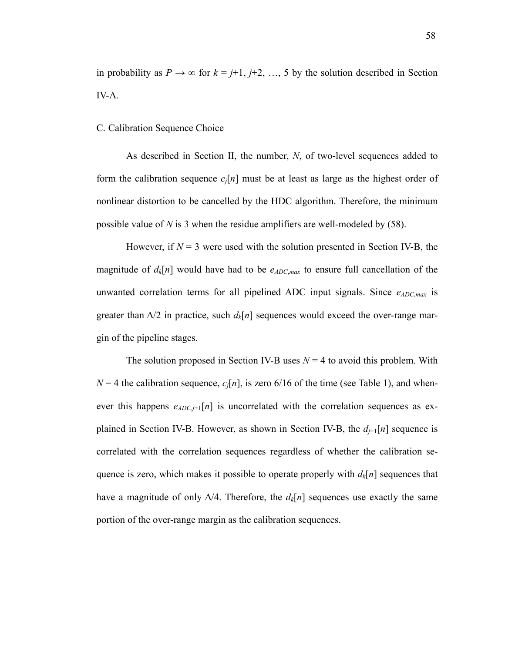in probability as  $P \to \infty$  for  $k = j+1, j+2, ..., 5$  by the solution described in Section IV-A.

#### C. Calibration Sequence Choice

As described in Section II, the number, *N*, of two-level sequences added to form the calibration sequence  $c_i[n]$  must be at least as large as the highest order of nonlinear distortion to be cancelled by the HDC algorithm. Therefore, the minimum possible value of *N* is 3 when the residue amplifiers are well-modeled by (58).

However, if  $N = 3$  were used with the solution presented in Section IV-B, the magnitude of  $d_k[n]$  would have had to be  $e_{ADC,max}$  to ensure full cancellation of the unwanted correlation terms for all pipelined ADC input signals. Since  $e_{ADC,max}$  is greater than  $\Delta/2$  in practice, such  $d_k[n]$  sequences would exceed the over-range margin of the pipeline stages.

The solution proposed in Section IV-B uses  $N = 4$  to avoid this problem. With  $N = 4$  the calibration sequence,  $c_i[n]$ , is zero 6/16 of the time (see Table 1), and whenever this happens  $e_{ADC,+1}[n]$  is uncorrelated with the correlation sequences as explained in Section IV-B. However, as shown in Section IV-B, the  $d_{i+1}[n]$  sequence is correlated with the correlation sequences regardless of whether the calibration sequence is zero, which makes it possible to operate properly with  $d_k[n]$  sequences that have a magnitude of only  $\Delta/4$ . Therefore, the  $d_k[n]$  sequences use exactly the same portion of the over-range margin as the calibration sequences.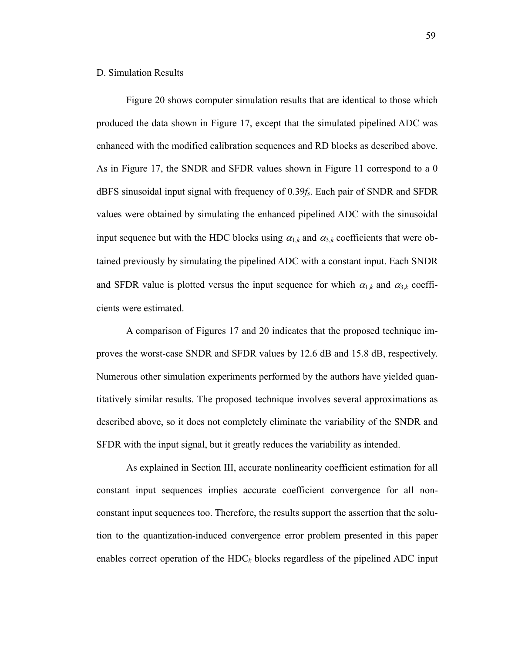#### D. Simulation Results

Figure 20 shows computer simulation results that are identical to those which produced the data shown in Figure 17, except that the simulated pipelined ADC was enhanced with the modified calibration sequences and RD blocks as described above. As in Figure 17, the SNDR and SFDR values shown in Figure 11 correspond to a 0 dBFS sinusoidal input signal with frequency of 0.39*fs*. Each pair of SNDR and SFDR values were obtained by simulating the enhanced pipelined ADC with the sinusoidal input sequence but with the HDC blocks using  $\alpha_{1,k}$  and  $\alpha_{3,k}$  coefficients that were obtained previously by simulating the pipelined ADC with a constant input. Each SNDR and SFDR value is plotted versus the input sequence for which  $\alpha_{1,k}$  and  $\alpha_{3,k}$  coefficients were estimated.

A comparison of Figures 17 and 20 indicates that the proposed technique improves the worst-case SNDR and SFDR values by 12.6 dB and 15.8 dB, respectively. Numerous other simulation experiments performed by the authors have yielded quantitatively similar results. The proposed technique involves several approximations as described above, so it does not completely eliminate the variability of the SNDR and SFDR with the input signal, but it greatly reduces the variability as intended.

As explained in Section III, accurate nonlinearity coefficient estimation for all constant input sequences implies accurate coefficient convergence for all nonconstant input sequences too. Therefore, the results support the assertion that the solution to the quantization-induced convergence error problem presented in this paper enables correct operation of the  $HDC_k$  blocks regardless of the pipelined ADC input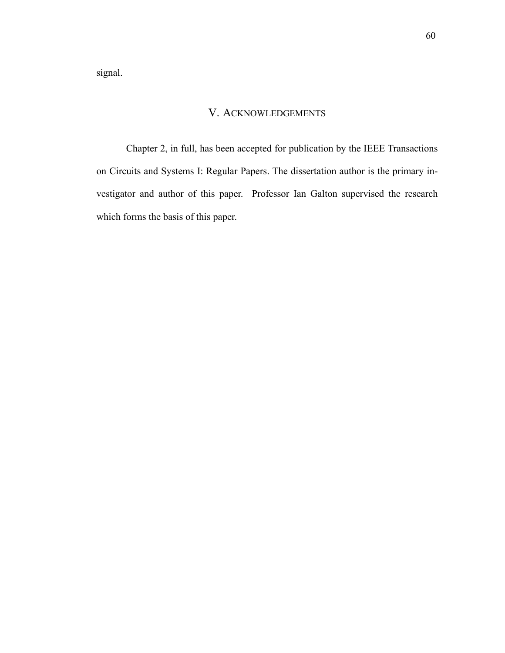signal.

## V. ACKNOWLEDGEMENTS

Chapter 2, in full, has been accepted for publication by the IEEE Transactions on Circuits and Systems I: Regular Papers. The dissertation author is the primary investigator and author of this paper. Professor Ian Galton supervised the research which forms the basis of this paper.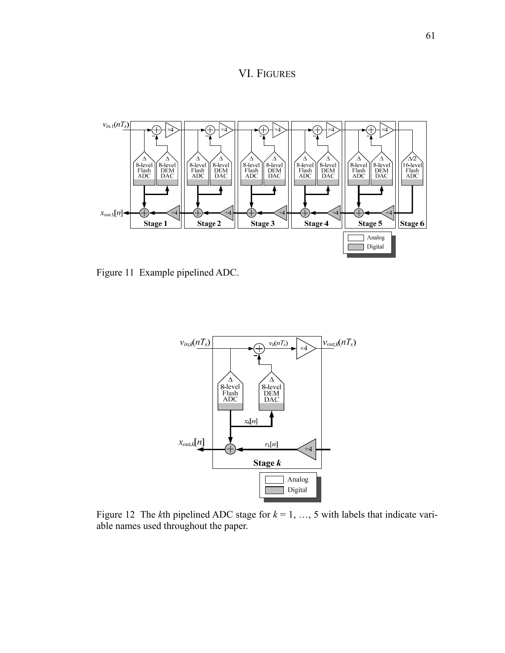VI. FIGURES



Figure 11 Example pipelined ADC.



Figure 12 The *k*th pipelined ADC stage for *k* = 1, …, 5 with labels that indicate variable names used throughout the paper.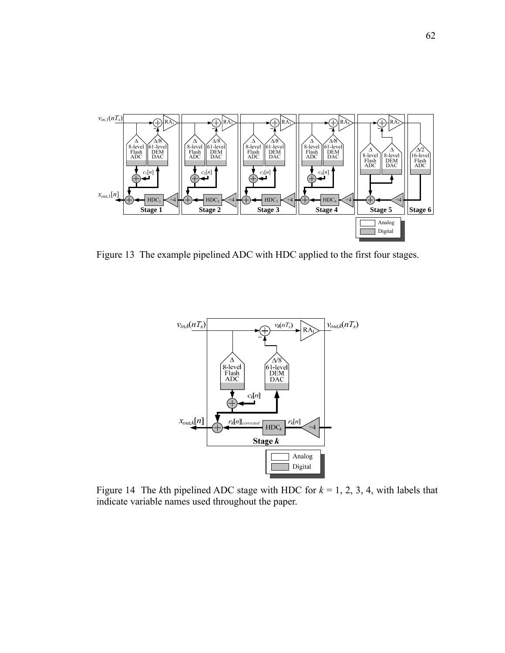

Figure 13 The example pipelined ADC with HDC applied to the first four stages.



Figure 14 The *k*th pipelined ADC stage with HDC for  $k = 1, 2, 3, 4$ , with labels that indicate variable names used throughout the paper.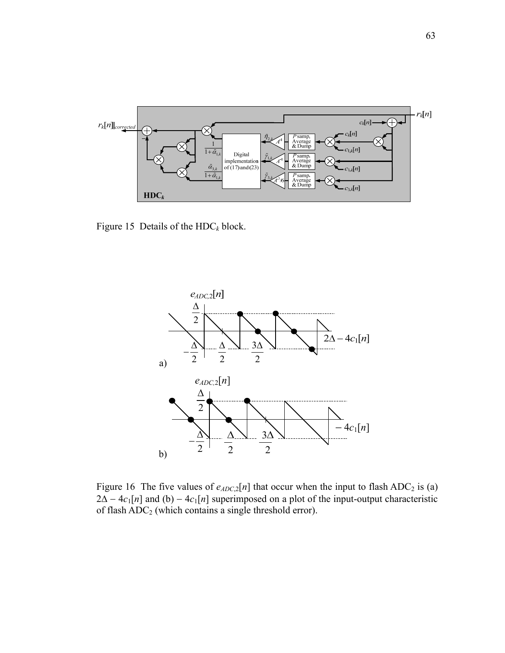

Figure 15 Details of the  $HDC_k$  block.



Figure 16 The five values of  $e_{ADC,2}[n]$  that occur when the input to flash ADC<sub>2</sub> is (a)  $2\Delta - 4c_1[n]$  and (b)  $-4c_1[n]$  superimposed on a plot of the input-output characteristic of flash ADC<sub>2</sub> (which contains a single threshold error).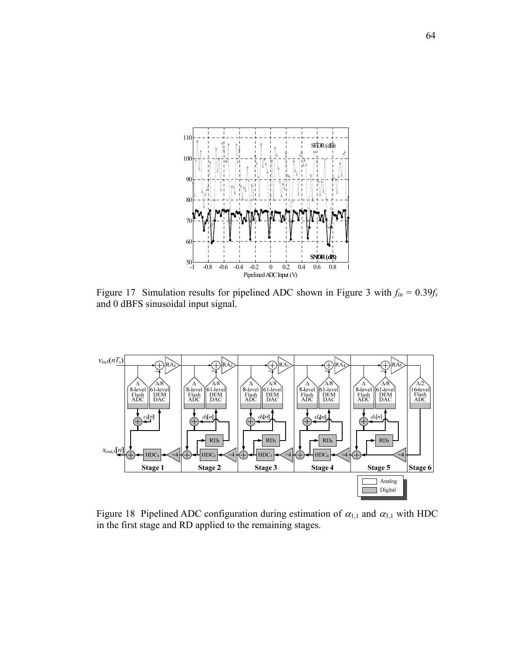

Figure 17 Simulation results for pipelined ADC shown in Figure 3 with  $f_{in} = 0.39f_s$ and 0 dBFS sinusoidal input signal.



Figure 18 Pipelined ADC configuration during estimation of  $\alpha_{1,1}$  and  $\alpha_{3,1}$  with HDC in the first stage and RD applied to the remaining stages.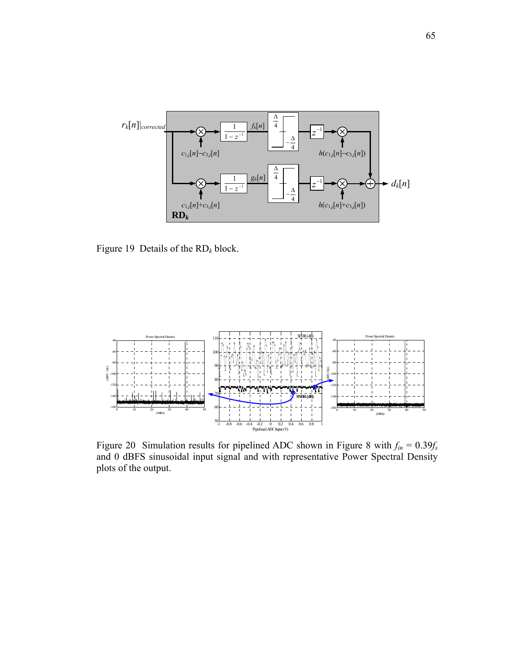

Figure 19 Details of the RD*k* block.



Figure 20 Simulation results for pipelined ADC shown in Figure 8 with  $f_{in} = 0.39f_s$ and 0 dBFS sinusoidal input signal and with representative Power Spectral Density plots of the output.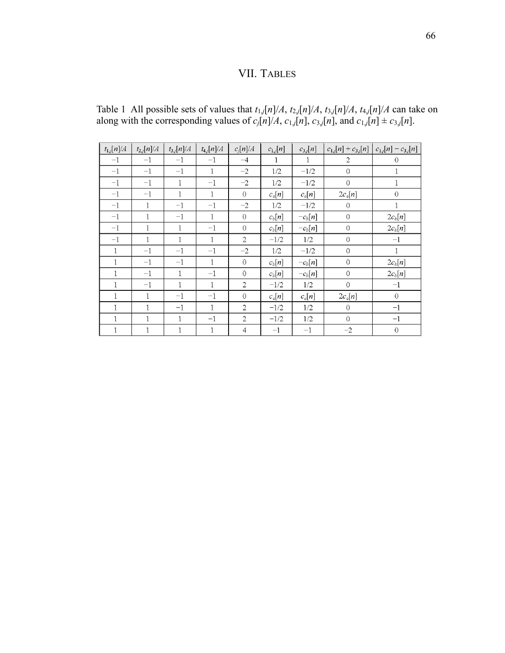## VII. TABLES

|  |                                                                                                                     |  | Table 1 All possible sets of values that $t_{1,j}[n]/A$ , $t_{2,j}[n]/A$ , $t_{3,j}[n]/A$ , $t_{4,j}[n]/A$ can take on |  |
|--|---------------------------------------------------------------------------------------------------------------------|--|------------------------------------------------------------------------------------------------------------------------|--|
|  | along with the corresponding values of $c_i[n]/A$ , $c_{1,i}[n]$ , $c_{3,i}[n]$ , and $c_{1,i}[n] \pm c_{3,i}[n]$ . |  |                                                                                                                        |  |

| $t_{1,j}[n]/A$ | $t_{2,j}[n]/A$ | $t_{3,j}[n]/A$ | $t_{4,j}[n]/A$ | $c_i[n]/A$     | $c_{1,j}[n]$ | $c_{3,j}[n]$ | $c_{1,j}[n] + c_{3,j}[n]$ | $c_{1,j}[n] - c_{3,j}[n]$ |
|----------------|----------------|----------------|----------------|----------------|--------------|--------------|---------------------------|---------------------------|
| $-1$           | $-1$           | $-1$           | $-1$           | $-4$           |              | 1            | $\overline{2}$            | $\Omega$                  |
| $^{-1}$        | $^{-1}$        | $^{-1}$        | $\mathbf{1}$   | $-2$           | 1/2          | $-1/2$       | $\mathbf{0}$              | 1                         |
| $-1$           | $-1$           | 1              | $-1$           | $-2$           | 1/2          | $-1/2$       | $\theta$                  | 1                         |
| $^{-1}$        | $^{-1}$        | $\mathbf{1}$   | $\mathbf{1}$   | $\overline{O}$ | $c_a[n]$     | $c_a[n]$     | $2c_a[n]$                 | $\overline{0}$            |
| $-1$           | $\mathbf{1}$   | $-1$           | $-1$           | $-2$           | 1/2          | $-1/2$       | $\theta$                  | $\mathbf{1}$              |
| $-1$           | 1              | $-1$           | 1              | $\mathbf{O}$   | $c_b[n]$     | $-c_b[n]$    | $\sqrt{0}$                | $2c_b[n]$                 |
| $^{-1}$        | $\mathbf{1}$   | $\mathbf{1}$   | $^{-1}$        | $\overline{0}$ | $c_b[n]$     | $-c_b[n]$    | $\rm{O}$                  | $2c_b[n]$                 |
| $-1$           | 1              | 1              | $\mathbf{1}$   | 2              | $-1/2$       | 1/2          | $\theta$                  | $-1$                      |
| $\mathbf{1}$   | $-1$           | $-1$           | $-1$           | $-2$           | 1/2          | $-1/2$       | $\boldsymbol{0}$          | $\mathbf{1}$              |
| $\mathbf{1}$   | $-1$           | $-1$           | 1              | $\overline{0}$ | $c_b[n]$     | $-c_b[n]$    | $\boldsymbol{0}$          | $2c_b[n]$                 |
| 1              | $-1$           | $\mathbf{1}$   | $-1$           | $\Omega$       | $c_b[n]$     | $-c_b[n]$    | $\overline{0}$            | $2c_b[n]$                 |
| $\mathbf{1}$   | $-1$           | $\mathbf{1}$   | $\mathbf{1}$   | $\overline{2}$ | $-1/2$       | 1/2          | $\mathbf{0}$              | $^{-1}$                   |
| $\mathbf{1}$   | 1              | $-1$           | $-1$           | $\Omega$       | $c_a[n]$     | $c_a[n]$     | $2c_a[n]$                 | $\overline{0}$            |
| 1              | $\mathbf{1}$   | $-1$           | $\mathbf{1}$   | $\overline{2}$ | $-1/2$       | 1/2          | $\mathbf{O}$              | $-1$                      |
| 1              | $\mathbf{1}$   | $\mathbf{1}$   | $^{-1}$        | $\overline{c}$ | $-1/2$       | 1/2          | $\overline{O}$            | $-1$                      |
| 1              | 1              | 1              | $\mathbf{1}$   | $\overline{4}$ | $-1$         | $^{-1}$      | $-2$                      | $\theta$                  |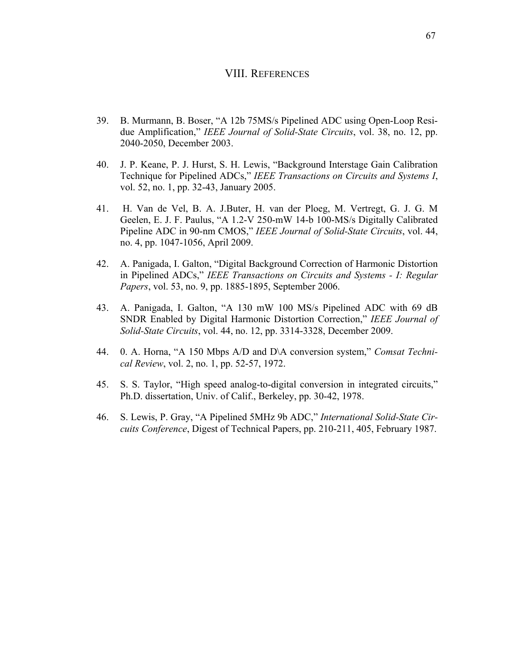## VIII. REFERENCES

- 39. B. Murmann, B. Boser, "A 12b 75MS/s Pipelined ADC using Open-Loop Residue Amplification," *IEEE Journal of Solid-State Circuits*, vol. 38, no. 12, pp. 2040-2050, December 2003.
- 40. J. P. Keane, P. J. Hurst, S. H. Lewis, "Background Interstage Gain Calibration Technique for Pipelined ADCs," *IEEE Transactions on Circuits and Systems I*, vol. 52, no. 1, pp. 32-43, January 2005.
- 41. H. Van de Vel, B. A. J.Buter, H. van der Ploeg, M. Vertregt, G. J. G. M Geelen, E. J. F. Paulus, "A 1.2-V 250-mW 14-b 100-MS/s Digitally Calibrated Pipeline ADC in 90-nm CMOS," *IEEE Journal of Solid-State Circuits*, vol. 44, no. 4, pp. 1047-1056, April 2009.
- 42. A. Panigada, I. Galton, "Digital Background Correction of Harmonic Distortion in Pipelined ADCs," *IEEE Transactions on Circuits and Systems - I: Regular Papers*, vol. 53, no. 9, pp. 1885-1895, September 2006.
- 43. A. Panigada, I. Galton, "A 130 mW 100 MS/s Pipelined ADC with 69 dB SNDR Enabled by Digital Harmonic Distortion Correction," *IEEE Journal of Solid-State Circuits*, vol. 44, no. 12, pp. 3314-3328, December 2009.
- 44. 0. A. Horna, "A 150 Mbps A/D and D\A conversion system," *Comsat Technical Review*, vol. 2, no. 1, pp. 52-57, 1972.
- 45. S. S. Taylor, "High speed analog-to-digital conversion in integrated circuits," Ph.D. dissertation, Univ. of Calif., Berkeley, pp. 30-42, 1978.
- 46. S. Lewis, P. Gray, "A Pipelined 5MHz 9b ADC," *International Solid-State Circuits Conference*, Digest of Technical Papers, pp. 210-211, 405, February 1987.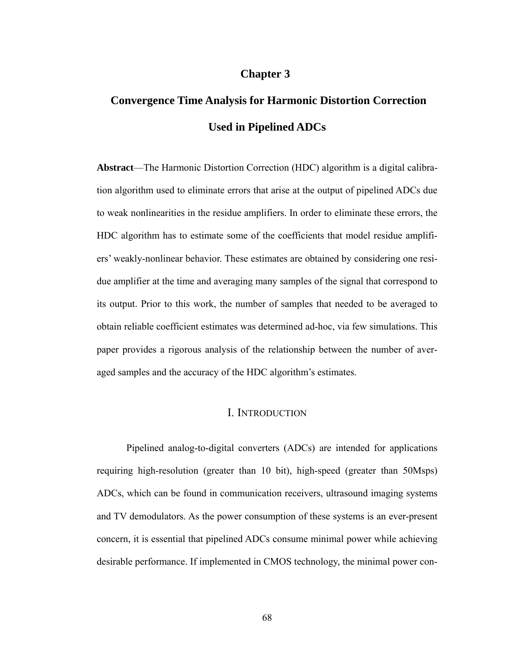## **Chapter 3**

# **Convergence Time Analysis for Harmonic Distortion Correction Used in Pipelined ADCs**

**Abstract**—The Harmonic Distortion Correction (HDC) algorithm is a digital calibration algorithm used to eliminate errors that arise at the output of pipelined ADCs due to weak nonlinearities in the residue amplifiers. In order to eliminate these errors, the HDC algorithm has to estimate some of the coefficients that model residue amplifiers' weakly-nonlinear behavior. These estimates are obtained by considering one residue amplifier at the time and averaging many samples of the signal that correspond to its output. Prior to this work, the number of samples that needed to be averaged to obtain reliable coefficient estimates was determined ad-hoc, via few simulations. This paper provides a rigorous analysis of the relationship between the number of averaged samples and the accuracy of the HDC algorithm's estimates.

#### I. INTRODUCTION

Pipelined analog-to-digital converters (ADCs) are intended for applications requiring high-resolution (greater than 10 bit), high-speed (greater than 50Msps) ADCs, which can be found in communication receivers, ultrasound imaging systems and TV demodulators. As the power consumption of these systems is an ever-present concern, it is essential that pipelined ADCs consume minimal power while achieving desirable performance. If implemented in CMOS technology, the minimal power con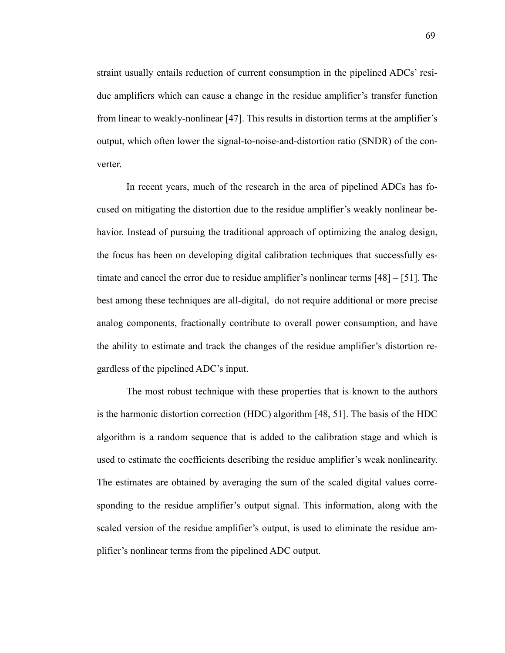straint usually entails reduction of current consumption in the pipelined ADCs' residue amplifiers which can cause a change in the residue amplifier's transfer function from linear to weakly-nonlinear [47]. This results in distortion terms at the amplifier's output, which often lower the signal-to-noise-and-distortion ratio (SNDR) of the converter.

In recent years, much of the research in the area of pipelined ADCs has focused on mitigating the distortion due to the residue amplifier's weakly nonlinear behavior. Instead of pursuing the traditional approach of optimizing the analog design, the focus has been on developing digital calibration techniques that successfully estimate and cancel the error due to residue amplifier's nonlinear terms [48] – [51]. The best among these techniques are all-digital, do not require additional or more precise analog components, fractionally contribute to overall power consumption, and have the ability to estimate and track the changes of the residue amplifier's distortion regardless of the pipelined ADC's input.

The most robust technique with these properties that is known to the authors is the harmonic distortion correction (HDC) algorithm [48, 51]. The basis of the HDC algorithm is a random sequence that is added to the calibration stage and which is used to estimate the coefficients describing the residue amplifier's weak nonlinearity. The estimates are obtained by averaging the sum of the scaled digital values corresponding to the residue amplifier's output signal. This information, along with the scaled version of the residue amplifier's output, is used to eliminate the residue amplifier's nonlinear terms from the pipelined ADC output.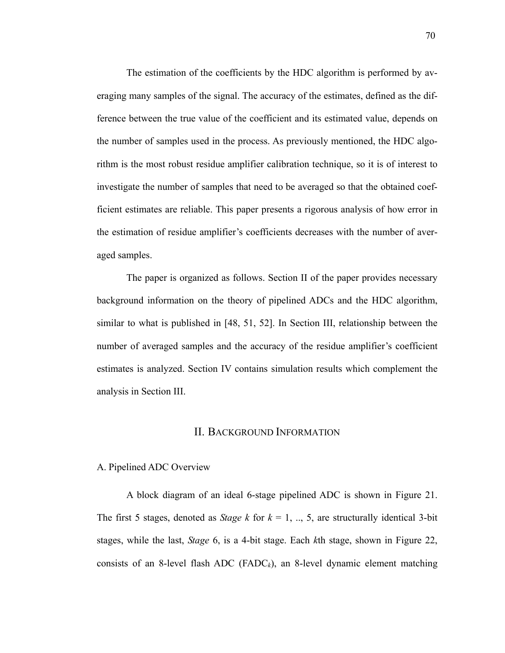The estimation of the coefficients by the HDC algorithm is performed by averaging many samples of the signal. The accuracy of the estimates, defined as the difference between the true value of the coefficient and its estimated value, depends on the number of samples used in the process. As previously mentioned, the HDC algorithm is the most robust residue amplifier calibration technique, so it is of interest to investigate the number of samples that need to be averaged so that the obtained coefficient estimates are reliable. This paper presents a rigorous analysis of how error in the estimation of residue amplifier's coefficients decreases with the number of averaged samples.

The paper is organized as follows. Section II of the paper provides necessary background information on the theory of pipelined ADCs and the HDC algorithm, similar to what is published in [48, 51, 52]. In Section III, relationship between the number of averaged samples and the accuracy of the residue amplifier's coefficient estimates is analyzed. Section IV contains simulation results which complement the analysis in Section III.

#### II. BACKGROUND INFORMATION

#### A. Pipelined ADC Overview

A block diagram of an ideal 6-stage pipelined ADC is shown in Figure 21. The first 5 stages, denoted as *Stage k* for  $k = 1, ..., 5$ , are structurally identical 3-bit stages, while the last, *Stage* 6, is a 4-bit stage. Each *k*th stage, shown in Figure 22, consists of an 8-level flash ADC (FADC<sub>k</sub>), an 8-level dynamic element matching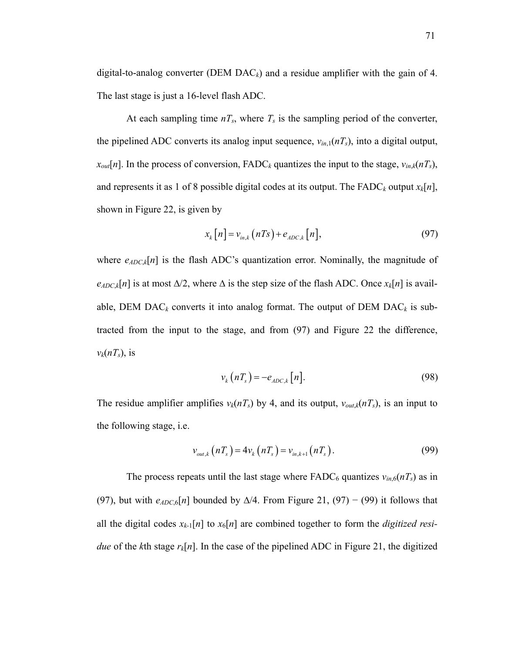digital-to-analog converter (DEM  $\text{DAC}_k$ ) and a residue amplifier with the gain of 4. The last stage is just a 16-level flash ADC.

At each sampling time  $n_s$ , where  $T_s$  is the sampling period of the converter, the pipelined ADC converts its analog input sequence,  $v_{in,1}(nT_s)$ , into a digital output,  $x_{out}[n]$ . In the process of conversion, FADC<sub>k</sub> quantizes the input to the stage,  $v_{in,k}(nT_s)$ , and represents it as 1 of 8 possible digital codes at its output. The FADC<sub>k</sub> output  $x_k[n]$ , shown in Figure 22, is given by

$$
x_k[n] = v_{in,k}(nTs) + e_{ADC,k}[n],
$$
\n(97)

where  $e_{ADC,k}[n]$  is the flash ADC's quantization error. Nominally, the magnitude of  $e_{ADC,k}[n]$  is at most  $\Delta/2$ , where  $\Delta$  is the step size of the flash ADC. Once  $x_k[n]$  is available, DEM DAC<sub>k</sub> converts it into analog format. The output of DEM DAC<sub>k</sub> is subtracted from the input to the stage, and from (97) and Figure 22 the difference,  $v_k(nT_s)$ , is

$$
v_k(nT_s) = -e_{ADC,k}[n].
$$
\n(98)

The residue amplifier amplifies  $v_k(nT_s)$  by 4, and its output,  $v_{out,k}(nT_s)$ , is an input to the following stage, i.e.

$$
v_{out,k}(nT_s) = 4v_k(nT_s) = v_{in,k+1}(nT_s).
$$
\n(99)

The process repeats until the last stage where  $FADC_6$  quantizes  $v_{in,6}(nT_s)$  as in (97), but with  $e_{ADC,6}[n]$  bounded by  $\Delta/4$ . From Figure 21, (97) – (99) it follows that all the digital codes  $x_{k-1}[n]$  to  $x_6[n]$  are combined together to form the *digitized residue* of the *k*th stage  $r_k[n]$ . In the case of the pipelined ADC in Figure 21, the digitized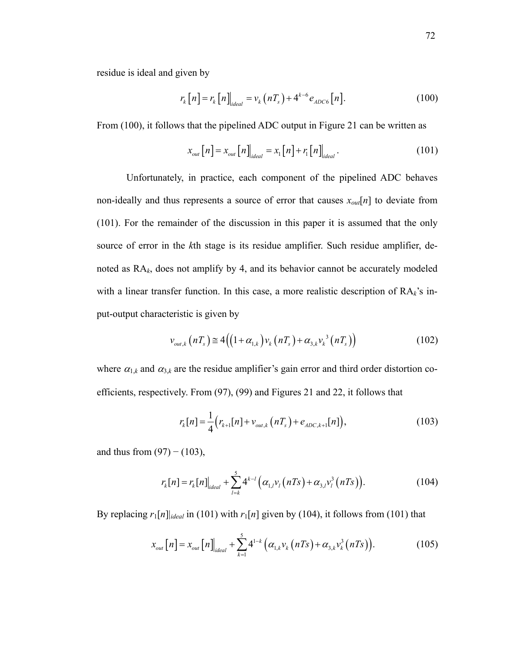residue is ideal and given by

$$
r_{k}[n] = r_{k}[n]_{ideal} = v_{k}(nT_{s}) + 4^{k-6} e_{ADC6}[n].
$$
 (100)

From (100), it follows that the pipelined ADC output in Figure 21 can be written as

$$
x_{out}[n] = x_{out}[n]\Big|_{ideal} = x_1[n] + r_1[n]\Big|_{ideal}.
$$
 (101)

Unfortunately, in practice, each component of the pipelined ADC behaves non-ideally and thus represents a source of error that causes  $x_{out}[n]$  to deviate from (101). For the remainder of the discussion in this paper it is assumed that the only source of error in the *k*th stage is its residue amplifier. Such residue amplifier, denoted as RA*k*, does not amplify by 4, and its behavior cannot be accurately modeled with a linear transfer function. In this case, a more realistic description of RA*k*'s input-output characteristic is given by

$$
\nu_{out,k}\left(nT_s\right) \cong 4\Big(\Big(1+\alpha_{1,k}\Big)\nu_k\left(nT_s\right)+\alpha_{3,k}\nu_k^3\left(nT_s\right)\Big) \tag{102}
$$

where  $\alpha_{1,k}$  and  $\alpha_{3,k}$  are the residue amplifier's gain error and third order distortion coefficients, respectively. From (97), (99) and Figures 21 and 22, it follows that

$$
r_{k}[n] = \frac{1}{4} (r_{k+1}[n] + v_{out,k}(nT_{s}) + e_{ADC,k+1}[n]),
$$
\n(103)

and thus from  $(97)$  –  $(103)$ ,

$$
r_{k}[n] = r_{k}[n]_{ideal} + \sum_{l=k}^{5} 4^{k-l} \left( \alpha_{1,l} v_{l}(nT_{S}) + \alpha_{3,l} v_{l}^{3}(nT_{S}) \right).
$$
 (104)

By replacing  $r_1[n]_{ideal}$  in (101) with  $r_1[n]$  given by (104), it follows from (101) that

$$
x_{out}[n] = x_{out}[n]\Big|_{ideal} + \sum_{k=1}^{5} 4^{1-k} \left( \alpha_{1,k} v_k(nTs) + \alpha_{3,k} v_k^3(nTs) \right). \tag{105}
$$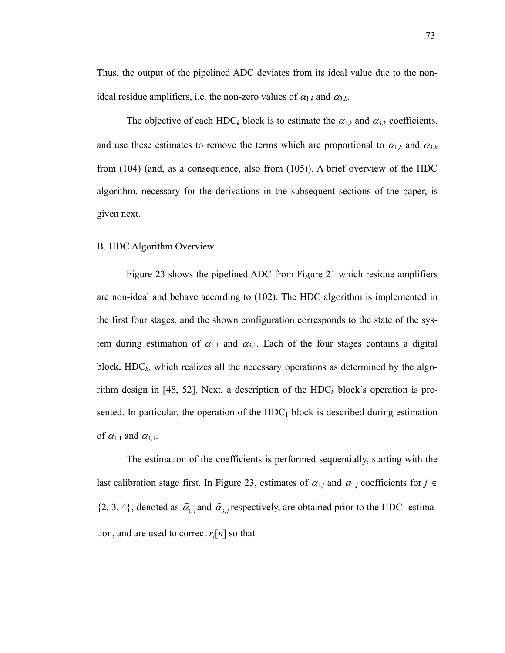Thus, the output of the pipelined ADC deviates from its ideal value due to the nonideal residue amplifiers, i.e. the non-zero values of  $\alpha_{1,k}$  and  $\alpha_{3,k}$ .

The objective of each HDC<sub>k</sub> block is to estimate the  $\alpha_{1,k}$  and  $\alpha_{3,k}$  coefficients, and use these estimates to remove the terms which are proportional to  $\alpha_{1,k}$  and  $\alpha_{3,k}$ from (104) (and, as a consequence, also from (105)). A brief overview of the HDC algorithm, necessary for the derivations in the subsequent sections of the paper, is given next.

#### B. HDC Algorithm Overview

Figure 23 shows the pipelined ADC from Figure 21 which residue amplifiers are non-ideal and behave according to (102). The HDC algorithm is implemented in the first four stages, and the shown configuration corresponds to the state of the system during estimation of  $\alpha_{1,1}$  and  $\alpha_{3,1}$ . Each of the four stages contains a digital block,  $HDC_k$ , which realizes all the necessary operations as determined by the algorithm design in [48, 52]. Next, a description of the  $HDC_k$  block's operation is presented. In particular, the operation of the  $HDC<sub>1</sub>$  block is described during estimation of  $\alpha_{1,1}$  and  $\alpha_{3,1}$ .

The estimation of the coefficients is performed sequentially, starting with the last calibration stage first. In Figure 23, estimates of  $\alpha_{1,j}$  and  $\alpha_{3,j}$  coefficients for  $j \in$  $\{2, 3, 4\}$ , denoted as  $\tilde{\alpha}_{1,i}$  and  $\tilde{\alpha}_{3,i}$  respectively, are obtained prior to the HDC<sub>1</sub> estimation, and are used to correct  $r_i[n]$  so that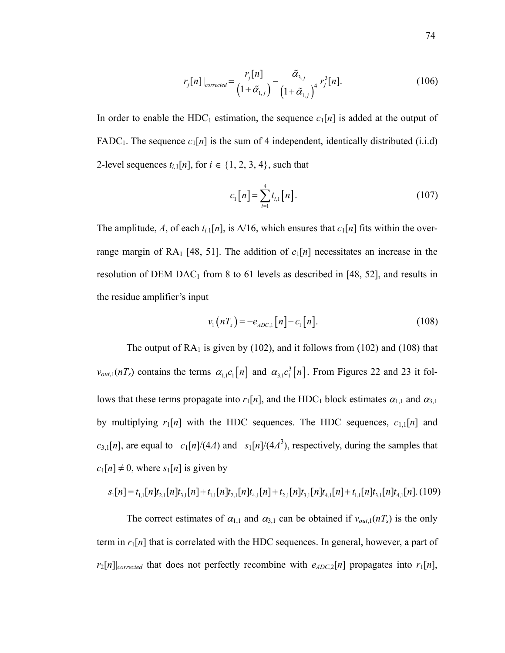$$
r_{j}[n]|_{corrected} = \frac{r_{j}[n]}{(1+\tilde{\alpha}_{1,j})} - \frac{\tilde{\alpha}_{3,j}}{(1+\tilde{\alpha}_{1,j})^{4}} r_{j}^{3}[n].
$$
 (106)

In order to enable the HDC<sub>1</sub> estimation, the sequence  $c_1[n]$  is added at the output of FADC<sub>1</sub>. The sequence  $c_1[n]$  is the sum of 4 independent, identically distributed (i.i.d) 2-level sequences  $t_{i,1}[n]$ , for  $i \in \{1, 2, 3, 4\}$ , such that

$$
c_1[n] = \sum_{i=1}^{4} t_{i,1}[n].
$$
 (107)

The amplitude, A, of each  $t_{i,1}[n]$ , is  $\Delta/16$ , which ensures that  $c_1[n]$  fits within the overrange margin of RA<sub>1</sub> [48, 51]. The addition of  $c_1[n]$  necessitates an increase in the resolution of DEM DAC<sub>1</sub> from 8 to 61 levels as described in [48, 52], and results in the residue amplifier's input

$$
v_1(nT_s) = -e_{ADC,1}[n] - c_1[n].
$$
 (108)

The output of  $RA_1$  is given by (102), and it follows from (102) and (108) that  $v_{out,1}(nT_s)$  contains the terms  $\alpha_{1,1} c_1[n]$  and  $\alpha_{3,1} c_1^{3}[n]$ . From Figures 22 and 23 it follows that these terms propagate into  $r_1[n]$ , and the HDC<sub>1</sub> block estimates  $\alpha_{1,1}$  and  $\alpha_{3,1}$ by multiplying  $r_1[n]$  with the HDC sequences. The HDC sequences,  $c_{1,1}[n]$  and  $c_{3,1}[n]$ , are equal to  $-c_1[n]/(4A)$  and  $-s_1[n]/(4A^3)$ , respectively, during the samples that  $c_1[n] \neq 0$ , where  $s_1[n]$  is given by

$$
s_1[n] = t_{1,1}[n]t_{2,1}[n]t_{3,1}[n] + t_{1,1}[n]t_{2,1}[n]t_{4,1}[n] + t_{2,1}[n]t_{3,1}[n]t_{4,1}[n] + t_{1,1}[n]t_{3,1}[n]t_{4,1}[n] \tag{109}
$$

The correct estimates of  $\alpha_{1,1}$  and  $\alpha_{3,1}$  can be obtained if  $v_{out,1}(nT_s)$  is the only term in  $r_1[n]$  that is correlated with the HDC sequences. In general, however, a part of  $r_2[n]$ <sub>corrected</sub> that does not perfectly recombine with  $e_{ADC,2}[n]$  propagates into  $r_1[n]$ ,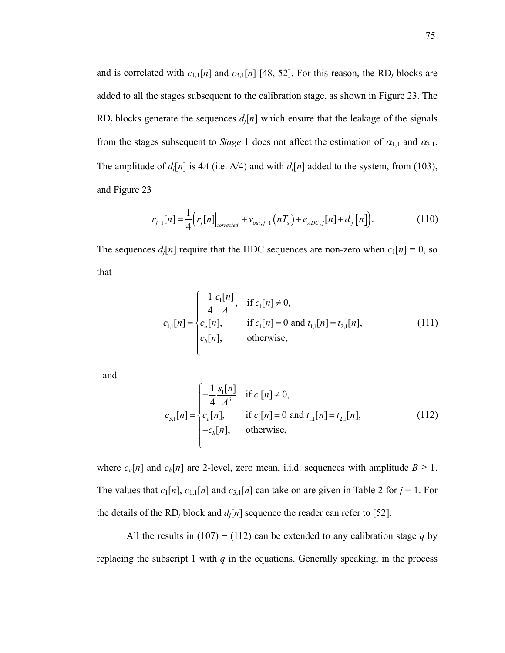and is correlated with  $c_{1,1}[n]$  and  $c_{3,1}[n]$  [48, 52]. For this reason, the RD<sub>*i*</sub> blocks are added to all the stages subsequent to the calibration stage, as shown in Figure 23. The RD<sub>i</sub> blocks generate the sequences  $d_i[n]$  which ensure that the leakage of the signals from the stages subsequent to *Stage* 1 does not affect the estimation of  $\alpha_{1,1}$  and  $\alpha_{3,1}$ . The amplitude of  $d_i[n]$  is 4A (i.e.  $\Delta/4$ ) and with  $d_i[n]$  added to the system, from (103), and Figure 23

$$
r_{j-1}[n] = \frac{1}{4} (r_j[n] \Big|_{corrected} + v_{out,j-1}(nT_s) + e_{ADC,j}[n] + d_j[n] ).
$$
 (110)

The sequences  $d_i[n]$  require that the HDC sequences are non-zero when  $c_1[n] = 0$ , so that

$$
c_{1,1}[n] = \begin{cases} -\frac{1}{4} \frac{c_1[n]}{A}, & \text{if } c_1[n] \neq 0, \\ c_a[n], & \text{if } c_1[n] = 0 \text{ and } t_{1,1}[n] = t_{2,1}[n], \\ c_b[n], & \text{otherwise,} \end{cases}
$$
(111)

and

$$
c_{3,1}[n] = \begin{cases} -\frac{1}{4} \frac{s_1[n]}{A^3} & \text{if } c_1[n] \neq 0, \\ c_a[n], & \text{if } c_1[n] = 0 \text{ and } t_{1,1}[n] = t_{2,1}[n], \\ -c_b[n], & \text{otherwise,} \end{cases}
$$
(112)

where  $c_a[n]$  and  $c_b[n]$  are 2-level, zero mean, i.i.d. sequences with amplitude  $B \ge 1$ . The values that  $c_1[n]$ ,  $c_{1,1}[n]$  and  $c_{3,1}[n]$  can take on are given in Table 2 for  $j = 1$ . For the details of the RD<sub>i</sub> block and  $d_i[n]$  sequence the reader can refer to [52].

All the results in  $(107) - (112)$  can be extended to any calibration stage q by replacing the subscript 1 with  $q$  in the equations. Generally speaking, in the process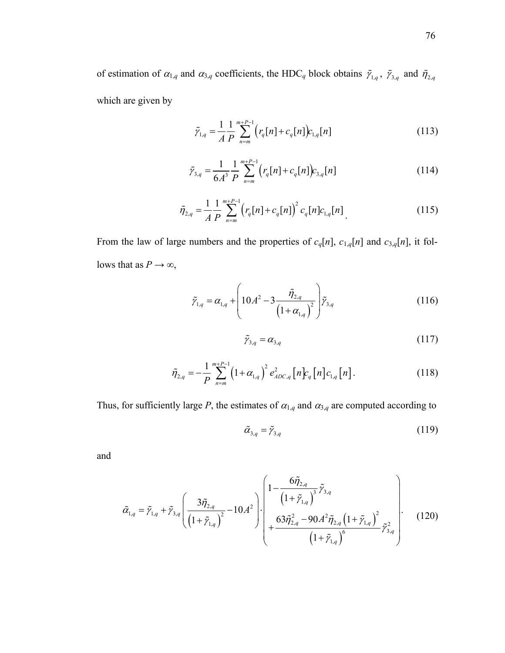of estimation of  $\alpha_{1,q}$  and  $\alpha_{3,q}$  coefficients, the HDC<sub>*q*</sub> block obtains  $\tilde{\gamma}_{1,q}$ ,  $\tilde{\gamma}_{3,q}$  and  $\tilde{\eta}_{2,q}$ which are given by

$$
\tilde{\gamma}_{1,q} = \frac{1}{A} \frac{1}{P} \sum_{n=m}^{m+P-1} \left( r_q[n] + c_q[n] \right) c_{1,q}[n] \tag{113}
$$

$$
\tilde{\gamma}_{3,q} = \frac{1}{6A^3} \frac{1}{P} \sum_{n=m}^{m+P-1} \left( r_q[n] + c_q[n] \right) c_{3,q}[n] \tag{114}
$$

$$
\tilde{\eta}_{2,q} = \frac{1}{A} \frac{1}{P} \sum_{n=m}^{m+P-1} \left( r_q[n] + c_q[n] \right)^2 c_q[n] c_{1,q}[n] \tag{115}
$$

From the law of large numbers and the properties of  $c_q[n]$ ,  $c_{1,q}[n]$  and  $c_{3,q}[n]$ , it follows that as  $P \rightarrow \infty$ ,

$$
\tilde{\gamma}_{1,q} = \alpha_{1,q} + \left(10A^2 - 3\frac{\tilde{\eta}_{2,q}}{\left(1 + \alpha_{1,q}\right)^2}\right)\tilde{\gamma}_{3,q}
$$
\n(116)

$$
\tilde{\gamma}_{3,q} = \alpha_{3,q} \tag{117}
$$

$$
\tilde{\eta}_{2,q} = -\frac{1}{P} \sum_{n=m}^{m+P-1} \left( 1 + \alpha_{1,q} \right)^2 e_{ADC,q}^2 \left[ n \right] c_{1,q} \left[ n \right]. \tag{118}
$$

Thus, for sufficiently large *P*, the estimates of  $\alpha_{1,q}$  and  $\alpha_{3,q}$  are computed according to

$$
\tilde{\alpha}_{3,q} = \tilde{r}_{3,q} \tag{119}
$$

and

$$
\tilde{\alpha}_{1,q} = \tilde{r}_{1,q} + \tilde{r}_{3,q} \left( \frac{3\tilde{\eta}_{2,q}}{\left(1 + \tilde{r}_{1,q}\right)^2} - 10A^2 \right) \cdot \left( \frac{1 - \frac{6\tilde{\eta}_{2,q}}{\left(1 + \tilde{r}_{1,q}\right)^3} \tilde{r}_{3,q}} + \frac{63\tilde{\eta}_{2,q}^2 - 90A^2 \tilde{\eta}_{2,q} \left(1 + \tilde{r}_{1,q}\right)^2}{\left(1 + \tilde{r}_{1,q}\right)^6} \tilde{r}_{3,q}^2 \right) \right).
$$
(120)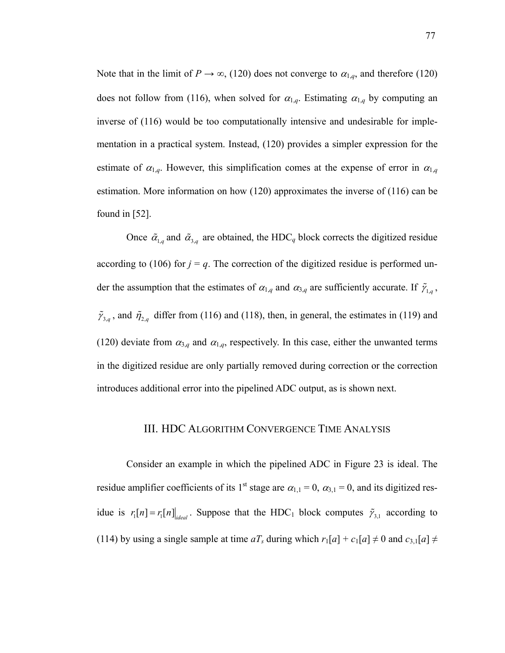Note that in the limit of  $P \to \infty$ , (120) does not converge to  $\alpha_{1,q}$ , and therefore (120) does not follow from (116), when solved for  $\alpha_{1,q}$ . Estimating  $\alpha_{1,q}$  by computing an inverse of (116) would be too computationally intensive and undesirable for implementation in a practical system. Instead, (120) provides a simpler expression for the estimate of  $\alpha_{1,q}$ . However, this simplification comes at the expense of error in  $\alpha_{1,q}$ estimation. More information on how (120) approximates the inverse of (116) can be found in [52].

Once  $\tilde{\alpha}_{1,q}$  and  $\tilde{\alpha}_{3,q}$  are obtained, the HDC<sub>q</sub> block corrects the digitized residue according to (106) for  $j = q$ . The correction of the digitized residue is performed under the assumption that the estimates of  $\alpha_{1,q}$  and  $\alpha_{3,q}$  are sufficiently accurate. If  $\tilde{\gamma}_{1,q}$ ,  $\tilde{\gamma}_{3,q}$ , and  $\tilde{\eta}_{2,q}$  differ from (116) and (118), then, in general, the estimates in (119) and (120) deviate from  $\alpha_{3,q}$  and  $\alpha_{1,q}$ , respectively. In this case, either the unwanted terms in the digitized residue are only partially removed during correction or the correction introduces additional error into the pipelined ADC output, as is shown next.

#### III. HDC ALGORITHM CONVERGENCE TIME ANALYSIS

Consider an example in which the pipelined ADC in Figure 23 is ideal. The residue amplifier coefficients of its 1<sup>st</sup> stage are  $\alpha_{1,1} = 0$ ,  $\alpha_{3,1} = 0$ , and its digitized residue is  $r_1[n] = r_1[n]$ <sub>ideal</sub>. Suppose that the HDC<sub>1</sub> block computes  $\tilde{\gamma}_{3,1}$  according to (114) by using a single sample at time  $aT_s$  during which  $r_1[a] + c_1[a] \neq 0$  and  $c_{3,1}[a] \neq 0$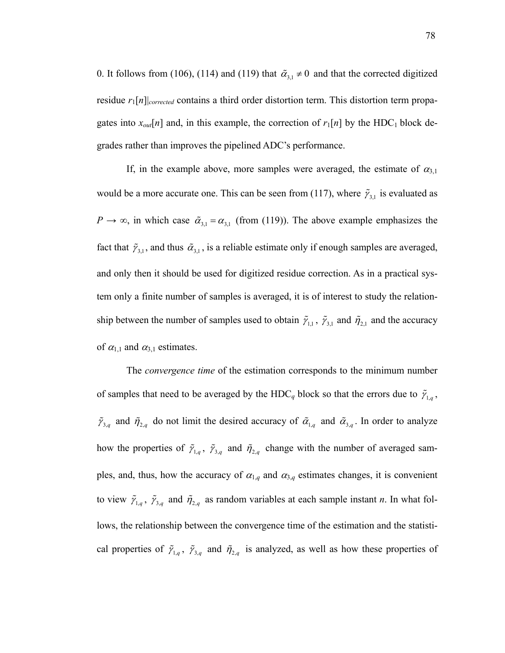0. It follows from (106), (114) and (119) that  $\tilde{\alpha}_{3,1} \neq 0$  and that the corrected digitized residue *r*1[*n*]|*corrected* contains a third order distortion term. This distortion term propagates into  $x_{out}[n]$  and, in this example, the correction of  $r_1[n]$  by the HDC<sub>1</sub> block degrades rather than improves the pipelined ADC's performance.

If, in the example above, more samples were averaged, the estimate of  $\alpha_{3,1}$ would be a more accurate one. This can be seen from (117), where  $\tilde{\gamma}_{3,1}$  is evaluated as  $P \rightarrow \infty$ , in which case  $\tilde{\alpha}_{3,1} = \alpha_{3,1}$  (from (119)). The above example emphasizes the fact that  $\tilde{\gamma}_{3,1}$ , and thus  $\tilde{\alpha}_{3,1}$ , is a reliable estimate only if enough samples are averaged, and only then it should be used for digitized residue correction. As in a practical system only a finite number of samples is averaged, it is of interest to study the relationship between the number of samples used to obtain  $\tilde{\gamma}_{1,1}$ ,  $\tilde{\gamma}_{3,1}$  and  $\tilde{\eta}_{2,1}$  and the accuracy of  $\alpha_{1,1}$  and  $\alpha_{3,1}$  estimates.

The *convergence time* of the estimation corresponds to the minimum number of samples that need to be averaged by the HDC<sub>q</sub> block so that the errors due to  $\tilde{\gamma}_{1,q}$ ,  $\tilde{\gamma}_{3,q}$  and  $\tilde{\eta}_{2,q}$  do not limit the desired accuracy of  $\tilde{\alpha}_{1,q}$  and  $\tilde{\alpha}_{3,q}$ . In order to analyze how the properties of  $\tilde{\gamma}_{1,q}$ ,  $\tilde{\gamma}_{3,q}$  and  $\tilde{\eta}_{2,q}$  change with the number of averaged samples, and, thus, how the accuracy of  $\alpha_{1,q}$  and  $\alpha_{3,q}$  estimates changes, it is convenient to view  $\tilde{\gamma}_{1,q}$ ,  $\tilde{\gamma}_{3,q}$  and  $\tilde{\eta}_{2,q}$  as random variables at each sample instant *n*. In what follows, the relationship between the convergence time of the estimation and the statistical properties of  $\tilde{\gamma}_{1,q}$ ,  $\tilde{\gamma}_{3,q}$  and  $\tilde{\eta}_{2,q}$  is analyzed, as well as how these properties of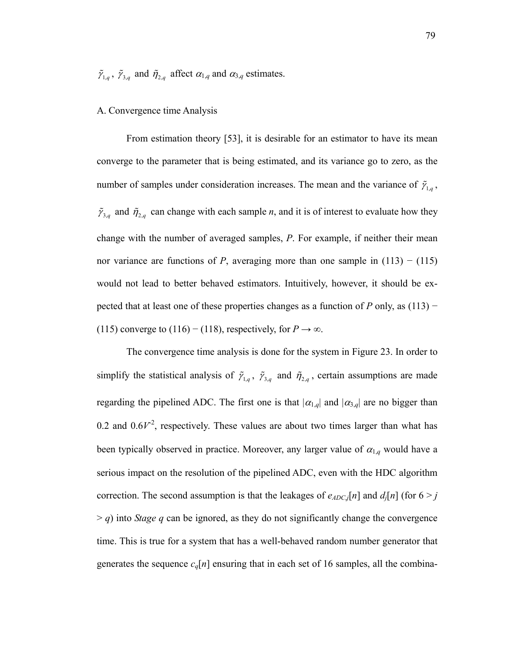$\tilde{\gamma}_{1,q}$ ,  $\tilde{\gamma}_{3,q}$  and  $\tilde{\eta}_{2,q}$  affect  $\alpha_{1,q}$  and  $\alpha_{3,q}$  estimates.

#### A. Convergence time Analysis

From estimation theory [53], it is desirable for an estimator to have its mean converge to the parameter that is being estimated, and its variance go to zero, as the number of samples under consideration increases. The mean and the variance of  $\tilde{\gamma}_{1,q}$ ,  $\tilde{\gamma}_{3,q}$  and  $\tilde{\eta}_{2,q}$  can change with each sample *n*, and it is of interest to evaluate how they change with the number of averaged samples, *P*. For example, if neither their mean nor variance are functions of *P*, averaging more than one sample in  $(113) - (115)$ would not lead to better behaved estimators. Intuitively, however, it should be expected that at least one of these properties changes as a function of *P* only, as (113) − (115) converge to (116) – (118), respectively, for  $P \to \infty$ .

The convergence time analysis is done for the system in Figure 23. In order to simplify the statistical analysis of  $\tilde{\gamma}_{1,q}$ ,  $\tilde{\gamma}_{3,q}$  and  $\tilde{\eta}_{2,q}$ , certain assumptions are made regarding the pipelined ADC. The first one is that  $|\alpha_{1,q}|$  and  $|\alpha_{3,q}|$  are no bigger than 0.2 and  $0.6V<sup>2</sup>$ , respectively. These values are about two times larger than what has been typically observed in practice. Moreover, any larger value of  $\alpha_{1,q}$  would have a serious impact on the resolution of the pipelined ADC, even with the HDC algorithm correction. The second assumption is that the leakages of  $e_{ADC,j}[n]$  and  $d_j[n]$  (for  $6 > j$  $> q$ ) into *Stage q* can be ignored, as they do not significantly change the convergence time. This is true for a system that has a well-behaved random number generator that generates the sequence  $c_q[n]$  ensuring that in each set of 16 samples, all the combina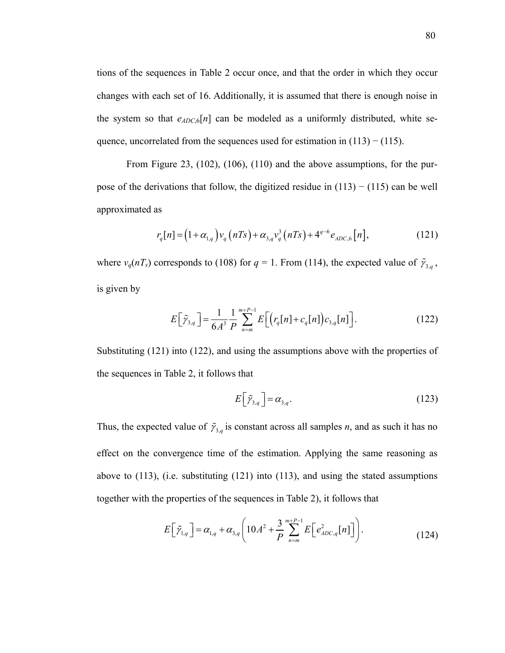tions of the sequences in Table 2 occur once, and that the order in which they occur changes with each set of 16. Additionally, it is assumed that there is enough noise in the system so that  $e_{ADC}$ <sup>[n]</sup> can be modeled as a uniformly distributed, white sequence, uncorrelated from the sequences used for estimation in  $(113) - (115)$ .

From Figure 23, (102), (106), (110) and the above assumptions, for the purpose of the derivations that follow, the digitized residue in  $(113) - (115)$  can be well approximated as

$$
r_q[n] = (1 + \alpha_{1,q})v_q(nTs) + \alpha_{3,q}v_q^3(nTs) + 4^{q-6}e_{ADC,6}[n],
$$
\n(121)

where  $v_q(nT_s)$  corresponds to (108) for  $q = 1$ . From (114), the expected value of  $\tilde{\gamma}_{3,q}$ , is given by

$$
E\left[\tilde{\gamma}_{3,q}\right] = \frac{1}{6A^3} \frac{1}{P} \sum_{n=m}^{m+P-1} E\left[\left(r_q[n] + c_q[n]\right)c_{3,q}[n]\right].
$$
 (122)

Substituting (121) into (122), and using the assumptions above with the properties of the sequences in Table 2, it follows that

$$
E\left[\tilde{\gamma}_{3,q}\right] = \alpha_{3,q}.\tag{123}
$$

Thus, the expected value of  $\tilde{\gamma}_{3,q}$  is constant across all samples *n*, and as such it has no effect on the convergence time of the estimation. Applying the same reasoning as above to (113), (i.e. substituting (121) into (113), and using the stated assumptions together with the properties of the sequences in Table 2), it follows that

$$
E\Big[\tilde{\gamma}_{1,q}\Big] = \alpha_{1,q} + \alpha_{3,q} \Bigg( 10A^2 + \frac{3}{P} \sum_{n=m}^{m+P-1} E\Big[e_{ADC,q}^2[n]\Big] \Bigg). \tag{124}
$$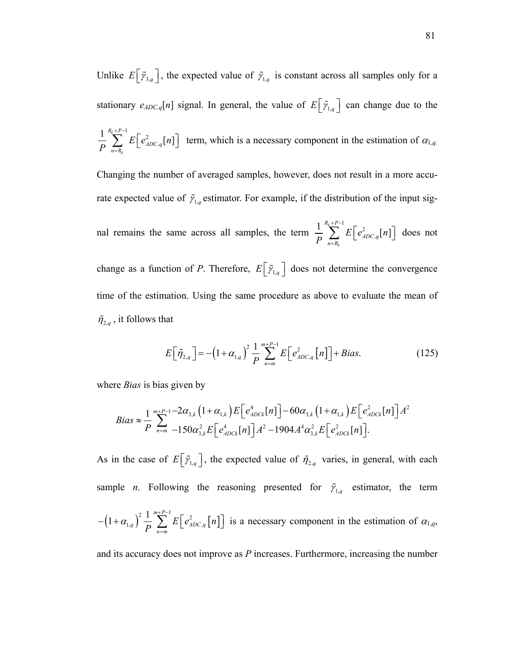Unlike  $E\left[\tilde{\gamma}_{3,q}\right]$ , the expected value of  $\tilde{\gamma}_{1,q}$  is constant across all samples only for a stationary  $e_{ADC,q}[n]$  signal. In general, the value of  $E[\tilde{\gamma}_{1,q}]$  can change due to the <sup>1</sup> $E\sqrt{a^2}$  $\frac{1}{P} \sum_{n=1}^{R_k+P-1} E\left[e_{ADC,q}^2[n]\right]$ *k ADC q n R*  $E|e^2_{ADCa}$ [n *P*  $+P \sum_{n=R_{k}} E\left[e_{ADC,q}^{2}[n]\right]$  term, which is a necessary component in the estimation of  $\alpha_{1,q}$ . Changing the number of averaged samples, however, does not result in a more accurate expected value of  $\tilde{\gamma}_{1,q}$  estimator. For example, if the distribution of the input signal remains the same across all samples, the term <sup>1</sup> $E\sqrt{2}$  $\frac{1}{D} \sum_{i=1}^{R_k+P-1} E\left[\right. e^2_{ADC,q}[n] \right]$ *k*  $R_k + P$ *ADC q n R*  $E|e^2_{ADC}$ <sub>a</sub> $[n]$ *P*  $+P \sum_{n=R_k} E\left[e_{ADC,q}^2[n]\right]$  does not change as a function of *P*. Therefore,  $E\left[\tilde{\gamma}_{1,q}\right]$  does not determine the convergence time of the estimation. Using the same procedure as above to evaluate the mean of  $\tilde{\eta}_{2,q}$ , it follows that

$$
E\left[\tilde{\eta}_{2,q}\right] = -\left(1+\alpha_{1,q}\right)^2 \frac{1}{P} \sum_{n=m}^{m+P-1} E\left[e_{ADC,q}^2\left[n\right]\right] + Bias. \tag{125}
$$

where *Bias* is bias given by

$$
Bias \approx \frac{1}{P} \sum_{n=m}^{m+P-1} -2\alpha_{3,k} \left(1+\alpha_{1,k}\right) E\left[e_{ADCk}^4[n]\right] - 60\alpha_{3,k} \left(1+\alpha_{1,k}\right) E\left[e_{ADCk}^2[n]\right] A^2
$$
  

$$
= 150\alpha_{3,k}^2 E\left[e_{ADCk}^4[n]\right] A^2 - 1904 A^4 \alpha_{3,k}^2 E\left[e_{ADCk}^2[n]\right].
$$

As in the case of  $E\left[\tilde{\gamma}_{1,q}\right]$ , the expected value of  $\tilde{\eta}_{2,q}$  varies, in general, with each sample *n*. Following the reasoning presented for  $\tilde{\gamma}_{1,q}$  estimator, the term  $(1+\alpha_{1,q})^2 \frac{1}{R} \sum_{n=1}^{m+P-1} E\left[e_{ADC,q}^2\left[n\right]\right]$  $\left(1+\alpha_{1,q}\right)^2\frac{1}{R}\sum_{n=1}^{m+P-1}E\left[e_{ADC}^2\right]$  $q \mid \overline{D} \not\sqsubset \overline{D}$   $\mid E \mid \mathcal{E}_{ADC,q}$  $n = m$  $E|e_{ADCa}^2[n]$  $\alpha_{{\scriptscriptstyle 1,q}}$  )  $\,\overline{\,P}$  $+P -\left(1+\alpha_{1,q}\right)^2\frac{1}{P}\sum_{n=m}$   $E\left[e_{ADC,q}^2[n]\right]$  is a necessary component in the estimation of  $\alpha_{1,q}$ ,

and its accuracy does not improve as *P* increases. Furthermore, increasing the number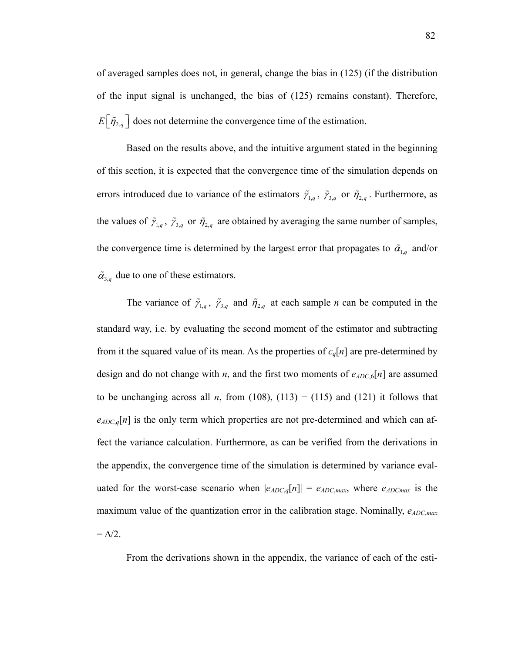of averaged samples does not, in general, change the bias in (125) (if the distribution of the input signal is unchanged, the bias of (125) remains constant). Therefore,  $E\left|\tilde{\eta}_{2,q}\right|$  does not determine the convergence time of the estimation.

Based on the results above, and the intuitive argument stated in the beginning of this section, it is expected that the convergence time of the simulation depends on errors introduced due to variance of the estimators  $\tilde{\gamma}_{1,q}$ ,  $\tilde{\gamma}_{3,q}$  or  $\tilde{\eta}_{2,q}$ . Furthermore, as the values of  $\tilde{\gamma}_{1,q}$ ,  $\tilde{\gamma}_{3,q}$  or  $\tilde{\eta}_{2,q}$  are obtained by averaging the same number of samples, the convergence time is determined by the largest error that propagates to  $\tilde{\alpha}_{1,q}$  and/or  $\tilde{\alpha}_{3a}$  due to one of these estimators.

The variance of  $\tilde{\gamma}_{1,q}$ ,  $\tilde{\gamma}_{3,q}$  and  $\tilde{\eta}_{2,q}$  at each sample *n* can be computed in the standard way, i.e. by evaluating the second moment of the estimator and subtracting from it the squared value of its mean. As the properties of *cq*[*n*] are pre-determined by design and do not change with *n*, and the first two moments of  $e_{ADC,6}[n]$  are assumed to be unchanging across all *n*, from (108), (113) – (115) and (121) it follows that  $e_{ADC,q}[n]$  is the only term which properties are not pre-determined and which can affect the variance calculation. Furthermore, as can be verified from the derivations in the appendix, the convergence time of the simulation is determined by variance evaluated for the worst-case scenario when  $|e_{ADC,q}[n]| = e_{ADC,max}$ , where  $e_{ADC,max}$  is the maximum value of the quantization error in the calibration stage. Nominally,  $e_{ADC,max}$  $=\Delta/2$ .

From the derivations shown in the appendix, the variance of each of the esti-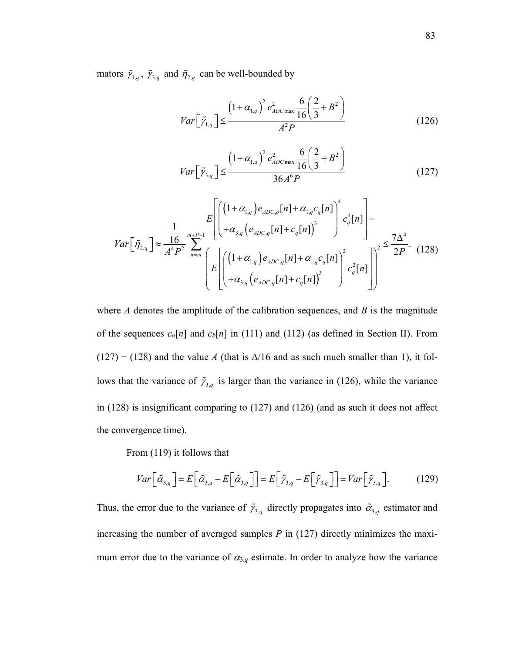mators  $\tilde{\gamma}_{1,q}$ ,  $\tilde{\gamma}_{3,q}$  and  $\tilde{\eta}_{2,q}$  can be well-bounded by

$$
Var\left[\tilde{\gamma}_{1,q}\right] \le \frac{\left(1+\alpha_{1,q}\right)^2 e_{ADC\max}^2 \frac{6}{16}\left(\frac{2}{3}+B^2\right)}{A^2 P} \tag{126}
$$

$$
Var\left[\tilde{\gamma}_{3,q}\right] \le \frac{\left(1+\alpha_{1,q}\right)^2 e_{ADC\max}^2 \frac{6}{16}\left(\frac{2}{3}+B^2\right)}{36A^6 P} \tag{127}
$$

$$
Var\left[\tilde{\eta}_{2,q}\right] \approx \frac{\frac{1}{16}}{A^4 P^2} \sum_{n=m}^{m+P-1} \left[ \left( \frac{\left(1+\alpha_{1,q}\right)e_{ADC,q}[n] + \alpha_{1,q}c_q[n]}{+\alpha_{3,q}\left(e_{ADC,q}[n] + c_q[n]\right)^3} \right)^4 c_q^4[n] \right] - \sum_{n=m}^{m+P-1} \left( E\left[ \left( \frac{\left(1+\alpha_{1,q}\right)e_{ADC,q}[n] + \alpha_{1,q}c_q[n]}{+\alpha_{3,q}\left(e_{ADC,q}[n] + c_q[n]\right)^3} \right)^2 c_q^2[n] \right] \right)^2 \leq \frac{7\Delta^4}{2P}. \tag{128}
$$

where *A* denotes the amplitude of the calibration sequences, and *B* is the magnitude of the sequences  $c_a[n]$  and  $c_b[n]$  in (111) and (112) (as defined in Section II). From  $(127)$  –  $(128)$  and the value *A* (that is  $\Delta/16$  and as such much smaller than 1), it follows that the variance of  $\tilde{\gamma}_{3,q}$  is larger than the variance in (126), while the variance in (128) is insignificant comparing to (127) and (126) (and as such it does not affect the convergence time).

From (119) it follows that

$$
Var\left[\tilde{\alpha}_{3,q}\right] = E\left[\tilde{\alpha}_{3,q} - E\left[\tilde{\alpha}_{3,q}\right]\right] = E\left[\tilde{\gamma}_{3,q} - E\left[\tilde{\gamma}_{3,q}\right]\right] = Var\left[\tilde{\gamma}_{3,q}\right].\tag{129}
$$

Thus, the error due to the variance of  $\tilde{\gamma}_{3,q}$  directly propagates into  $\tilde{\alpha}_{3,q}$  estimator and increasing the number of averaged samples *P* in (127) directly minimizes the maximum error due to the variance of  $\alpha_{3,q}$  estimate. In order to analyze how the variance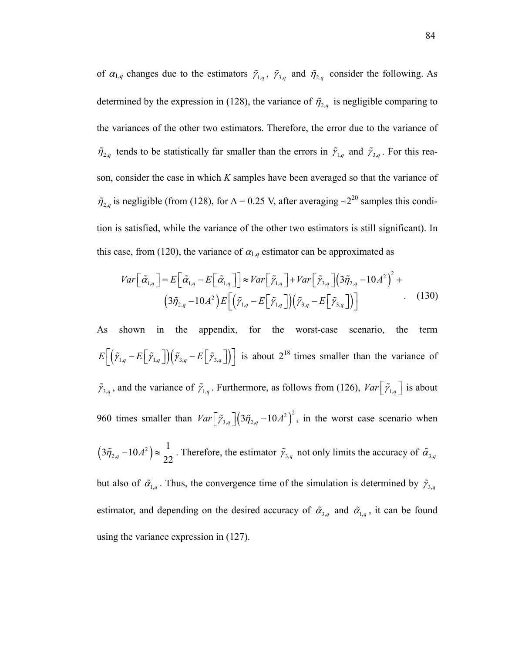of  $\alpha_{1,q}$  changes due to the estimators  $\tilde{\gamma}_{1,q}$ ,  $\tilde{\gamma}_{3,q}$  and  $\tilde{\eta}_{2,q}$  consider the following. As determined by the expression in (128), the variance of  $\tilde{\eta}_{2,q}$  is negligible comparing to the variances of the other two estimators. Therefore, the error due to the variance of  $\tilde{\eta}_{2,q}$  tends to be statistically far smaller than the errors in  $\tilde{\gamma}_{1,q}$  and  $\tilde{\gamma}_{3,q}$ . For this reason, consider the case in which *K* samples have been averaged so that the variance of  $\tilde{\eta}_{2,q}$  is negligible (from (128), for  $\Delta = 0.25$  V, after averaging  $\sim 2^{20}$  samples this condition is satisfied, while the variance of the other two estimators is still significant). In this case, from (120), the variance of  $\alpha_{1,q}$  estimator can be approximated as

$$
Var\left[\tilde{\alpha}_{1,q}\right] = E\left[\tilde{\alpha}_{1,q} - E\left[\tilde{\alpha}_{1,q}\right]\right] \approx Var\left[\tilde{\gamma}_{1,q}\right] + Var\left[\tilde{\gamma}_{3,q}\right] \left(3\tilde{\eta}_{2,q} - 10A^2\right)^2 +
$$

$$
\left(3\tilde{\eta}_{2,q} - 10A^2\right)E\left[\left(\tilde{\gamma}_{1,q} - E\left[\tilde{\gamma}_{1,q}\right]\right)\left(\tilde{\gamma}_{3,q} - E\left[\tilde{\gamma}_{3,q}\right]\right)\right]
$$
(130)

As shown in the appendix, for the worst-case scenario, the term  $E\left[\left(\tilde{\gamma}_{1,q}-E\left[\tilde{\gamma}_{1,q}\right]\right)\left(\tilde{\gamma}_{3,q}-E\left[\tilde{\gamma}_{3,q}\right]\right)\right]$  is about  $2^{18}$  times smaller than the variance of  $\tilde{\gamma}_{3,q}$ , and the variance of  $\tilde{\gamma}_{1,q}$ . Furthermore, as follows from (126), *Var*  $\left[\tilde{\gamma}_{1,q}\right]$  is about 960 times smaller than  $Var\left[ \tilde{\gamma}_{3,q} \right] \left( 3\tilde{\eta}_{2,q} - 10A^2 \right)^2$ , in the worst case scenario when  $(3\tilde{\eta}_{2,q} - 10A^2) \approx \frac{1}{22}$ . Therefore, the estimator  $\tilde{\gamma}_{3,q}$  not only limits the accuracy of  $\tilde{\alpha}_{3,q}$ but also of  $\tilde{\alpha}_{1,q}$ . Thus, the convergence time of the simulation is determined by  $\tilde{\gamma}_{3,q}$ estimator, and depending on the desired accuracy of  $\tilde{\alpha}_{3,q}$  and  $\tilde{\alpha}_{1,q}$ , it can be found using the variance expression in (127).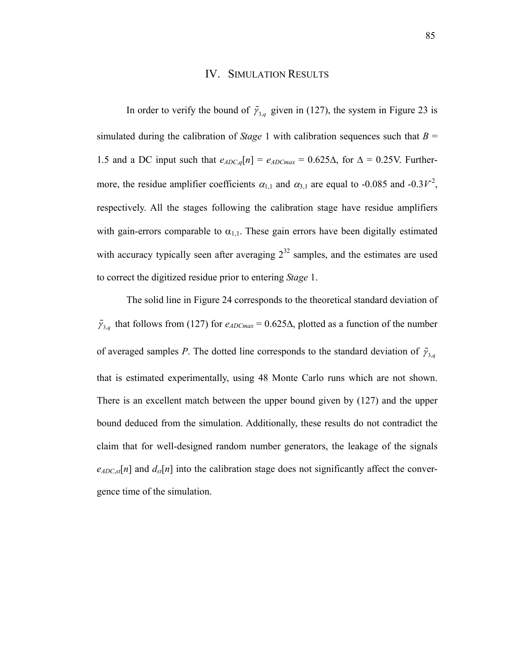### IV. SIMULATION RESULTS

In order to verify the bound of  $\tilde{\gamma}_{3,q}$  given in (127), the system in Figure 23 is simulated during the calibration of *Stage* 1 with calibration sequences such that  $B =$ 1.5 and a DC input such that  $e_{ADC,q}[n] = e_{ADC,max} = 0.625\Delta$ , for  $\Delta = 0.25V$ . Furthermore, the residue amplifier coefficients  $\alpha_{1,1}$  and  $\alpha_{3,1}$  are equal to -0.085 and -0.3*V*<sup>-2</sup>, respectively. All the stages following the calibration stage have residue amplifiers with gain-errors comparable to  $\alpha_{1,1}$ . These gain errors have been digitally estimated with accuracy typically seen after averaging  $2^{32}$  samples, and the estimates are used to correct the digitized residue prior to entering *Stage* 1.

The solid line in Figure 24 corresponds to the theoretical standard deviation of  $\tilde{\gamma}_{3,q}$  that follows from (127) for  $e_{ADCmax} = 0.625\Delta$ , plotted as a function of the number of averaged samples *P*. The dotted line corresponds to the standard deviation of  $\tilde{\gamma}_{3,q}$ that is estimated experimentally, using 48 Monte Carlo runs which are not shown. There is an excellent match between the upper bound given by (127) and the upper bound deduced from the simulation. Additionally, these results do not contradict the claim that for well-designed random number generators, the leakage of the signals  $e_{ADC,sf}[n]$  and  $d_{st}[n]$  into the calibration stage does not significantly affect the convergence time of the simulation.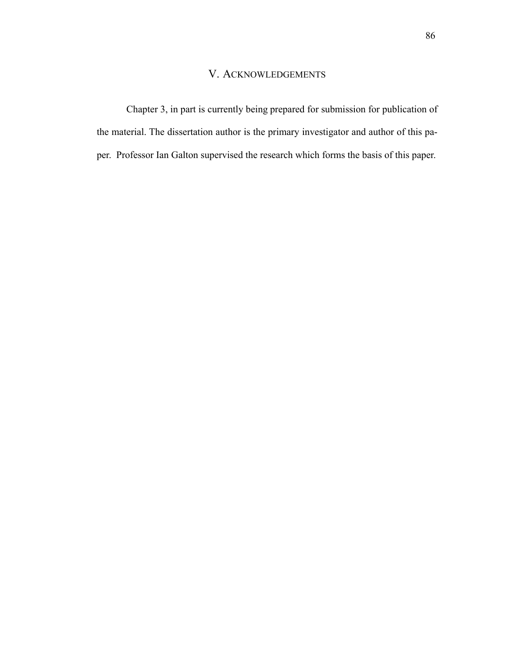## V. ACKNOWLEDGEMENTS

Chapter 3, in part is currently being prepared for submission for publication of the material. The dissertation author is the primary investigator and author of this paper. Professor Ian Galton supervised the research which forms the basis of this paper.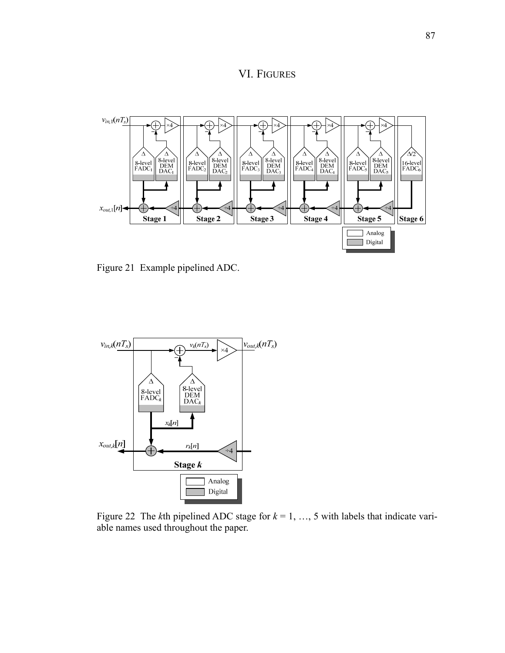



Figure 21 Example pipelined ADC.



Figure 22 The *k*th pipelined ADC stage for  $k = 1, ..., 5$  with labels that indicate variable names used throughout the paper.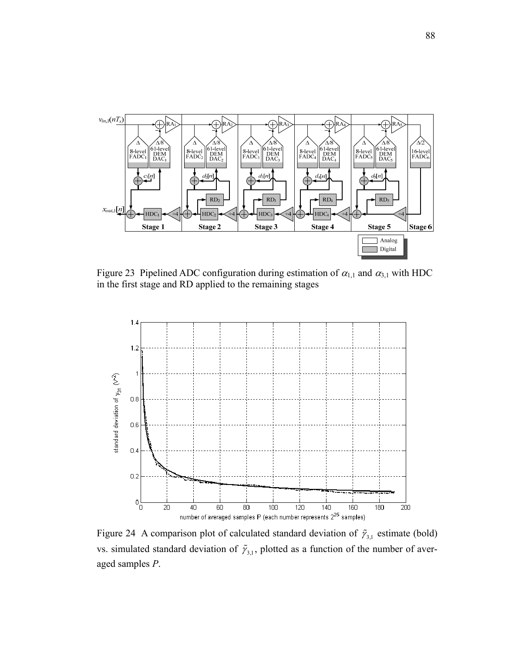

Figure 23 Pipelined ADC configuration during estimation of  $\alpha_{1,1}$  and  $\alpha_{3,1}$  with HDC in the first stage and RD applied to the remaining stages



Figure 24 A comparison plot of calculated standard deviation of  $\tilde{r}_{3,1}$  estimate (bold) vs. simulated standard deviation of  $\tilde{\gamma}_{3,1}$ , plotted as a function of the number of averaged samples *P*.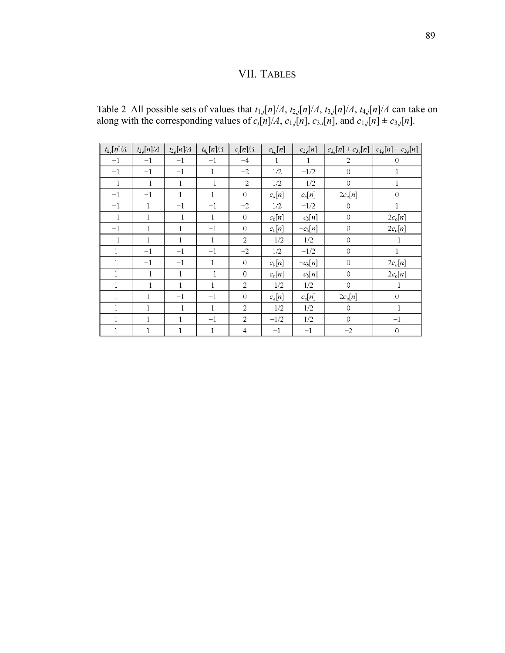## VII. TABLES

Table 2 All possible sets of values that  $t_{1,j}[n]/A$ ,  $t_{2,j}[n]/A$ ,  $t_{3,j}[n]/A$ ,  $t_{4,j}[n]/A$  can take on along with the corresponding values of  $c_j[n]/A$ ,  $c_{1,j}[n]$ ,  $c_{3,j}[n]$ , and  $c_{1,j}[n] \pm c_{3,j}[n]$ .

| $t_{1,j}[n]/A$ | $t_{2,j}[n]/A$ | $t_{3,j}[n]/A$ | $t_{4,j}[n]/A$ | $c_i[n]/A$     | $c_{1,j}[n]$ | $c_{3j}[n]$  | $c_{1,j}[n] + c_{3,j}[n]$ | $c_{1,j}[n] - c_{3,j}[n]$ |
|----------------|----------------|----------------|----------------|----------------|--------------|--------------|---------------------------|---------------------------|
| $-1$           | $-1$           | $-1$           | $-1$           | $-4$           |              | $\mathbf{1}$ | $\overline{2}$            | $\Omega$                  |
| $-1$           | $-1$           | $-1$           | $\mathbf{1}$   | $-2$           | 1/2          | $-1/2$       | $\mathbf{0}$              |                           |
| $-1$           | $-1$           | 1              | $-1$           | $-2$           | 1/2          | $-1/2$       | $\overline{0}$            | 1                         |
| $^{-1}$        | $-1$           | $\mathbf{1}$   | $\mathbf{1}$   | $\Omega$       | $c_a[n]$     | $c_a[n]$     | $2c_a[n]$                 | $\Omega$                  |
| $-1$           | 1              | $-1$           | $-1$           | $-2$           | 1/2          | $-1/2$       | $\theta$                  | $\mathbf{1}$              |
| $-1$           | $\mathbf{1}$   | $-1$           | $\mathbf{1}$   | $\overline{0}$ | $c_b[n]$     | $-c_b[n]$    | $\theta$                  | $2c_b[n]$                 |
| $^{-1}$        | 1              | 1              | $-1$           | $\mathbf{O}$   | $c_b[n]$     | $-c_b[n]$    | $\boldsymbol{0}$          | $2c_b[n]$                 |
| $-1$           | 1              | $\mathbf{1}$   | 1              | $\overline{c}$ | $-1/2$       | 1/2          | $\theta$                  | $-1$                      |
| $\mathbf{1}$   | $-1$           | $-1$           | $-1$           | $-2$           | 1/2          | $-1/2$       | $\mathbf{0}$              | $\mathbf{1}$              |
| 1              | $-1$           | $-1$           | 1              | $\overline{0}$ | $c_b[n]$     | $-c_b[n]$    | $\overline{0}$            | $2c_b[n]$                 |
| 1              | $^{-1}$        | $\mathbf{1}$   | $^{-1}$        | $\Omega$       | $c_b[n]$     | $-c_b[n]$    | $\theta$                  | $2c_b[n]$                 |
| 1              | $-1$           | $\mathbf{1}$   | $\mathbf{1}$   | $\overline{c}$ | $-1/2$       | 1/2          | $\mathbf 0$               | $-1$                      |
| 1              | 1              | $-1$           | $-1$           | $\overline{0}$ | $c_a[n]$     | $c_a[n]$     | $2c_a[n]$                 | $\overline{0}$            |
| 1              | $\mathbf{1}$   | $-1$           | $\mathbf{1}$   | $\overline{2}$ | $-1/2$       | 1/2          | $\overline{0}$            | $-1$                      |
| 1              | $\mathbf{1}$   | $\mathbf{1}$   | $-1$           | $\overline{2}$ | $-1/2$       | 1/2          | $\overline{0}$            | $-1$                      |
| 1              | 1              | $\mathbf{1}$   | $\mathbf{1}$   | $\overline{4}$ | $^{-1}$      | $^{-1}$      | $-2$                      | $\overline{0}$            |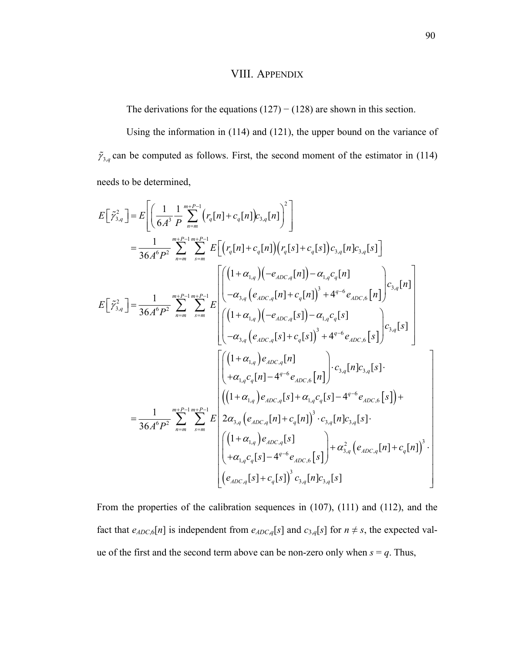## VIII. APPENDIX

The derivations for the equations  $(127) - (128)$  are shown in this section.

Using the information in (114) and (121), the upper bound on the variance of  $\tilde{\gamma}_{3,q}$  can be computed as follows. First, the second moment of the estimator in (114) needs to be determined,

$$
E\left[\tilde{\gamma}_{3,q}^{2}\right] = E\left[\left(\frac{1}{6A^{3}}\frac{1}{P}\sum_{n=m}^{m_{+}P-1}{r_{q}[n] + c_{q}[n]}\right)c_{3,q}[n]\right]^{2}\right]
$$
\n
$$
= \frac{1}{36A^{6}P^{2}}\sum_{n=m}^{m_{+}P-1}\sum_{s=m}^{m_{+}P-1}E\left[\left(r_{q}[n] + c_{q}[n]\right)\left(r_{q}[s] + c_{q}[s]\right)c_{3,q}[n]c_{3,q}[n]c_{3,q}[s]\right]
$$
\n
$$
E\left[\tilde{\gamma}_{3,q}^{2}\right] = \frac{1}{36A^{6}P^{2}}\sum_{n=m}^{m_{+}P-1}\sum_{s=m}^{m_{+}P-1}E\left[\left(\frac{(1+\alpha_{1,q})(-e_{4DC,q}[n]) - \alpha_{1,q}c_{q}[n]}{-\alpha_{3,q}(e_{4DC,q}[n] + c_{q}[n] \right)^{3} + 4^{q-6}e_{4DC,6}[n]}\right)c_{3,q}[s]
$$
\n
$$
= \frac{\left[\left((1+\alpha_{1,q})(-e_{4DC,q}[s]) - \alpha_{1,q}c_{q}[s]\right]}{-(\alpha_{3,q}(e_{4DC,q}[s] + c_{4}[s] \right)^{3} + 4^{q-6}e_{4DC,6}[s]}\right)c_{3,q}[s]
$$
\n
$$
= \frac{\left[\left((1+\alpha_{1,q})e_{4DC,q}[n]\right]}{36A^{6}P^{2}}\sum_{n=m}^{m_{+}P-1}\sum_{s=m}^{m_{+}P-1}E\left[\left((1+\alpha_{1,q})e_{4DC,q}[s] + \alpha_{1,q}c_{q}[s] - 4^{q-6}e_{4DC,6}[s]\right) + c_{4AC,6}[s]\right] + c_{4AC,6}[s]
$$
\n
$$
= \frac{1}{36A^{6}P^{2}}\sum_{n=m}^{m_{+}P-1}\sum_{s=m}^{m_{+}P-1}E\left[2\alpha_{3,q}(e_{4DC,q}[n] + c_{q}[n])^{3} \cdot c_{3,q}[n]c_{3,q}[s].
$$
\n
$$
\left[\left((1+\alpha_{1,q})e_{4DC,q}[s]\right) - 4^{q-6}e_{4DC,6}[s]\right) +
$$

From the properties of the calibration sequences in (107), (111) and (112), and the fact that  $e_{ADC,6}[n]$  is independent from  $e_{ADC,q}[s]$  and  $c_{3,q}[s]$  for  $n \neq s$ , the expected value of the first and the second term above can be non-zero only when  $s = q$ . Thus,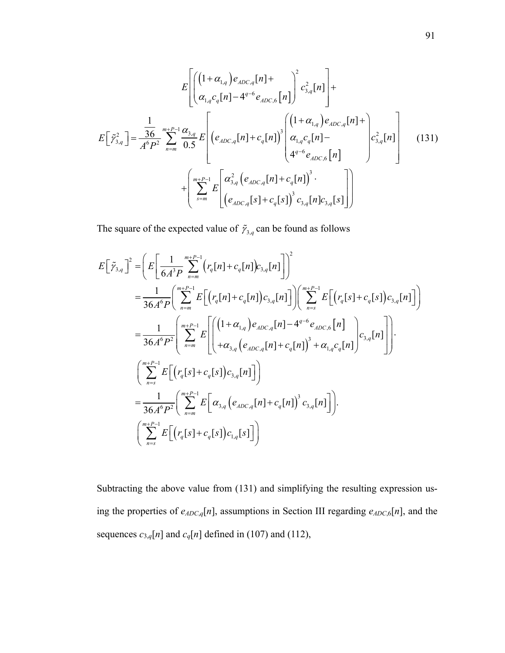$$
E\left[\left(\frac{(1+\alpha_{1,q})e_{ADC,q}[n] + \alpha_{1,q}e_{q}^2[n] + \alpha_{1,q}e_{q}[n] - 4^{q-6}e_{ADC,6}[n]\right)^2 c_{3,q}^2[n]\right] +
$$
  
\n
$$
E\left[\tilde{\gamma}_{3,q}^2\right] = \frac{1}{A^6 P^2} \sum_{n=m}^{m+P-1} \frac{\alpha_{3,q}}{0.5} E\left[\left(e_{ADC,q}[n] + c_q[n]\right)^3 \left(\frac{(1+\alpha_{1,q})e_{ADC,q}[n] + \alpha_{1,q}e_{q}[n] + \alpha_{1,q}e_{q}[n] - \alpha_{1,q}e_{q}[n] - \alpha_{1,q}e_{q}[n] - \alpha_{1,q}e_{q}[n] - \alpha_{1,q}e_{q}[n] - \alpha_{1,q}e_{q}[n] - \alpha_{1,q}e_{q}[n] - \alpha_{1,q}e_{q}[n] - \alpha_{1,q}e_{q}[n] - \alpha_{1,q}e_{q}[n] - \alpha_{1,q}e_{q}[n] - \alpha_{1,q}e_{q}[n] - \alpha_{1,q}e_{q}[n] - \alpha_{1,q}e_{q}[n] - \alpha_{1,q}e_{q}[n] - \alpha_{1,q}e_{q}[n] - \alpha_{1,q}e_{q}[n] - \alpha_{1,q}e_{q}[n] - \alpha_{1,q}e_{q}[n] - \alpha_{1,q}e_{q}[n] - \alpha_{1,q}e_{q}[n] - \alpha_{1,q}e_{q}[n] - \alpha_{1,q}e_{q}[n] - \alpha_{1,q}e_{q}[n] - \alpha_{1,q}e_{q}[n] - \alpha_{1,q}e_{q}[n] - \alpha_{1,q}e_{q}[n] - \alpha_{1,q}e_{q}[n] - \alpha_{1,q}e_{q}[n] - \alpha_{1,q}e_{q}[n] - \alpha_{1,q}e_{q}[n] - \alpha_{1,q}e_{q}[n] - \alpha_{1,q}e_{q}[n] - \alpha_{1,q}e_{q}[n] - \alpha_{1,q}e_{q}[n] - \alpha_{1,q}e_{q}[n] - \alpha_{1,q}e_{q}[n] - \alpha_{1,q}e_{q}[n] - \alpha_{1,q}e_{q}[n] - \alpha_{1,q}e_{q}[n] - \alpha_{1,q}e_{q}[n] - \alpha_{1,q}e_{q}[n] - \alpha_{1,q}e
$$

The square of the expected value of  $\tilde{\gamma}_{3,q}$  can be found as follows

$$
E\left[\tilde{\gamma}_{3,q}\right]^{2} = \left(E\left[\frac{1}{6A^{3}P}\sum_{n=m}^{m+P-1} (r_{q}[n] + c_{q}[n])c_{3,q}[n]\right]\right)^{2}
$$
  
\n
$$
= \frac{1}{36A^{6}P}\left(\sum_{n=m}^{m+P-1} E\left[(r_{q}[n] + c_{q}[n])c_{3,q}[n]\right]\right)\left(\sum_{n=s}^{m+P-1} E\left[(r_{q}[s] + c_{q}[s])c_{3,q}[n]\right]\right)
$$
  
\n
$$
= \frac{1}{36A^{6}P^{2}}\left(\sum_{n=m}^{m+P-1} E\left[\left((1+\alpha_{1,q})e_{ADC,q}[n] - 4^{q-6}e_{ADC,6}[n]\right) - 4^{q-6}e_{ADC,6}[n]\right]\right).
$$
  
\n
$$
\left(\sum_{n=s}^{m+P-1} E\left[(r_{q}[s] + c_{q}[s])c_{3,q}[n]\right]\right)
$$
  
\n
$$
= \frac{1}{36A^{6}P^{2}}\left(\sum_{n=m}^{m+P-1} E\left[\alpha_{3,q}(e_{ADC,q}[n] + c_{q}[n])^{3}c_{3,q}[n]\right]\right).
$$
  
\n
$$
\left(\sum_{n=s}^{m+P-1} E\left[(r_{q}[s] + c_{q}[s])c_{1,q}[s]\right]c_{1,q}[s]\right).
$$

Subtracting the above value from (131) and simplifying the resulting expression using the properties of *eADC*,*q*[*n*], assumptions in Section III regarding *eADC*,6[*n*], and the sequences  $c_{3,q}[n]$  and  $c_q[n]$  defined in (107) and (112),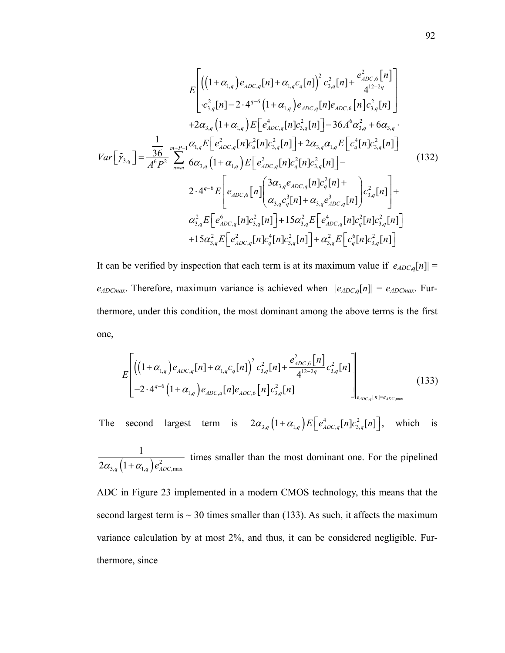$$
E\left[\left((1+\alpha_{1,q})e_{ADC,q}[n] + \alpha_{1,q}c_q[n]\right)^2 c_{3,q}^2[n] + \frac{e_{ADC,6}^2[n]}{4^{12-2q}}\right] \n+2\alpha_{3,q}[n]-2 \cdot 4^{q-6}\left(1+\alpha_{1,q}\right)e_{ADC,q}[n]e_{ADC,6}[n]c_{3,q}^2[n] \n+2\alpha_{3,q}\left(1+\alpha_{1,q}\right)E\left[e_{ADC,q}^4[n]c_{3,q}^2[n]\right] - 36A^6\alpha_{3,q}^2 + 6\alpha_{3,q} \cdot \frac{1}{A^6P^2} \sum_{n=m}^{m+P-1} \alpha_{1,q}E\left[e_{ADC,q}^2[n]c_{3,q}^2[n]\right] + 2\alpha_{3,q}\alpha_{1,q}E\left[e_{q}^4[n]c_{3,q}^2[n]\right] \n2 \cdot 4^{q-6}E\left[e_{ADC,6}[n]e_{ADC,q}^2[n]c_{q}^2[n]c_{3,q}^2[n]\right] - \frac{2 \cdot 4^{q-6}E\left[e_{ADC,6}[n]\left(\frac{3\alpha_{3,q}e_{ADC,q}[n]c_q^2[n]+ \alpha_{3,q}e_{ADC,q}^3[n]\right) + \alpha_{3,q}^2E\left[e_{ADC,q}^6[n]\right]c_{3,q}^2[n] + \alpha_{3,q}e_{ADC,q}^3[n] + \alpha_{3,q}e_{ADC,q}^3[n]c_{3,q}^2[n]\right] + \frac{2 \cdot 4^{q-6}E\left[e_{ADC,q}[n]c_{3,q}^2[n]+15\alpha_{3,q}^2E\left[e_{ADC,q}^4[n]c_{3,q}^2[n]\right] + \frac{2 \cdot 4^{q-6}E\left[e_{ADC,q}^2[n]c_{3,q}^2[n]\right]}{15\alpha_{3,q}^2E\left[e_{ADC,q}^2[n]c_{3,q}^2[n]\right] + \alpha_{3,q}^2E\left[e_{aDC,q}^6[n]c_{3,q}^2[n]\right]} \right]
$$

It can be verified by inspection that each term is at its maximum value if  $|e_{ADC,q}[n]|$  $e_{ADCmax}$ . Therefore, maximum variance is achieved when  $|e_{ADC,q}[n]| = e_{ADCmax}$ . Furthermore, under this condition, the most dominant among the above terms is the first one,

$$
E\left[\left(\left(1+\alpha_{1,q}\right)e_{ADC,q}[n] + \alpha_{1,q}c_q[n]\right)^2 c_{3,q}^2[n] + \frac{e_{ADC,6}^2[n]}{4^{12-2q}}c_{3,q}^2[n]\right] - 2 \cdot 4^{q-6}\left(1+\alpha_{1,q}\right)e_{ADC,q}[n]e_{ADC,6}[n]c_{3,q}^2[n]\right]_{e_{ADC,q}[n] = e_{ADC,max}}
$$
(133)

The second largest term is  $2\alpha_{3,q} (1 + \alpha_{1,q}) E\left[ e_{ADC,q}^4[n] c_{3,q}^2[n] \right]$ , which is

 $\int_{3,q} (1+\alpha_{1,q}) e_{ADC,\text{max}}^2$ 1  $2\alpha_{3,q}\left(1+\alpha_{1,q}\right)e_{ADC}^2$ times smaller than the most dominant one. For the pipelined

ADC in Figure 23 implemented in a modern CMOS technology, this means that the second largest term is  $\sim$  30 times smaller than (133). As such, it affects the maximum variance calculation by at most 2%, and thus, it can be considered negligible. Furthermore, since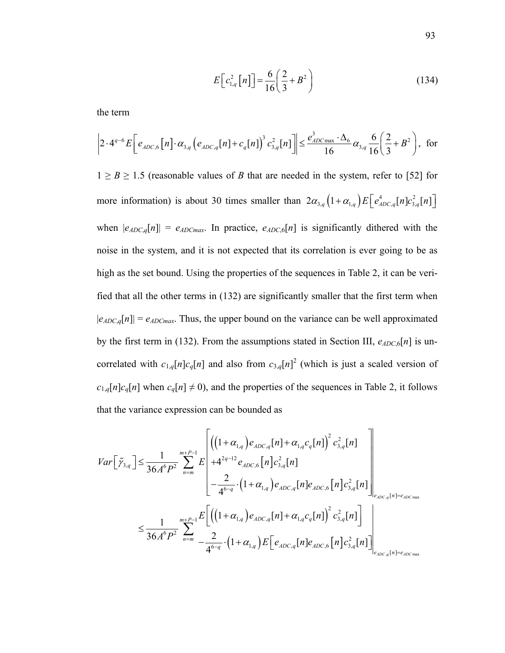$$
E\left[c_{1,q}^{2}\left[n\right]\right] = \frac{6}{16}\left(\frac{2}{3} + B^{2}\right)
$$
\n(134)

the term

$$
\left|2 \cdot 4^{q-6} E\bigg[e_{ADC,6}[n] \cdot \alpha_{3,q} \left(e_{ADC,q}[n] + c_q[n]\right)^3 c_{3,q}^2[n]\bigg] \le \frac{e_{ADC \text{max}}^3 \cdot \Delta_6}{16} \alpha_{3,q} \frac{6}{16} \left(\frac{2}{3} + B^2\right), \text{ for }
$$

 $1 \geq B \geq 1.5$  (reasonable values of *B* that are needed in the system, refer to [52] for more information) is about 30 times smaller than  $2\alpha_{3,q} (1 + \alpha_{1,q}) E\left[ e_{ADC,q}^4[n]c_{3,q}^2[n] \right]$ when  $|e_{ADC,q}[n]| = e_{ADC,max}$ . In practice,  $e_{ADC,6}[n]$  is significantly dithered with the noise in the system, and it is not expected that its correlation is ever going to be as high as the set bound. Using the properties of the sequences in Table 2, it can be verified that all the other terms in (132) are significantly smaller that the first term when  $|e_{ADC,q}[n]| = e_{ADCmax}$ . Thus, the upper bound on the variance can be well approximated by the first term in (132). From the assumptions stated in Section III,  $e_{ADC,6}[n]$  is uncorrelated with  $c_{1,q}[n]c_q[n]$  and also from  $c_{3,q}[n]^2$  (which is just a scaled version of  $c_{1,q}[n]c_q[n]$  when  $c_q[n] \neq 0$ ), and the properties of the sequences in Table 2, it follows that the variance expression can be bounded as

$$
Var\left[\tilde{\gamma}_{3,q}\right] \leq \frac{1}{36A^{6}P^{2}} \sum_{n=m}^{m+P-1} E\left[\left((1+\alpha_{1,q})e_{ADC,q}[n] + \alpha_{1,q}c_{q}[n]\right)^{2} c_{3,q}^{2}[n]\right] - \frac{2}{4^{6-q}} \cdot (1+\alpha_{1,q})e_{ADC,q}[n]e_{ADC,q}[n]e_{ADC,6}[n]c_{3,q}^{2}[n]\right] - \frac{2}{36A^{6}P^{2}} \sum_{n=m}^{m+P-1} E\left[\left((1+\alpha_{1,q})e_{ADC,q}[n] + \alpha_{1,q}c_{q}[n]\right)^{2} c_{3,q}^{2}[n]\right] - \frac{1}{36A^{6}P^{2}} \sum_{n=m}^{m+P-1} E\left[\left((1+\alpha_{1,q})e_{ADC,q}[n] + \alpha_{1,q}c_{q}[n]\right)^{2} c_{3,q}^{2}[n]\right] - \frac{1}{4^{6-q}} \cdot (1+\alpha_{1,q})E\left[e_{ADC,q}[n]e_{ADC,6}[n]c_{3,q}^{2}[n]\right] - \frac{1}{4^{6-q}} \cdot (1+\alpha_{1,q})E\left[e_{ADC,q}[n]e_{ADC,6}[n]c_{3,q}^{2}[n]\right] - \frac{1}{4^{6-q}} \cdot (1+\alpha_{1,q})E\left[e_{ADC,q}[n]e_{ADC,6}[n]c_{3,q}^{2}[n]\right)
$$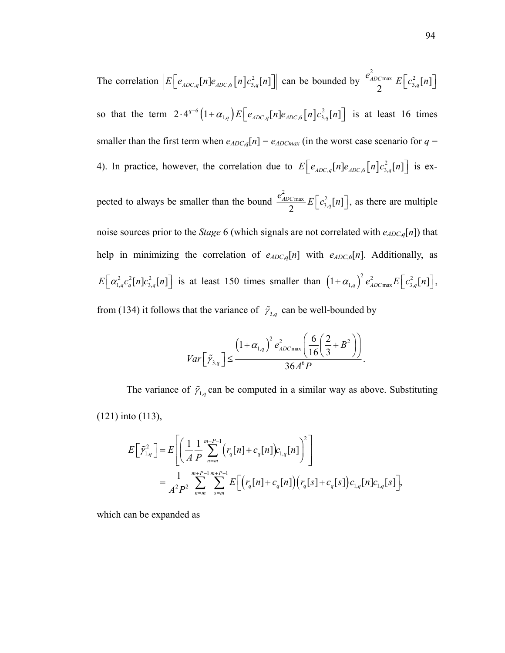The correlation  $E\left[e_{ADC,q}[n]e_{ADC,6}[n]c_{3,q}^2[n]\right]$  can be bounded by  $\frac{e_{ADC\max}^2}{2} E\Big[ c_{3,q}^2[n] \Big]$ so that the term  $2 \cdot 4^{q-6} (1 + \alpha_{1,q}) E \left[ e_{ADC,q} [n] e_{ADC,6} [n] c_{3,q}^2 [n] \right]$  is at least 16 times smaller than the first term when  $e_{ADC,q}[n] = e_{ADC}$  (in the worst case scenario for  $q =$ 4). In practice, however, the correlation due to  $E\left[e_{ADC,q}[n]e_{ADC,6}[n]c_{3,q}^2[n]\right]$  is expected to always be smaller than the bound  $\frac{e_{ADC\max}^2}{2} E\left[c_{3,q}^2[n]\right]$ , as there are multiple noise sources prior to the *Stage* 6 (which signals are not correlated with  $e_{ADC,q}[n]$ ) that help in minimizing the correlation of  $e_{ADC,q}[n]$  with  $e_{ADC,6}[n]$ . Additionally, as  $E\left[\alpha_{1,q}^2 c_q^2[n]c_{3,q}^2[n]\right]$  is at least 150 times smaller than  $\left(1+\alpha_{1,q}\right)^2 e_{ADC \max}^2 E\left[c_{3,q}^2[n]\right]$ , from (134) it follows that the variance of  $\tilde{\gamma}_{3,q}$  can be well-bounded by

$$
Var\left[\tilde{\gamma}_{3,q}\right] \leq \frac{\left(1+\alpha_{1,q}\right)^2 e_{ADC\max}^2 \left(\frac{6}{16}\left(\frac{2}{3}+B^2\right)\right)}{36A^6P}.
$$

The variance of  $\tilde{\gamma}_{1,q}$  can be computed in a similar way as above. Substituting (121) into (113),

$$
E\left[\tilde{\gamma}_{1,q}^{2}\right] = E\left[\left(\frac{1}{A}\frac{1}{P}\sum_{n=m}^{m+P-1} (r_{q}[n] + c_{q}[n])c_{1,q}[n]\right)^{2}\right]
$$
  
= 
$$
\frac{1}{A^{2}P^{2}}\sum_{n=m}^{m+P-1}\sum_{s=m}^{m+P-1} E\left[\left(r_{q}[n] + c_{q}[n]\right)\left(r_{q}[s] + c_{q}[s]\right)c_{1,q}[n]c_{1,q}[s]\right],
$$

which can be expanded as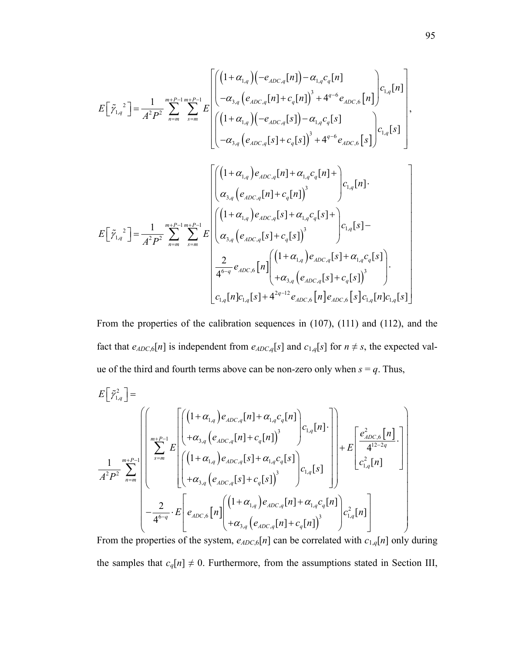$$
E\left[\tilde{\gamma}_{1,q}^{2}\right] = \frac{1}{A^{2}P^{2}} \sum_{n=m}^{m+P-1} \sum_{s=m}^{m+P-1} E\left[\begin{pmatrix} (1+\alpha_{1,q})(-e_{ADC,q}[n]) - \alpha_{1,q}c_{q}[n] \\ -\alpha_{3,q}(e_{ADC,q}[n]+c_{q}[n])^{3} + 4^{q-6}e_{ADC,6}[n] \\ -\alpha_{3,q}(e_{ADC,q}[s]) - \alpha_{1,q}c_{q}[s] \\ -\alpha_{3,q}(e_{ADC,q}[s]+c_{q}[s])^{3} + 4^{q-6}e_{ADC,6}[s] \end{pmatrix} c_{1,q}[s] \right],
$$
  

$$
E\left[\tilde{\gamma}_{1,q}^{2}\right] = \frac{1}{A^{2}P^{2}} \sum_{n=m}^{m+P-1} \sum_{s=m}^{m+P-1} E\left[\begin{pmatrix} (1+\alpha_{1,q})e_{ADC,q}[s]+ \alpha_{1,q}c_{q}[n]+e_{ADC,s}[s]+c_{(1,q)}e_{(1,q)}[n] \\ \alpha_{3,q}(e_{ADC,q}[n]+c_{q}[n])^{3} \end{pmatrix} c_{1,q}[s] - \frac{1}{A^{2}P^{2}} \sum_{n=m}^{m+P-1} \sum_{s=m}^{m+P-1} E\left[\begin{pmatrix} (1+\alpha_{1,q})e_{ADC,q}[s]+ \alpha_{1,q}c_{q}[s]+e_{(1,q)}[s] \\ \alpha_{3,q}(e_{ADC,q}[s]+c_{q}[s])^{3} \end{pmatrix} c_{1,q}[s] + \alpha_{1,q}c_{q}[s] + \alpha_{1,q}c_{q}[s] \right].
$$
  

$$
c_{1,q}[n]c_{1,q}[s]+4^{2q-12}e_{ADC,6}[n]e_{ADC,6}[n]e_{ADC,6}[s]c_{1,q}[n]c_{1,q}[s]
$$

From the properties of the calibration sequences in (107), (111) and (112), and the fact that  $e_{ADC,6}[n]$  is independent from  $e_{ADC,q}[s]$  and  $c_{1,q}[s]$  for  $n \neq s$ , the expected value of the third and fourth terms above can be non-zero only when  $s = q$ . Thus,

$$
E\left[\tilde{\gamma}_{1,q}^{2}\right] = \left(\left(\left(1+\alpha_{1,q}\right)e_{ADC,q}[n] + \alpha_{1,q}c_{q}[n]\right)\right)\right) + E\left[\left(\left(1+\alpha_{1,q}\right)e_{ADC,q}[n] + \alpha_{1,q}c_{q}[n]\right)\right] + E\left[\frac{e_{ADC,6}^{2}[n]}{4^{12-2q}}\right]\right)
$$
\n
$$
\frac{1}{A^{2}P^{2}}\sum_{n=m}^{m+P-1}\left[\left(\left(1+\alpha_{1,q}\right)e_{ADC,q}[s] + \alpha_{1,q}c_{q}[s]\right)\right]c_{1,q}[s]\right] + E\left[\frac{e_{ADC,6}^{2}[n]}{c_{1,q}^{2}[n]}\right]
$$
\n
$$
-\frac{2}{4^{6-q}}\cdot E\left[e_{ADC,6}[n]\left(\left(1+\alpha_{1,q}\right)e_{ADC,q}[n] + \alpha_{1,q}c_{q}[n]\right)\right]c_{1,q}^{2}[n]\right]
$$

From the properties of the system,  $e_{ADC,6}[n]$  can be correlated with  $c_{1,q}[n]$  only during the samples that  $c_q[n] \neq 0$ . Furthermore, from the assumptions stated in Section III,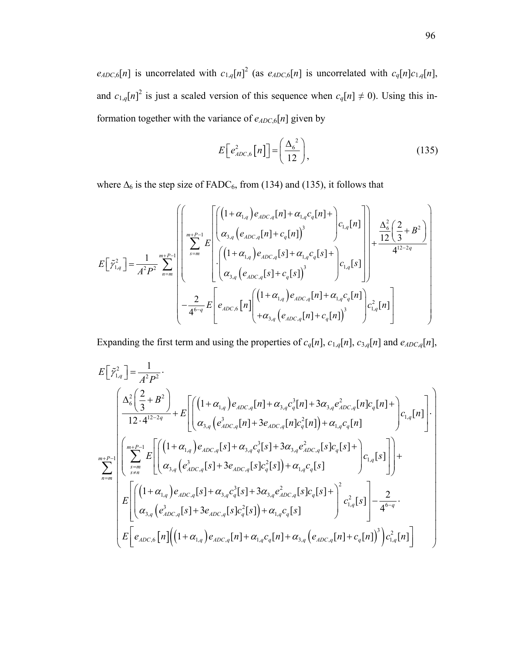$e_{ADC,6}[n]$  is uncorrelated with  $c_{1,q}[n]^2$  (as  $e_{ADC,6}[n]$  is uncorrelated with  $c_q[n]c_{1,q}[n]$ , and  $c_{1,q}[n]^2$  is just a scaled version of this sequence when  $c_q[n] \neq 0$ ). Using this information together with the variance of  $e_{ADC,6}[n]$  given by

$$
E\left[e_{ADC,6}^2\left[n\right]\right] = \left(\frac{\Delta_6^2}{12}\right),\tag{135}
$$

where  $\Delta_6$  is the step size of FADC<sub>6</sub>, from (134) and (135), it follows that

$$
E\left[\tilde{\gamma}_{1,q}^{2}\right] = \frac{1}{A^{2}P^{2}} \sum_{n=m}^{m+P-1} \left[ \left( \frac{\left(1+\alpha_{1,q}\right)e_{ADC,q}[n] + \alpha_{1,q}c_{q}[n] + \alpha_{1,q}[n]}{\alpha_{3,q}\left(e_{ADC,q}[n] + c_{q}[n]\right)^{3}} \right) c_{1,q}[n] \right] + \frac{\Delta_{6}^{2}\left(2 + B^{2}\right)}{12\left(3\right)} \right]
$$
  

$$
E\left[\tilde{\gamma}_{1,q}^{2}\right] = \frac{1}{A^{2}P^{2}} \sum_{n=m}^{m+P-1} \left[ \left( \frac{\left(1+\alpha_{1,q}\right)e_{ADC,q}[s] + \alpha_{1,q}c_{q}[s] + \alpha_{1,q}[s]}{\alpha_{3,q}\left(e_{ADC,q}[s] + c_{q}[s]\right)^{3}} \right) c_{1,q}[s] \right]
$$
  

$$
- \frac{2}{4^{6-q}} E\left[e_{ADC,6}[n] \left( \frac{\left(1+\alpha_{1,q}\right)e_{ADC,q}[n] + \alpha_{1,q}c_{q}[n]}{\alpha_{3,q}\left(e_{ADC,q}[n] + c_{q}[n]\right)^{3}} \right) c_{1,q}^{2}[n] \right]
$$

Expanding the first term and using the properties of  $c_q[n]$ ,  $c_{1,q}[n]$ ,  $c_{3,q}[n]$  and  $e_{ADC,q}[n]$ ,

$$
E\left[\tilde{\gamma}_{1,q}^{2}\right] = \frac{1}{A^{2}P^{2}}.
$$
\n
$$
\int \frac{\Delta_{6}^{2}\left(\frac{2}{3}+B^{2}\right)}{12 \cdot 4^{12-2q}} + E\left[\left(\frac{(1+\alpha_{1,q})e_{ADC,q}[n] + \alpha_{3,q}c_{q}^{3}[n] + 3\alpha_{3,q}e_{ADC,q}^{2}[n]c_{q}[n] + \alpha_{1,q}[n]c_{q}[n] + \alpha_{1,q}[n]c_{1,q}[n] - \alpha_{1,q}[n]c_{1,q}[n] \right] \cdot c_{1,q}[n] \cdot c_{1,q}[n] \cdot c_{1,q}[n] \cdot c_{1,q}[n] \cdot c_{1,q}[n] + \sum_{n=m}^{m+P-1} E\left[\left(\frac{(1+\alpha_{1,q})e_{ADC,q}[s] + \alpha_{3,q}c_{q}^{3}[s] + 3\alpha_{3,q}e_{ADC,q}^{2}[s]c_{q}[s] + \alpha_{1,q}[c_{q}[s] + \alpha_{1,q}[s][c_{1,q}[s]]\right) + c_{1,q}[n]c_{1,q}[n] - \alpha_{1,q}[n]c_{1,q}[n] - \alpha_{1,q}[n]c_{1,q}[n] \cdot c_{1,q}[n] \cdot c_{1,q}[n] \cdot c_{1,q}[n] \cdot c_{1,q}[n] \cdot c_{1,q}[n] \cdot c_{1,q}[n] \cdot c_{1,q}[n] \cdot c_{1,q}[n] \cdot c_{1,q}[n] \cdot c_{1,q}[n] \cdot c_{1,q}[n] \cdot c_{1,q}[n] \cdot c_{1,q}[n] \cdot c_{1,q}[n] \cdot c_{1,q}[n] \cdot c_{1,q}[n] \cdot c_{1,q}[n] \cdot c_{1,q}[n] \cdot c_{1,q}[n] \cdot c_{1,q}[n] \cdot c_{1,q}[n] \cdot c_{1,q}[n] \cdot c_{1,q}[n] \cdot c_{1,q}[n] \cdot c_{1,q}[n] \cdot c_{1,q}[n] \cdot c_{1,q}[n] \cdot c_{1,q}[n] \cdot c_{1,q}[n] \cdot c_{1,q}[n] \cdot c_{1,q}[n] \cdot c_{1,q}[n] \cdot c_{1,q}[n] \cdot c_{1,q}[n] \cdot c_{1,q}[n] \cdot c_{1,q}[n] \cdot c_{1,q}[n] \cdot c_{1,q}[n] \cdot c_{1,q}[n] \cdot c_{1,q}[n] \cdot c
$$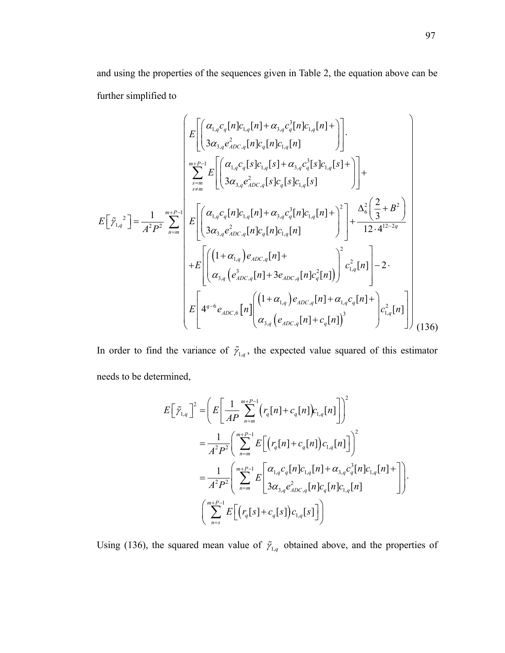and using the properties of the sequences given in Table 2, the equation above can be further simplified to

$$
E\left[\tilde{\gamma}_{1,q}^{2}\right] = \frac{1}{A^{2}P^{2}} \sum_{n=m}^{m+P-1} \left[ \left( \frac{\alpha_{1,q}c_{q}[n]c_{1,q}[n] + \alpha_{3,q}c_{q}^{3}[n]c_{1,q}[n]}{3\alpha_{3,q}e_{ADC,q}^{2}[n]c_{1,q}[s] + \alpha_{3,q}c_{q}^{3}[s]c_{1,q}[s] + \alpha_{3,q}c_{q}^{3}[s]c_{1,q}[s] + \alpha_{3,q}c_{q}^{3}[s]c_{1,q}[s] + \alpha_{3,q}c_{ADC,q}^{3}[s]c_{1,q}[s] \right) + \sum_{s=m}^{m+P-1} \left[ \left( \frac{\alpha_{1,q}c_{q}[n]c_{1,q}[n] + \alpha_{3,q}c_{q}^{3}[n]c_{1,q}[n] + \alpha_{3,q}c_{q}^{3}[n]c_{1,q}[n] + \frac{\alpha_{6}^{2}(\frac{2}{3} + B^{2})}{12 \cdot 4^{12 - 2q}} \right) + E\left[ \left( \frac{\alpha_{1,q}c_{q}[n]c_{1,q}[n]c_{1,q}[n] + \alpha_{3,q}c_{q}^{3}[n]c_{1,q}[n]}{3\alpha_{3,q}e_{ADC,q}^{2}[n]c_{1,q}[n] + \alpha_{3,q}(c_{n}c_{n}a_{1}+ \alpha_{3,q}(c_{n}c_{n}c_{n}a_{1}) \right) + E\left[ \left( \alpha_{3,q}(e_{ADC,q}[n] + 3e_{ADC,q}[n]c_{q}^{2}[n] \right) \right]c_{1,q}^{2}[n] - 2 \cdot \right] + E\left[ \left( \alpha_{3,q}(e_{ADC,q}[n] + 3e_{ADC,q}[n] + \alpha_{1,q}c_{q}[n] + \alpha_{1,q}c_{q}[n] + \alpha_{1,q}c_{q}[n] \right) \right] \tag{136}
$$

In order to find the variance of  $\tilde{\gamma}_{1,q}$ , the expected value squared of this estimator needs to be determined,

$$
E\left[\tilde{\gamma}_{1,q}\right]^2 = \left(E\left[\frac{1}{AP}\sum_{n=m}^{m+P-1} \left(r_q[n] + c_q[n]\right)c_{1,q}[n]\right]\right)^2
$$
  
\n
$$
= \frac{1}{A^2P^2} \left(\sum_{n=m}^{m+P-1} E\left[\left(r_q[n] + c_q[n]\right)c_{1,q}[n]\right]\right)^2
$$
  
\n
$$
= \frac{1}{A^2P^2} \left(\sum_{n=m}^{m+P-1} E\left[\alpha_{1,q}c_q[n]c_{1,q}[n] + \alpha_{3,q}c_q^3[n]c_{1,q}[n] + \right]\right).
$$
  
\n
$$
\left(\sum_{n=s}^{m+P-1} E\left[\left(r_q[s] + c_q[s]\right)c_{1,q}[s]\right]\right)
$$

Using (136), the squared mean value of  $\tilde{\gamma}_{1,q}$  obtained above, and the properties of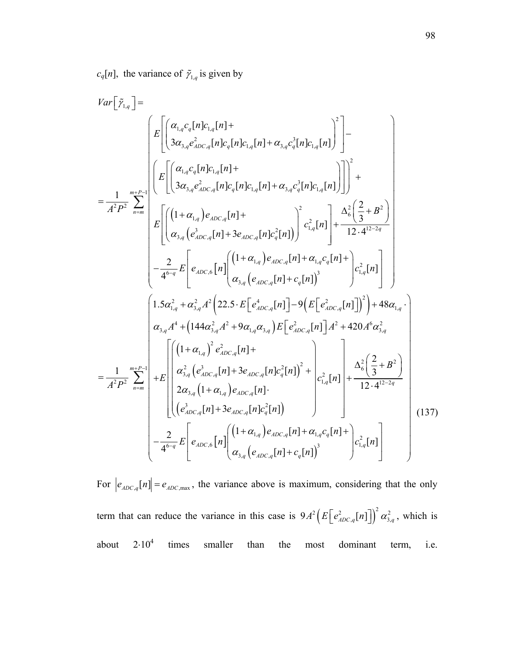$c_q[n]$ , the variance of  $\tilde{\gamma}_{1,q}$  is given by

$$
Var\left[\tilde{\gamma}_{1,q}\right] = \frac{1}{A^{2}P^{2}} \int_{n=m}^{R^{2}P}\left[E\left[\left(\frac{\alpha_{1,q}c_{q}[n]c_{1,q}[n] + \alpha_{2,q}c_{q}^{2}[n]c_{1,q}[n] + \alpha_{3,q}c_{q}^{2}[n]c_{1,q}[n] \right)^{2}\right] - \frac{1}{A^{2}P^{2}} \int_{n=m}^{R^{2}P}\left[E\left[\left(\frac{\alpha_{1,q}c_{q}[n]c_{1,q}[n] + \alpha_{2,q}c_{q}^{2}[n]c_{1,q}[n] + \alpha_{3,q}c_{q}^{2}[n]c_{1,q}[n] \right)\right]^{2} + \frac{1}{A^{2}P^{2}} \int_{n=m}^{R^{2}}E\left[\left((1+\alpha_{1,q})e_{ADC,q}[n] + \alpha_{2,q}c_{q}^{2}[n]c_{1,q}[n] \right)^{2}c_{1,q}^{2}[n] + \frac{\alpha_{6}^{2}\left(\frac{2}{3}+B^{2}\right)}{12\cdot4^{12-2q}}\right] - \frac{2}{4^{6-q}}E\left[e_{ADC,q}[n] + 3e_{ADC,q}[n]c_{q}[n] + c_{1,q}c_{q}[n] + \frac{\alpha_{6}^{2}\left(\frac{2}{3}+B^{2}\right)}{12\cdot4^{12-2q}}\right] - \frac{1}{4^{6-q}}E\left[e_{ADC,q}[n] + \left(\alpha_{1,q}\right)e_{ADC,q}[n] + c_{1,q}[n] \right)^{3} - \frac{1}{2^{2}}\left[\alpha_{1,q}\left(\alpha_{1,q}\right)e_{1,q}\left(\alpha_{1,q}\right)e_{1,q}\left(\alpha_{1,q}\right)\right] + 48\alpha_{1,q} \cdot \frac{1}{2^{2}}\right]
$$
\n
$$
Var_{3,q}A^{4} + \left(144\alpha_{2,q}^{2}A^{2} + 9\alpha_{1,q}\alpha_{3,q}\right)E\left[e_{ADC,q}^{2}[n] - 9\left(E\left[e_{ADC,q}[n] - 1\right]\right)^{2}\right) + 48\alpha_{1,q} \cdot \frac{1}{2^{2}}\right]
$$
\n
$$
= \frac{1}{A^{2}P^{2}}\sum_{n=m}^{mP-1}\left[\left(\frac{(1+\alpha_{1,q})^{2}e_{ADC
$$

For  $\left| e_{ADC,q}[n] \right| = e_{ADC,max}$ , the variance above is maximum, considering that the only term that can reduce the variance in this case is  $9A^2 \Big( E \Big[ e_{ADC,q}^2[n] \Big] \Big)^2 \alpha_{3,q}^2$ , which is about  $2·10<sup>4</sup>$ times smaller than the most dominant term, i.e.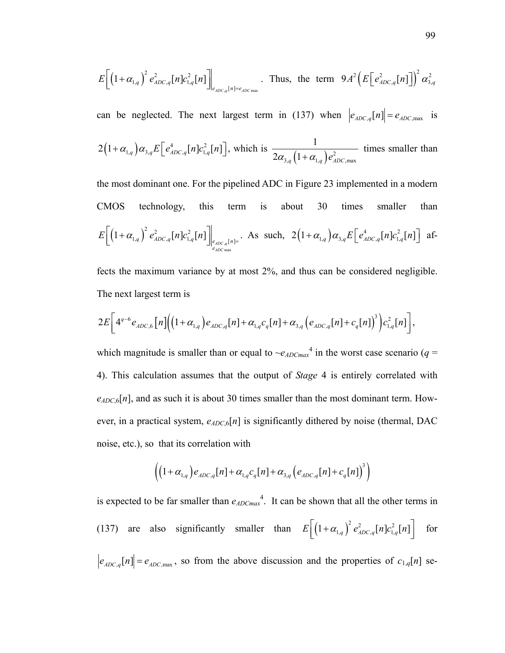$$
E\bigg[\big(1+\alpha_{1,q}\big)^2 e_{ADC,q}^2[n] c_{1,q}^2[n]\bigg]_{e_{ADC,q}[n] = e_{ADC\max}}.\quad \text{Thus, the term } 9A^2 \big(E\big[e_{ADC,q}^2[n]\big]\big)^2 \alpha_{3,q}^2
$$

can be neglected. The next largest term in (137) when  $\left|e_{ADC,q}[n]\right| = e_{ADC,max}$  is  $2(1+\alpha_{1,q})\alpha_{3,q}E\left[e_{ADC,q}^4[n]c_{1,q}^2[n]\right]$ , which is  $\frac{1}{2\alpha_{3,q}(1+\alpha_{1,q})e_{ADC,max}^2}$ 1  $2\alpha_{3,q}\left(1+\alpha_{1,q}\right)e_{ADC}^2$ times smaller than

the most dominant one. For the pipelined ADC in Figure 23 implemented in a modern CMOS technology, this term is about 30 times smaller than  $( 1 + \alpha_{1,q} ) \left. e_{ADC,q}^2[n] c_{1,q}^2[n] \right|_{e_{ADC,Q}}$ max  $\left\{1+\alpha_{1,q}\right\}^2 e_{ADC,q}^2[n]c_{1,q}^2[n]\right\}_{e_{ADC,q}[n]}$ *ADC e*  $E\left[\left(1+\alpha_{1,q}\right)^2 e_{ADC,q}^2[n]c_{1,q}^2[n]\right]_{e_{ADC,q}[n]=}$ . As such,  $2\left(1+\alpha_{1,q}\right)\alpha_{3,q}E\left[e_{ADC,q}^4[n]c_{1,q}^2[n]\right]$  af-

fects the maximum variance by at most 2%, and thus can be considered negligible. The next largest term is

$$
2E\bigg[4^{q-6}e_{ADC,6}\big[n\big]\bigg(\big(1+\alpha_{1,q}\big)e_{ADC,q}[n]+\alpha_{1,q}c_q[n]+\alpha_{3,q}\big(e_{ADC,q}[n]+c_q[n]\big)^3\bigg)c_{1,q}^2[n]\bigg],
$$

which magnitude is smaller than or equal to  $\sim e_{ADCmax}^4$  in the worst case scenario (*q* = 4). This calculation assumes that the output of *Stage* 4 is entirely correlated with  $e_{ADC,6}[n]$ , and as such it is about 30 times smaller than the most dominant term. However, in a practical system,  $e_{ADC,6}[n]$  is significantly dithered by noise (thermal, DAC noise, etc.), so that its correlation with

$$
\left( \left(1 + \alpha_{1,q}\right) e_{ADC,q} [n] + \alpha_{1,q} c_q [n] + \alpha_{3,q} \left( e_{ADC,q} [n] + c_q [n] \right)^3 \right)
$$

is expected to be far smaller than  $e_{ADCmax}$ <sup>4</sup>. It can be shown that all the other terms in (137) are also significantly smaller than  $E\left[ \left( 1 + \alpha_{1,q} \right)^2 e_{ADC,q}^2[n] c_{1,q}^2[n] \right]$  for  $|e_{ADC,q}[n]| = e_{ADC,max}$ , so from the above discussion and the properties of  $c_{1,q}[n]$  se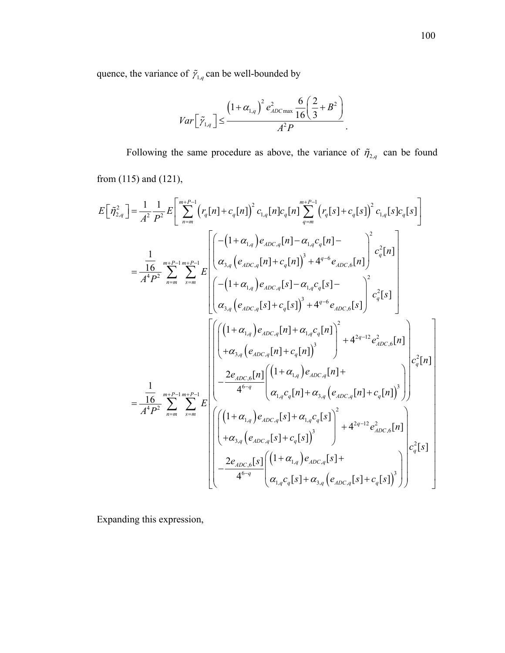quence, the variance of  $\tilde{\gamma}_{1,q}$  can be well-bounded by

$$
Var\left[\tilde{\gamma}_{1,q}\right] \leq \frac{\left(1+\alpha_{1,q}\right)^2 e_{ADC\max}^2 \frac{6}{16}\left(\frac{2}{3}+B^2\right)}{A^2 P}.
$$

Following the same procedure as above, the variance of  $\tilde{\eta}_{2,q}$  can be found from (115) and (121),

$$
E\left[\tilde{\eta}_{2,q}^{2}\right] = \frac{1}{A^{2}} \frac{1}{P^{2}} E\left[\sum_{n=m}^{m+P-1} \left(r_{q}[n] + c_{q}[n]\right)^{2} c_{1,q}[n] c_{q}[n] \sum_{q=m}^{m+P-1} \left(r_{q}[s] + c_{q}[s]\right)^{2} c_{1,q}[s] c_{q}[s]\right]
$$
\n
$$
= \frac{1}{A^{4}P^{2}} \sum_{n=m}^{m+P-1} \sum_{s=m}^{m+P-1} E\left[\left(\alpha_{3,q}\left(e_{ADC,q}[n] + c_{q}[n]\right)^{3} + 4^{q-6} e_{ADC,6}[n]\right)^{2} c_{q}^{2}[n]\right]
$$
\n
$$
\left(\alpha_{3,q}\left(e_{ADC,q}[s] + c_{q}[s]\right)^{3} + 4^{q-6} e_{ADC,6}[s]\right)^{2} c_{q}^{2}[s]\right]
$$
\n
$$
= \frac{1}{A^{4}P^{2}} \sum_{n=m}^{m+P-1} \sum_{s=m}^{m+P} E\left[\left(\frac{(1+\alpha_{1,q})e_{ADC,q}[s] - \alpha_{1,q}c_{q}[s] - \alpha_{1,q}c_{q}[s] - \alpha_{1,q}c_{q}[s]\right)^{2} c_{q}^{2}[s]\right]
$$
\n
$$
= \frac{1}{A^{4}P^{2}} \sum_{n=m}^{m+P-1} \sum_{s=m}^{m+P-1} E\left[\left(\frac{(1+\alpha_{1,q})e_{ADC,q}[n] + \alpha_{1,q}c_{q}[n]\right)^{3}}{4^{6-q}}\left(\alpha_{1,q}c_{q}[n] + \alpha_{3,q}\left(e_{ADC,q}[n] + c_{q}[n]\right)^{3}\right)\right] c_{q}^{2}[n]
$$
\n
$$
= \frac{1}{A^{4}P^{2}} \sum_{n=m}^{m+P-1} \sum_{s=m}^{m+P-1} E\left[\left(\frac{(1+\alpha_{1,q})e_{ADC,q}[s] + \alpha_{1,q}c_{q}[s]\right)^{2}}{4^{6-q}} + 4^{2q-12}e_{ADC,6}^{2}[n]\right] c_{q}^{2}[s]
$$
\n
$$
= \frac{2e_{ADC,6}[s] \left(\left(1+\alpha_{1,q}\right)e
$$

Expanding this expression,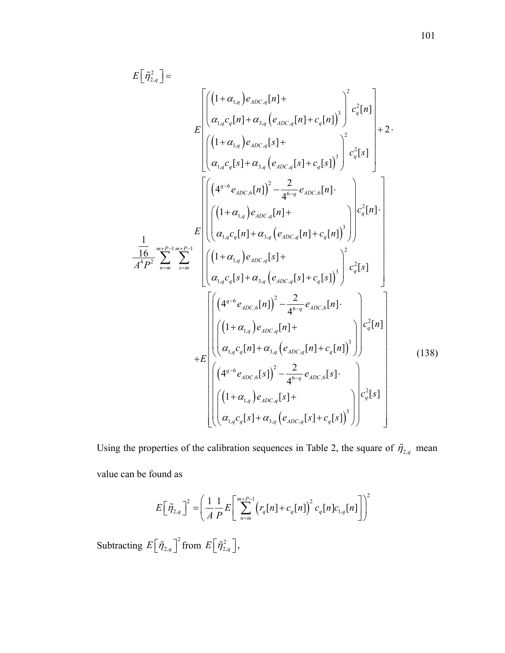$$
E\left[\tilde{\eta}_{2,q}^{2}\right] = \int_{E}\left[\left(\left(1+\alpha_{1,q}\right)e_{ADC,q}[n] + \alpha_{3,q}\left(e_{ADC,q}[n] + c_{q}[n]\right)^{2}\right)^{2}c_{q}^{2}[n]\right] + 2.
$$
\n
$$
E\left[\left(\left(1+\alpha_{1,q}\right)e_{ADC,q}[s] + \alpha_{3,q}\left(e_{ADC,q}[s] + c_{q}[s]\right)^{3}\right)^{2}c_{q}^{2}[s]\right] + 2.
$$
\n
$$
\left[\left(\left(1+\alpha_{1,q}\right)e_{ADC,q}[s] + c_{q}[s]\right)^{3}\right]c_{q}^{2}[s]\right] + 2.
$$
\n
$$
E\left[\left(\left(1+\alpha_{1,q}\right)e_{ADC,q}[n]\right)^{2} - \frac{2}{4^{6-q}}e_{ADC,6}[n].\right]
$$
\n
$$
\frac{1}{A^{4}P^{2}}\sum_{n=m}^{m+P-1}\sum_{s=m}^{m+P-1}\left[\left(\left(1+\alpha_{1,q}\right)e_{ADC,q}[s] + \alpha_{1,q}\left(e_{ADC,q}[s] + c_{q}[s]\right)^{3}\right)^{2}c_{q}^{2}[s]\right]
$$
\n
$$
E\left[\left(\left(1+\alpha_{1,q}\right)e_{ADC,q}[s] + \alpha_{3,q}\left(e_{ADC,q}[s] + c_{q}[s]\right)^{3}\right)^{2}c_{q}^{2}[s]\right]
$$
\n
$$
+ E\left[\left(\left(1+\alpha_{1,q}\right)e_{ADC,q}[n]\right)^{2} - \frac{2}{4^{6-q}}e_{ADC,6}[n].\right]
$$
\n
$$
+ E\left[\left(\left(1+\alpha_{1,q}\right)e_{ADC,q}[n]+ \alpha_{3,q}\left(e_{ADC,q}[n]+ c_{q}[n]\right)^{3}\right)\right]c_{q}^{2}[n]\right]
$$
\n
$$
\left[\left(\left(1+\alpha_{1,q}\right)e_{ADC,q}[s]\right)^{2} - \frac{2}{4^{6-q}}e_{ADC,6}[s].\right]
$$
\n
$$
\left[\left(\left(1+\alpha_{1,q}\right)e_{ADC,q}[s]+ \alpha_{3,q}\left(e_{ADC,q}[s]+ c_{q}[s]\right)^{3}\right)\right]c_{q}^{2}[s]
$$
\n
$$
\
$$

Using the properties of the calibration sequences in Table 2, the square of  $\tilde{\eta}_{2,q}$  mean value can be found as

$$
E\left[\tilde{\eta}_{2,q}\right]^2 = \left(\frac{1}{A}\frac{1}{P}E\left[\sum_{n=m}^{m+P-1} \left(r_q[n]+c_q[n]\right)^2 c_q[n]c_{1,q}[n]\right]\right)^2
$$

Subtracting  $E\left[\tilde{\eta}_{2,q}\right]^2$  from  $E\left[\tilde{\eta}_{2,q}^2\right]$ ,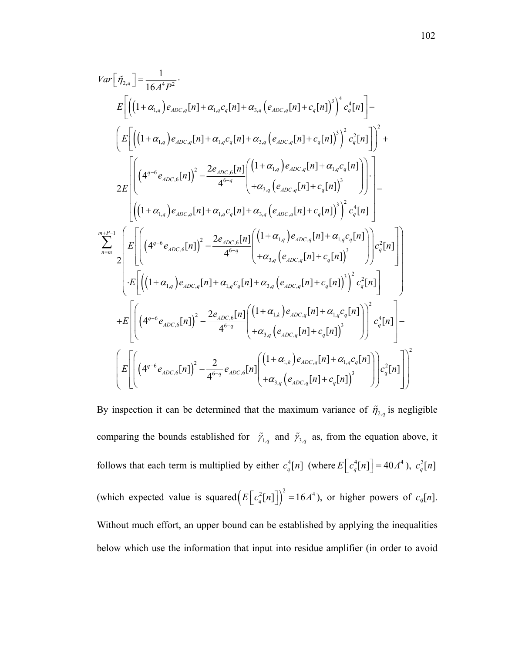$$
Var\left[\tilde{\eta}_{2,q}\right] = \frac{1}{16A^{4}P^{2}}.
$$
\n
$$
E\left[\left(\left(1+\alpha_{1,q}\right)e_{ADC,q}[n] + \alpha_{1,q}c_{q}[n] + \alpha_{3,q}\left(e_{ADC,q}[n] + c_{q}[n]\right)^{3}\right)^{4}c_{q}^{4}[n]\right] - \left(E\left[\left(\left(1+\alpha_{1,q}\right)e_{ADC,q}[n] + \alpha_{1,q}c_{q}[n] + \alpha_{3,q}\left(e_{ADC,q}[n] + c_{q}[n]\right)^{3}\right)^{2}c_{q}^{2}[n]\right]\right)^{2} + \frac{1}{2E}\left[\left(\left(4^{q-6}e_{ADC,6}[n]\right)^{2} - \frac{2e_{ADC,6}[n]}{4^{6-q}}\right)\left(\frac{1+\alpha_{1,q}e_{ADC,q}[n] + c_{q}[n]}{+\alpha_{3,q}\left(e_{ADC,q}[n] + c_{q}[n]\right)^{3}}\right)\right)\right] - \left[\left(\left(1+\alpha_{1,q}\right)e_{ADC,q}[n] + \alpha_{1,q}c_{q}[n] + \alpha_{3,q}\left(e_{ADC,q}[n] + c_{q}[n]\right)^{3}\right)^{2}c_{q}^{4}[n]\right] - \frac{1}{2E}\left[\left(\left(4^{q-6}e_{ADC,6}[n]\right)^{2} - \frac{2e_{ADC,6}[n]}{4^{6-q}}\left(\frac{1+\alpha_{1,q}e_{ADC,q}[n] + c_{q}[n]}{+\alpha_{3,q}\left(e_{ADC,q}[n] + c_{q}[n]\right)^{3}}\right)\right)c_{q}^{4}[n]\right] - \left(E\left[\left(\left(1+\alpha_{1,q}\right)e_{ADC,q}[n] + \alpha_{1,q}c_{q}[n] + \alpha_{3,q}\left(e_{ADC,q}[n] + c_{q}[n]\right)^{3}\right)^{2}c_{q}^{2}[n]\right] - \frac{1}{2E}\left[\left(\left(1+\alpha_{1,q}\right)e_{ADC,q}[n] + \alpha_{1,q}c_{q}[n] + \alpha_{3,q}\left(e_{ADC,q}[n] + c_{q}[n]\right)^{3}\right)^{2}c_{q}^{2}[n]\right] - \left(E\left[\left(\left(4^{q-6}e_{ADC,6}[n]\right)^{2} - \frac{2e_{ADC,6}[n]}{4^{6-q}}\
$$

By inspection it can be determined that the maximum variance of  $\tilde{\eta}_{2,q}$  is negligible comparing the bounds established for  $\tilde{\gamma}_{1,q}$  and  $\tilde{\gamma}_{3,q}$  as, from the equation above, it follows that each term is multiplied by either  $c_q^4[n]$  (where  $E[c_q^4[n]] = 40A^4$ ),  $c_q^2[n]$ (which expected value is squared $(E\left[c_q^2[n]\right]^2 = 16A^4)$ , or higher powers of  $c_q[n]$ . Without much effort, an upper bound can be established by applying the inequalities below which use the information that input into residue amplifier (in order to avoid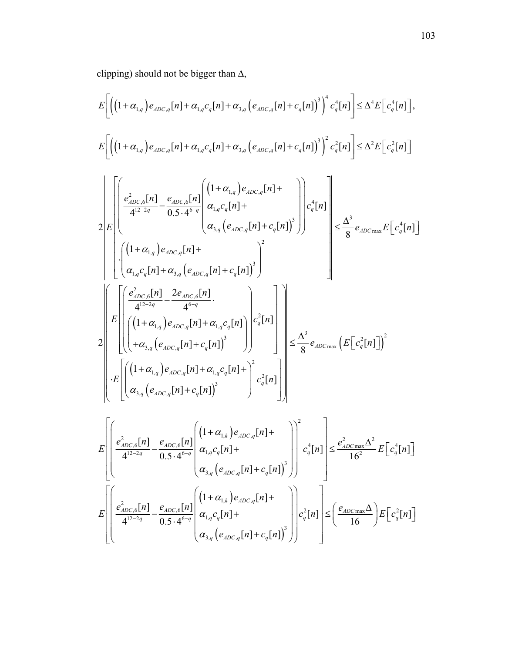clipping) should not be bigger than  $\Delta$ ,

$$
E\left[\left(\left(1+\alpha_{1,q}\right)e_{ADC,q}[n]+\alpha_{1,q}c_{q}[n]+\alpha_{3,q}\left(e_{ADC,q}[n]+c_{q}[n]\right)^{3}\right)^{4}c_{q}^{4}[n]\right]\leq\Delta^{4}E\left[c_{q}^{4}[n]\right],
$$
\n
$$
E\left[\left(\left(1+\alpha_{1,q}\right)e_{ADC,q}[n]+\alpha_{1,q}c_{q}[n]+\alpha_{3,q}\left(e_{ADC,q}[n]+c_{q}[n]\right)^{3}\right)^{2}c_{q}^{2}[n]\right]\leq\Delta^{2}E\left[c_{q}^{2}[n]\right]
$$
\n
$$
E\left[\left(\frac{e_{ADC,6}^{2}[n]}{4^{12-2q}}-\frac{e_{ADC,6}[n]}{0.5\cdot4^{6-q}}\left(\frac{1+\alpha_{1,q}}{\alpha_{1,q}c_{q}[n]+1}\right)\right)e_{q}^{4}[n]\right]\right] \leq\Delta^{2}E\left[c_{q}^{2}[n]\right]
$$
\n
$$
2E\left[\left(\frac{e_{ADC,6}^{2}[n]}{4^{12-2q}}-\frac{e_{ADC,6}[n]}{0.5\cdot4^{6-q}}\left(\frac{1+\alpha_{1,q}}{\alpha_{1,q}c_{q}[n]+c_{q}[n]}\right)^{3}\right)\right]c_{q}^{4}[n]\right]
$$
\n
$$
= \frac{\Delta^{3}}{8}e_{ADC\max}E\left[c_{q}^{4}[n]\right]
$$
\n
$$
E\left[\left(\frac{e_{ADC,6}^{2}[n]-2e_{ADC,6}[n]}{4^{12-2q}}-\frac{2e_{ADC,6}[n]}{4^{6-q}}\right).
$$
\n
$$
E\left[\left(\frac{(1+\alpha_{1,q})e_{ADC,q}[n]+\alpha_{1,q}c_{q}[n]}{(\alpha_{3,q}(e_{ADC,q}[n]+\alpha_{1,q}c_{q}[n])^{3}}\right)e_{q}^{2}[n]\right]
$$
\n
$$
E\left[\left(\frac{(1+\alpha_{1,q})e_{ADC,q}[n]+\alpha_{1,q}c_{q}[n]+1}{\alpha_{3,q}(e_{ADC,q}[n]+\alpha_{1,q}c_{q}[n]+1}\right)^{2}c_{q}^{2}[n]\right]
$$
\n
$$
E\left[\left(\frac{e_{ADC,6}^{2}[n]-
$$

$$
E\left[\left(\frac{e_{ADC,6}^2[n]}{4^{12-2q}} - \frac{e_{ADC,6}[n]}{0.5 \cdot 4^{6-q}} \left(\frac{1+\alpha_{1,k}}{\alpha_{1,q}c_q[n]+1} e_{ADC,q}[n] + \frac{e_{ADC,6}^2[n]}{16^2} \right) \left(\frac{c_q^4[n]}{16^2} - \frac{e_{ADC,6}^2[n]}{16^2} \right) \right] \le \frac{e_{ADC}^2 \Delta^2}{16^2} E\left[c_q^4[n]\right]
$$

$$
E\left[\left(\frac{e_{ADC,6}^2[n]}{4^{12-2q}} - \frac{e_{ADC,6}[n]}{0.5 \cdot 4^{6-q}} \left(\frac{1+\alpha_{1,k}}{\alpha_{1,q}c_q[n]+1} e_{ADC,q}[n] + \frac{e_{ADC,6}[n]}{16}\right) \right] \le \left(\frac{e_{ADC} \Delta^2}{16}\right) E\left[c_q^2[n]\right]
$$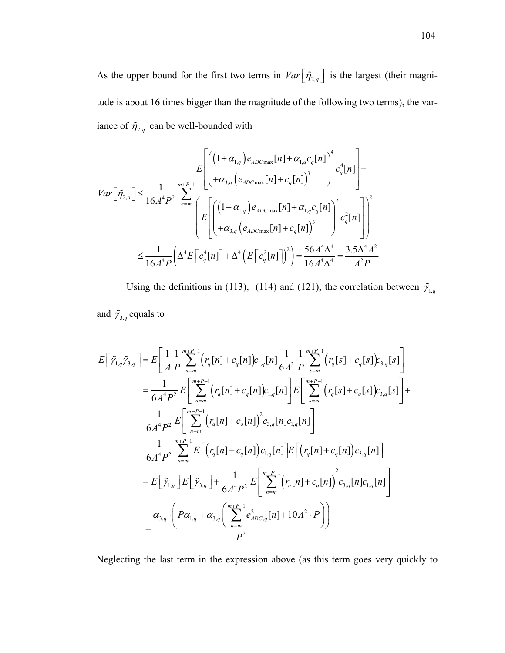As the upper bound for the first two terms in  $Var\left[\tilde{\eta}_{2,q}\right]$  is the largest (their magnitude is about 16 times bigger than the magnitude of the following two terms), the variance of  $\tilde{\eta}_{2,q}$  can be well-bounded with

$$
Var\left[\tilde{\eta}_{2,q}\right] \leq \frac{1}{16A^4P^2} \sum_{n=m}^{m+P-1} \left[ \begin{pmatrix} \left(1+\alpha_{1,q}\right)e_{ADC\max}[n] + \alpha_{1,q}c_q[n] \right)^4 & c_q^4[n] \\ + \alpha_{3,q}\left(e_{ADC\max}[n] + c_q[n]\right)^3 & & e_q^2[n] \\ \end{pmatrix} - \sum_{n=m}^{m+P-1} \left[ E\left[ \begin{pmatrix} \left(1+\alpha_{1,q}\right)e_{ADC\max}[n] + \alpha_{1,q}c_q[n] \right)^2 \\ + \alpha_{3,q}\left(e_{ADC\max}[n] + c_q[n]\right)^3 & & e_q^2[n] \\ \end{pmatrix} \right] \right] \leq \frac{1}{16A^4P} \left( \Delta^4 E\left[c_q^4[n]\right] + \Delta^4 \left( E\left[c_q^2[n]\right] \right)^2 \right) = \frac{56A^4\Delta^4}{16A^4\Delta^4} = \frac{3.5\Delta^4A^2}{A^2P} \end{pmatrix}
$$

Using the definitions in (113), (114) and (121), the correlation between  $\tilde{\gamma}_{1,q}$ and  $\tilde{\gamma}_{3,q}$  equals to

$$
E\left[\tilde{\gamma}_{1,q}\tilde{\gamma}_{3,q}\right] = E\left[\frac{1}{A} \frac{1}{P} \sum_{n=m}^{m+P-1} \left(r_q[n] + c_q[n]\right)c_{1,q}[n]\frac{1}{6A^3} \frac{1}{P} \sum_{s=m}^{m+P-1} \left(r_q[s] + c_q[s]\right)c_{3,q}[s]\right]
$$
  
\n
$$
= \frac{1}{6A^4 P^2} E\left[\sum_{n=m}^{m+P-1} \left(r_q[n] + c_q[n]\right)c_{1,q}[n]\right] E\left[\sum_{s=m}^{m+P-1} \left(r_q[s] + c_q[s]\right)c_{3,q}[s]\right] + \frac{1}{6A^4 P^2} E\left[\sum_{n=m}^{m+P-1} \left(r_q[n] + c_q[n]\right)c_{3,q}[n]c_{1,q}[n]\right] - \frac{1}{6A^4 P^2} \sum_{n=m}^{m+P-1} E\left[\left(r_q[n] + c_q[n]\right)c_{1,q}[n]\right] E\left[\left(r_q[n] + c_q[n]\right)c_{3,q}[n]\right]
$$
  
\n
$$
= E\left[\tilde{\gamma}_{1,q}\right] E\left[\tilde{\gamma}_{3,q}\right] + \frac{1}{6A^4 P^2} E\left[\sum_{n=m}^{m+P-1} \left(r_q[n] + c_q[n]\right)c_{3,q}[n]c_{1,q}[n]\right]
$$
  
\n
$$
\alpha_{3,q} \cdot \left(P\alpha_{1,q} + \alpha_{3,q}\left(\sum_{n=m}^{m+P-1} e_{ADC,q}^2[n] + 10A^2 \cdot P\right)\right)
$$

Neglecting the last term in the expression above (as this term goes very quickly to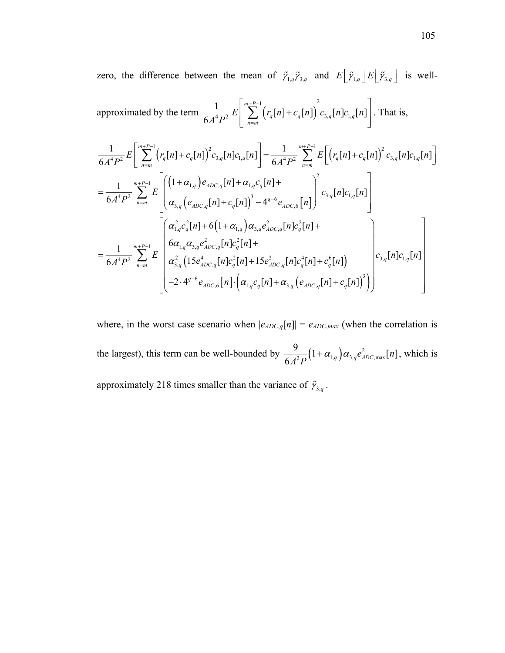zero, the difference between the mean of  $\tilde{\gamma}_{1,q} \tilde{\gamma}_{3,q}$  and  $E[\tilde{\gamma}_{1,q}] E[\tilde{\gamma}_{3,q}]$  is well-

approximated by the term 
$$
\frac{1}{6A^4P^2}E\left[\sum_{n=m}^{m+P-1} (r_q[n]+c_q[n])\right]^2 c_{3,q}[n]c_{1,q}[n]\right].
$$
 That is,

$$
\frac{1}{6A^{4}P^{2}}E\left[\sum_{n=m}^{m+P-1} (r_{q}[n]+c_{q}[n])^{2}c_{3,q}[n]c_{1,q}[n]\right] = \frac{1}{6A^{4}P^{2}}\sum_{n=m}^{m+P-1} E\left[\left(r_{q}[n]+c_{q}[n]\right)^{2}c_{3,q}[n]c_{1,q}[n]\right]
$$
\n
$$
=\frac{1}{6A^{4}P^{2}}\sum_{n=m}^{m+P-1} E\left[\left(\frac{(1+\alpha_{1,q})e_{ADC,q}[n]+ \alpha_{1,q}c_{q}[n]+}{\alpha_{3,q}(e_{ADC,q}[n]+c_{q}[n])^{3}-4^{q-6}e_{ADC,6}[n]}\right)^{2}c_{3,q}[n]c_{1,q}[n]\right]
$$
\n
$$
=\frac{1}{6A^{4}P^{2}}\sum_{n=m}^{m+P-1} E\left[\left(\frac{\alpha_{1,q}^{2}c_{q}^{2}[n]+6(1+\alpha_{1,q})\alpha_{3,q}e_{ADC,q}^{2}[n]c_{q}[n]+}{6\alpha_{1,q}\alpha_{3,q}e_{ADC,q}^{2}[n]c_{q}[n]+15e_{ADC,q}^{2}[n]c_{1,q}[n]c_{q}^{4}[n]+c_{q}^{6}[n]\right)\right]
$$
\n
$$
= \frac{1}{6A^{4}P^{2}}\sum_{n=m}^{m+P-1} E\left[\left(\frac{\alpha_{1,q}^{2}c_{q}^{2}[n]+6(1+\alpha_{1,q})\alpha_{3,q}e_{ADC,q}^{2}[n]c_{1,q}[n]c_{q}[n]+15e_{ADC,q}[n]c_{1,q}[n]c_{1,q}[n]}{c_{3,q}[n]c_{1,q}[n]c_{1,q}[n]c_{1,q}[n]c_{1,q}[n]c_{1,q}[n]\right]
$$
\n
$$
-2 \cdot 4^{q-6}e_{ADC,6}[n] \cdot \left(\alpha_{1,q}c_{q}[n]+ \alpha_{3,q}(e_{ADC,q}[n]+c_{q}[n] \right)^{3}\right)
$$

where, in the worst case scenario when  $|e_{ADC,q}[n]| = e_{ADC,max}$  (when the correlation is the largest), this term can be well-bounded by  $\frac{9}{6A^2P} (1 + \alpha_{1,q}) \alpha_{3,q} e_{ADC,\text{max}}^2[n]$  $+\alpha_{1a} \alpha_{3a} e_{ADC \text{ max}}^2[n]$ , which is approximately 218 times smaller than the variance of  $\tilde{\gamma}_{3,q}$ .